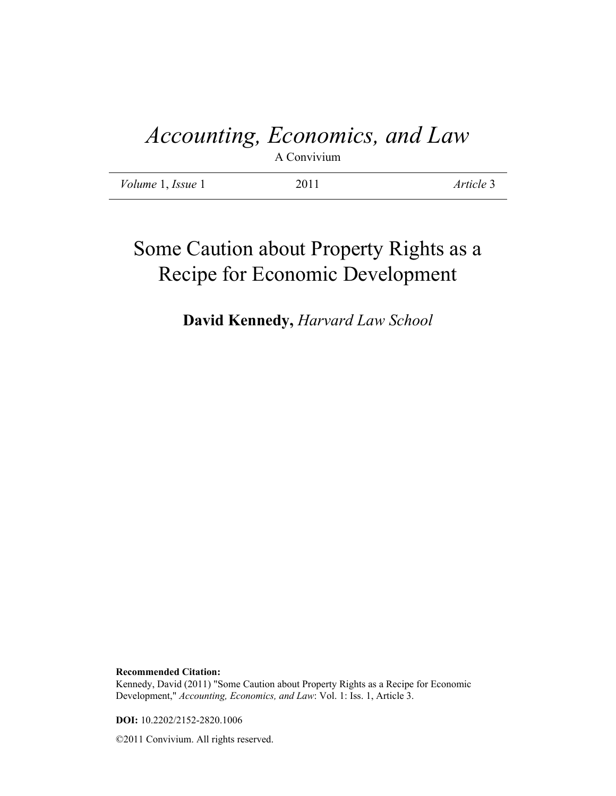# *Accounting, Economics, and Law*

A Convivium

| <i>Volume</i> 1, <i>Issue</i> 1 | 2011 | Article 3 |
|---------------------------------|------|-----------|
|---------------------------------|------|-----------|

# Some Caution about Property Rights as a Recipe for Economic Development

**David Kennedy,** *Harvard Law School*

**Recommended Citation:**

Kennedy, David (2011) "Some Caution about Property Rights as a Recipe for Economic Development," *Accounting, Economics, and Law*: Vol. 1: Iss. 1, Article 3.

**DOI:** 10.2202/2152-2820.1006

©2011 Convivium. All rights reserved.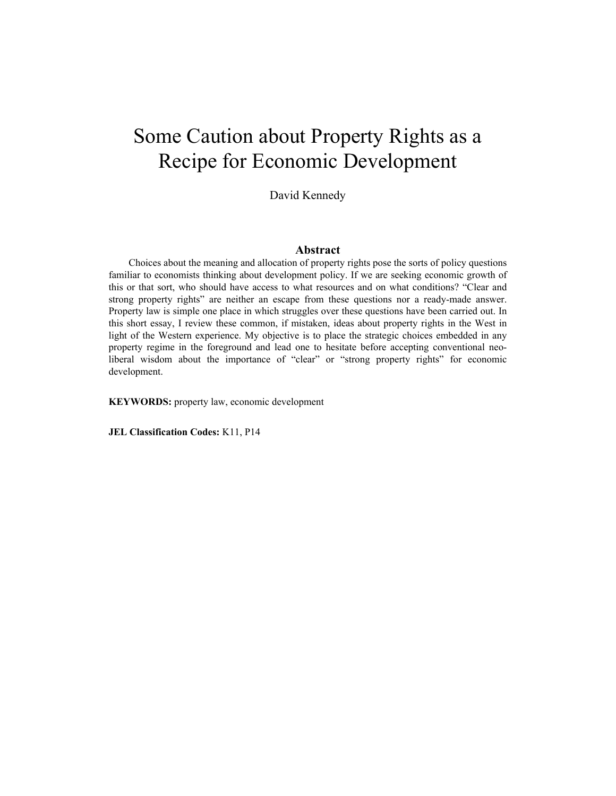## Some Caution about Property Rights as a Recipe for Economic Development

David Kennedy

#### **Abstract**

Choices about the meaning and allocation of property rights pose the sorts of policy questions familiar to economists thinking about development policy. If we are seeking economic growth of this or that sort, who should have access to what resources and on what conditions? "Clear and strong property rights" are neither an escape from these questions nor a ready-made answer. Property law is simple one place in which struggles over these questions have been carried out. In this short essay, I review these common, if mistaken, ideas about property rights in the West in light of the Western experience. My objective is to place the strategic choices embedded in any property regime in the foreground and lead one to hesitate before accepting conventional neoliberal wisdom about the importance of "clear" or "strong property rights" for economic development.

**KEYWORDS:** property law, economic development

**JEL Classification Codes:** K11, P14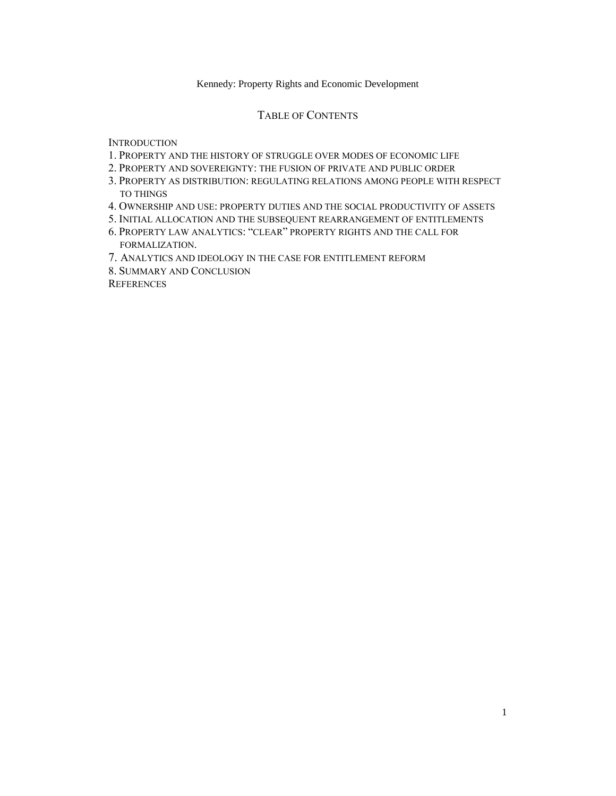Kennedy: Property Rights and Economic Development

#### TABLE OF CONTENTS

**INTRODUCTION** 

- 1. PROPERTY AND THE HISTORY OF STRUGGLE OVER MODES OF ECONOMIC LIFE
- 2. PROPERTY AND SOVEREIGNTY: THE FUSION OF PRIVATE AND PUBLIC ORDER
- 3. PROPERTY AS DISTRIBUTION: REGULATING RELATIONS AMONG PEOPLE WITH RESPECT TO THINGS
- 4. OWNERSHIP AND USE: PROPERTY DUTIES AND THE SOCIAL PRODUCTIVITY OF ASSETS
- 5. INITIAL ALLOCATION AND THE SUBSEQUENT REARRANGEMENT OF ENTITLEMENTS
- 6. PROPERTY LAW ANALYTICS: "CLEAR" PROPERTY RIGHTS AND THE CALL FOR FORMALIZATION.
- 7. ANALYTICS AND IDEOLOGY IN THE CASE FOR ENTITLEMENT REFORM
- 8. SUMMARY AND CONCLUSION

**REFERENCES**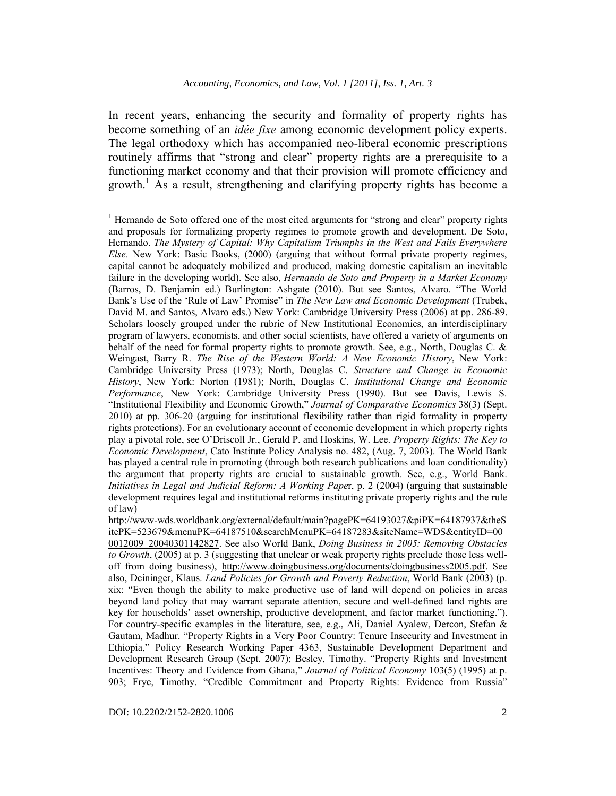In recent years, enhancing the security and formality of property rights has become something of an *idée fixe* among economic development policy experts. The legal orthodoxy which has accompanied neo-liberal economic prescriptions routinely affirms that "strong and clear" property rights are a prerequisite to a functioning market economy and that their provision will promote efficiency and growth.<sup>1</sup> As a result, strengthening and clarifying property rights has become a

 $\overline{\phantom{a}}$ 

<sup>&</sup>lt;sup>1</sup> Hernando de Soto offered one of the most cited arguments for "strong and clear" property rights and proposals for formalizing property regimes to promote growth and development. De Soto, Hernando. *The Mystery of Capital: Why Capitalism Triumphs in the West and Fails Everywhere Else.* New York: Basic Books, (2000) (arguing that without formal private property regimes, capital cannot be adequately mobilized and produced, making domestic capitalism an inevitable failure in the developing world). See also, *Hernando de Soto and Property in a Market Economy* (Barros, D. Benjamin ed.) Burlington: Ashgate (2010). But see Santos, Alvaro. "The World Bank's Use of the 'Rule of Law' Promise" in *The New Law and Economic Development* (Trubek, David M. and Santos, Alvaro eds.) New York: Cambridge University Press (2006) at pp. 286-89. Scholars loosely grouped under the rubric of New Institutional Economics, an interdisciplinary program of lawyers, economists, and other social scientists, have offered a variety of arguments on behalf of the need for formal property rights to promote growth. See, e.g., North, Douglas C. & Weingast, Barry R. *The Rise of the Western World: A New Economic History*, New York: Cambridge University Press (1973); North, Douglas C. *Structure and Change in Economic History*, New York: Norton (1981); North, Douglas C. *Institutional Change and Economic Performance*, New York: Cambridge University Press (1990). But see Davis, Lewis S. "Institutional Flexibility and Economic Growth," *Journal of Comparative Economics* 38(3) (Sept. 2010) at pp. 306-20 (arguing for institutional flexibility rather than rigid formality in property rights protections). For an evolutionary account of economic development in which property rights play a pivotal role, see O'Driscoll Jr., Gerald P. and Hoskins, W. Lee. *Property Rights: The Key to Economic Development*, Cato Institute Policy Analysis no. 482, (Aug. 7, 2003). The World Bank has played a central role in promoting (through both research publications and loan conditionality) the argument that property rights are crucial to sustainable growth. See, e.g., World Bank. *Initiatives in Legal and Judicial Reform: A Working Pape*r, p. 2 (2004) (arguing that sustainable development requires legal and institutional reforms instituting private property rights and the rule of law)

http://www-wds.worldbank.org/external/default/main?pagePK=64193027&piPK=64187937&theS itePK=523679&menuPK=64187510&searchMenuPK=64187283&siteName=WDS&entityID=00 0012009\_20040301142827. See also World Bank, *Doing Business in 2005: Removing Obstacles to Growth*, (2005) at p. 3 (suggesting that unclear or weak property rights preclude those less welloff from doing business), http://www.doingbusiness.org/documents/doingbusiness2005.pdf. See also, Deininger, Klaus. *Land Policies for Growth and Poverty Reduction*, World Bank (2003) (p. xix: "Even though the ability to make productive use of land will depend on policies in areas beyond land policy that may warrant separate attention, secure and well-defined land rights are key for households' asset ownership, productive development, and factor market functioning."). For country-specific examples in the literature, see, e.g., Ali, Daniel Ayalew, Dercon, Stefan & Gautam, Madhur. "Property Rights in a Very Poor Country: Tenure Insecurity and Investment in Ethiopia," Policy Research Working Paper 4363, Sustainable Development Department and Development Research Group (Sept. 2007); Besley, Timothy. "Property Rights and Investment Incentives: Theory and Evidence from Ghana," *Journal of Political Economy* 103(5) (1995) at p. 903; Frye, Timothy. "Credible Commitment and Property Rights: Evidence from Russia"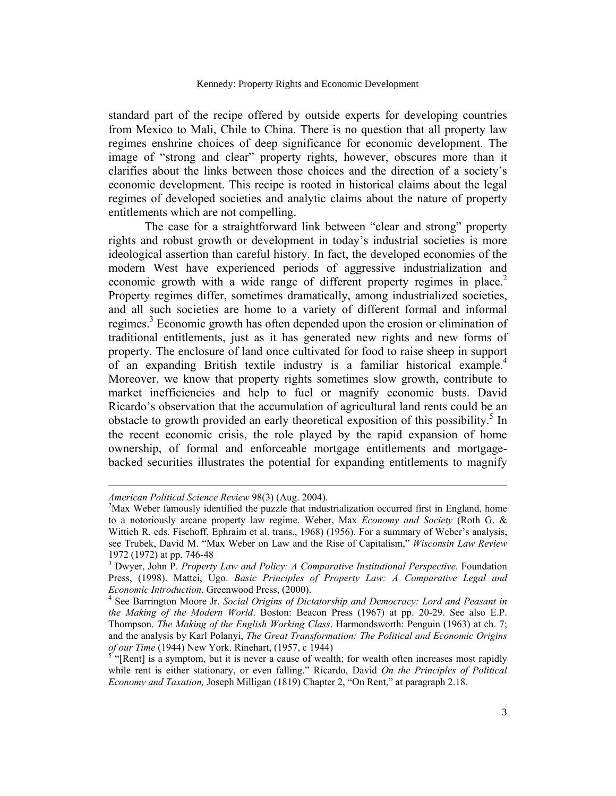standard part of the recipe offered by outside experts for developing countries from Mexico to Mali, Chile to China. There is no question that all property law regimes enshrine choices of deep significance for economic development. The image of "strong and clear" property rights, however, obscures more than it clarifies about the links between those choices and the direction of a society's economic development. This recipe is rooted in historical claims about the legal regimes of developed societies and analytic claims about the nature of property entitlements which are not compelling.

The case for a straightforward link between "clear and strong" property rights and robust growth or development in today's industrial societies is more ideological assertion than careful history. In fact, the developed economies of the modern West have experienced periods of aggressive industrialization and economic growth with a wide range of different property regimes in place.<sup>2</sup> Property regimes differ, sometimes dramatically, among industrialized societies, and all such societies are home to a variety of different formal and informal regimes.<sup>3</sup> Economic growth has often depended upon the erosion or elimination of traditional entitlements, just as it has generated new rights and new forms of property. The enclosure of land once cultivated for food to raise sheep in support of an expanding British textile industry is a familiar historical example.<sup>4</sup> Moreover, we know that property rights sometimes slow growth, contribute to market inefficiencies and help to fuel or magnify economic busts. David Ricardo's observation that the accumulation of agricultural land rents could be an obstacle to growth provided an early theoretical exposition of this possibility.<sup>5</sup> In the recent economic crisis, the role played by the rapid expansion of home ownership, of formal and enforceable mortgage entitlements and mortgagebacked securities illustrates the potential for expanding entitlements to magnify

*American Political Science Review* 98(3) (Aug. 2004). 2

 $^{2}$ Max Weber famously identified the puzzle that industrialization occurred first in England, home to a notoriously arcane property law regime. Weber, Max *Economy and Society* (Roth G. & Wittich R. eds. Fischoff, Ephraim et al. trans., 1968) (1956). For a summary of Weber's analysis, see Trubek, David M. "Max Weber on Law and the Rise of Capitalism," *Wisconsin Law Review* 1972 (1972) at pp. 746-48

<sup>3</sup> Dwyer, John P. *Property Law and Policy: A Comparative Institutional Perspective*. Foundation Press, (1998). Mattei, Ugo. *Basic Principles of Property Law: A Comparative Legal and Economic Introduction*. Greenwood Press, (2000).

<sup>&</sup>lt;sup>4</sup> See Barrington Moore Jr. *Social Origins of Dictatorship and Democracy: Lord and Peasant in the Making of the Modern World*. Boston: Beacon Press (1967) at pp. 20-29. See also E.P. Thompson. *The Making of the English Working Class*. Harmondsworth: Penguin (1963) at ch. 7; and the analysis by Karl Polanyi, *The Great Transformation: The Political and Economic Origins of our Time* (1944) New York. Rinehart, (1957, c 1944) 5

 $\frac{5}{3}$ "[Rent] is a symptom, but it is never a cause of wealth; for wealth often increases most rapidly while rent is either stationary, or even falling." Ricardo, David *On the Principles of Political Economy and Taxation,* Joseph Milligan (1819) Chapter 2, "On Rent," at paragraph 2.18.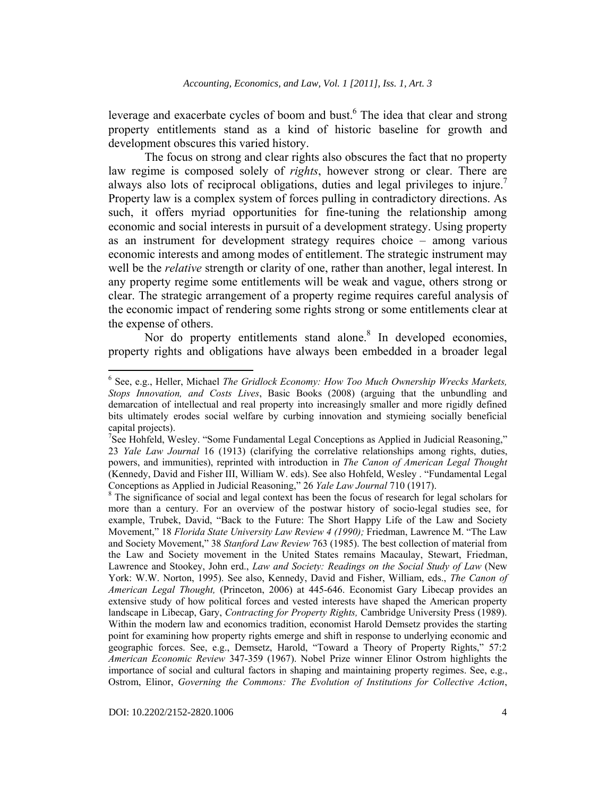leverage and exacerbate cycles of boom and bust.<sup>6</sup> The idea that clear and strong property entitlements stand as a kind of historic baseline for growth and development obscures this varied history.

The focus on strong and clear rights also obscures the fact that no property law regime is composed solely of *rights*, however strong or clear. There are always also lots of reciprocal obligations, duties and legal privileges to injure.<sup>7</sup> Property law is a complex system of forces pulling in contradictory directions. As such, it offers myriad opportunities for fine-tuning the relationship among economic and social interests in pursuit of a development strategy. Using property as an instrument for development strategy requires choice – among various economic interests and among modes of entitlement. The strategic instrument may well be the *relative* strength or clarity of one, rather than another, legal interest. In any property regime some entitlements will be weak and vague, others strong or clear. The strategic arrangement of a property regime requires careful analysis of the economic impact of rendering some rights strong or some entitlements clear at the expense of others.

Nor do property entitlements stand alone.<sup>8</sup> In developed economies, property rights and obligations have always been embedded in a broader legal

<sup>6</sup> See, e.g., Heller, Michael *The Gridlock Economy: How Too Much Ownership Wrecks Markets, Stops Innovation, and Costs Lives*, Basic Books (2008) (arguing that the unbundling and demarcation of intellectual and real property into increasingly smaller and more rigidly defined bits ultimately erodes social welfare by curbing innovation and stymieing socially beneficial capital projects).

<sup>&</sup>lt;sup>7</sup>See Hohfeld, Wesley. "Some Fundamental Legal Conceptions as Applied in Judicial Reasoning," 23 *Yale Law Journal* 16 (1913) (clarifying the correlative relationships among rights, duties, powers, and immunities), reprinted with introduction in *The Canon of American Legal Thought* (Kennedy, David and Fisher III, William W. eds). See also Hohfeld, Wesley . "Fundamental Legal Conceptions as Applied in Judicial Reasoning," 26 *Yale Law Journal* 710 (1917).

<sup>&</sup>lt;sup>8</sup> The significance of social and legal context has been the focus of research for legal scholars for more than a century. For an overview of the postwar history of socio-legal studies see, for example, Trubek, David, "Back to the Future: The Short Happy Life of the Law and Society Movement," 18 *Florida State University Law Review 4 (1990);* Friedman, Lawrence M. "The Law and Society Movement," 38 *Stanford Law Review* 763 (1985). The best collection of material from the Law and Society movement in the United States remains Macaulay, Stewart, Friedman, Lawrence and Stookey, John erd., *Law and Society: Readings on the Social Study of Law* (New York: W.W. Norton, 1995). See also, Kennedy, David and Fisher, William, eds., *The Canon of American Legal Thought,* (Princeton, 2006) at 445-646. Economist Gary Libecap provides an extensive study of how political forces and vested interests have shaped the American property landscape in Libecap, Gary, *Contracting for Property Rights,* Cambridge University Press (1989). Within the modern law and economics tradition, economist Harold Demsetz provides the starting point for examining how property rights emerge and shift in response to underlying economic and geographic forces. See, e.g., Demsetz, Harold, "Toward a Theory of Property Rights," 57:2 *American Economic Review* 347-359 (1967). Nobel Prize winner Elinor Ostrom highlights the importance of social and cultural factors in shaping and maintaining property regimes. See, e.g., Ostrom, Elinor, *Governing the Commons: The Evolution of Institutions for Collective Action*,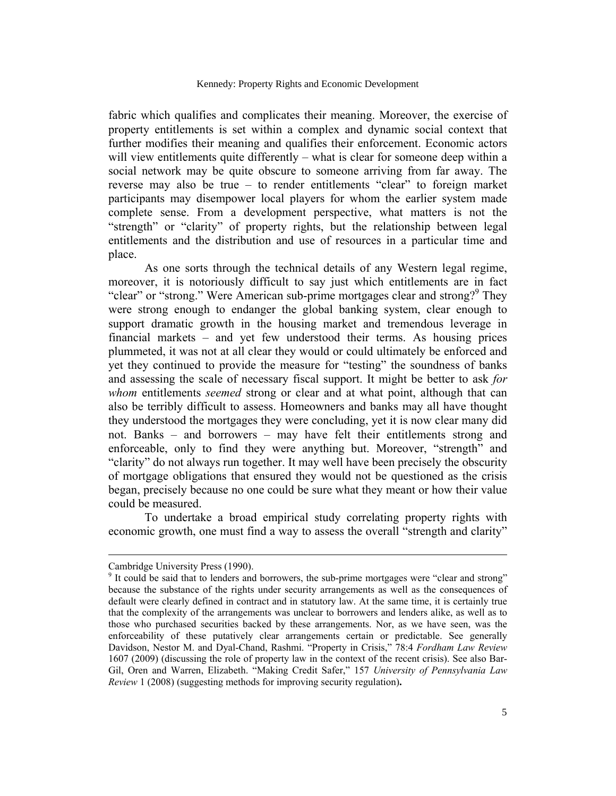fabric which qualifies and complicates their meaning. Moreover, the exercise of property entitlements is set within a complex and dynamic social context that further modifies their meaning and qualifies their enforcement. Economic actors will view entitlements quite differently – what is clear for someone deep within a social network may be quite obscure to someone arriving from far away. The reverse may also be true – to render entitlements "clear" to foreign market participants may disempower local players for whom the earlier system made complete sense. From a development perspective, what matters is not the "strength" or "clarity" of property rights, but the relationship between legal entitlements and the distribution and use of resources in a particular time and place.

As one sorts through the technical details of any Western legal regime, moreover, it is notoriously difficult to say just which entitlements are in fact "clear" or "strong." Were American sub-prime mortgages clear and strong?<sup>9</sup> They were strong enough to endanger the global banking system, clear enough to support dramatic growth in the housing market and tremendous leverage in financial markets – and yet few understood their terms. As housing prices plummeted, it was not at all clear they would or could ultimately be enforced and yet they continued to provide the measure for "testing" the soundness of banks and assessing the scale of necessary fiscal support. It might be better to ask *for whom* entitlements *seemed* strong or clear and at what point, although that can also be terribly difficult to assess. Homeowners and banks may all have thought they understood the mortgages they were concluding, yet it is now clear many did not. Banks – and borrowers – may have felt their entitlements strong and enforceable, only to find they were anything but. Moreover, "strength" and "clarity" do not always run together. It may well have been precisely the obscurity of mortgage obligations that ensured they would not be questioned as the crisis began, precisely because no one could be sure what they meant or how their value could be measured.

To undertake a broad empirical study correlating property rights with economic growth, one must find a way to assess the overall "strength and clarity"

Cambridge University Press (1990).

<sup>&</sup>lt;sup>9</sup> It could be said that to lenders and borrowers, the sub-prime mortgages were "clear and strong" because the substance of the rights under security arrangements as well as the consequences of default were clearly defined in contract and in statutory law. At the same time, it is certainly true that the complexity of the arrangements was unclear to borrowers and lenders alike, as well as to those who purchased securities backed by these arrangements. Nor, as we have seen, was the enforceability of these putatively clear arrangements certain or predictable. See generally Davidson, Nestor M. and Dyal-Chand, Rashmi. "Property in Crisis," 78:4 *Fordham Law Review* 1607 (2009) (discussing the role of property law in the context of the recent crisis). See also Bar-Gil, Oren and Warren, Elizabeth. "Making Credit Safer," 157 *University of Pennsylvania Law Review* 1 (2008) (suggesting methods for improving security regulation)**.**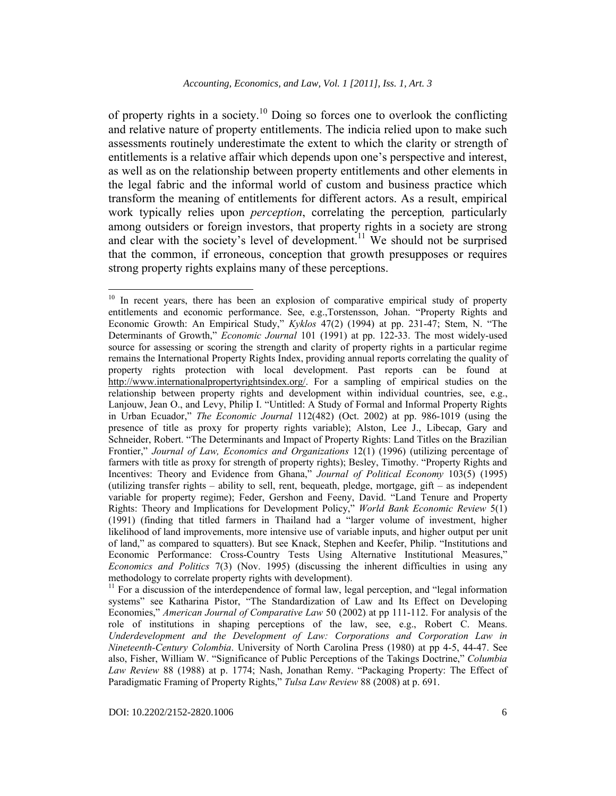of property rights in a society.<sup>10</sup> Doing so forces one to overlook the conflicting and relative nature of property entitlements. The indicia relied upon to make such assessments routinely underestimate the extent to which the clarity or strength of entitlements is a relative affair which depends upon one's perspective and interest, as well as on the relationship between property entitlements and other elements in the legal fabric and the informal world of custom and business practice which transform the meaning of entitlements for different actors. As a result, empirical work typically relies upon *perception*, correlating the perception*,* particularly among outsiders or foreign investors, that property rights in a society are strong and clear with the society's level of development.<sup>11</sup> We should not be surprised that the common, if erroneous, conception that growth presupposes or requires strong property rights explains many of these perceptions.

<sup>&</sup>lt;sup>10</sup> In recent years, there has been an explosion of comparative empirical study of property entitlements and economic performance. See, e.g.,Torstensson, Johan. "Property Rights and Economic Growth: An Empirical Study," *Kyklos* 47(2) (1994) at pp. 231-47; Stem, N. "The Determinants of Growth," *Economic Journal* 101 (1991) at pp. 122-33. The most widely-used source for assessing or scoring the strength and clarity of property rights in a particular regime remains the International Property Rights Index, providing annual reports correlating the quality of property rights protection with local development. Past reports can be found at http://www.internationalpropertyrightsindex.org/. For a sampling of empirical studies on the relationship between property rights and development within individual countries, see, e.g., Lanjouw, Jean O., and Levy, Philip I. "Untitled: A Study of Formal and Informal Property Rights in Urban Ecuador," *The Economic Journal* 112(482) (Oct. 2002) at pp. 986-1019 (using the presence of title as proxy for property rights variable); Alston, Lee J., Libecap, Gary and Schneider, Robert. "The Determinants and Impact of Property Rights: Land Titles on the Brazilian Frontier," *Journal of Law, Economics and Organizations* 12(1) (1996) (utilizing percentage of farmers with title as proxy for strength of property rights); Besley, Timothy. "Property Rights and Incentives: Theory and Evidence from Ghana," *Journal of Political Economy* 103(5) (1995) (utilizing transfer rights – ability to sell, rent, bequeath, pledge, mortgage, gift – as independent variable for property regime); Feder, Gershon and Feeny, David. "Land Tenure and Property Rights: Theory and Implications for Development Policy," *World Bank Economic Review* 5(1) (1991) (finding that titled farmers in Thailand had a "larger volume of investment, higher likelihood of land improvements, more intensive use of variable inputs, and higher output per unit of land," as compared to squatters). But see Knack, Stephen and Keefer, Philip. "Institutions and Economic Performance: Cross-Country Tests Using Alternative Institutional Measures," *Economics and Politics* 7(3) (Nov. 1995) (discussing the inherent difficulties in using any methodology to correlate property rights with development).

<sup>&</sup>lt;sup>11</sup> For a discussion of the interdependence of formal law, legal perception, and "legal information" systems" see Katharina Pistor, "The Standardization of Law and Its Effect on Developing Economies," *American Journal of Comparative Law* 50 (2002) at pp 111-112. For analysis of the role of institutions in shaping perceptions of the law, see, e.g., Robert C. Means. *Underdevelopment and the Development of Law: Corporations and Corporation Law in Nineteenth-Century Colombia*. University of North Carolina Press (1980) at pp 4-5, 44-47. See also, Fisher, William W. "Significance of Public Perceptions of the Takings Doctrine," *Columbia Law Review* 88 (1988) at p. 1774; Nash, Jonathan Remy. "Packaging Property: The Effect of Paradigmatic Framing of Property Rights," *Tulsa Law Review* 88 (2008) at p. 691.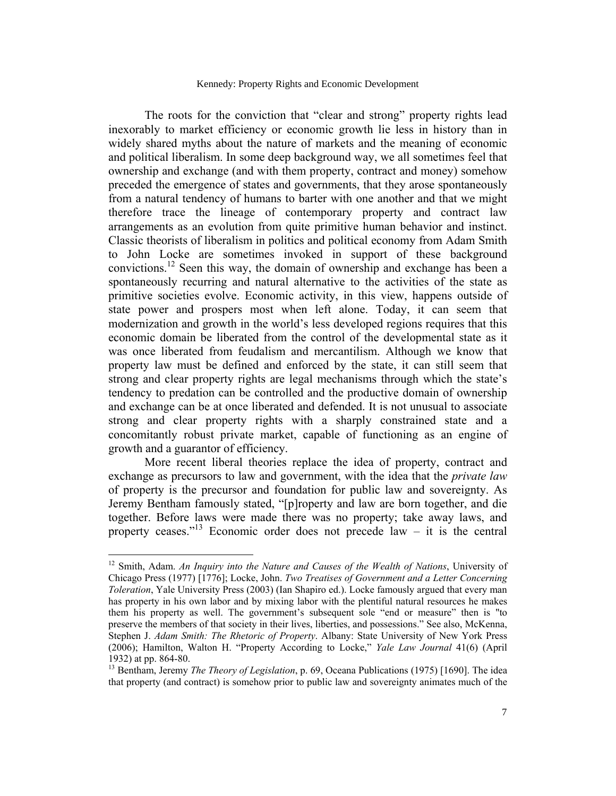The roots for the conviction that "clear and strong" property rights lead inexorably to market efficiency or economic growth lie less in history than in widely shared myths about the nature of markets and the meaning of economic and political liberalism. In some deep background way, we all sometimes feel that ownership and exchange (and with them property, contract and money) somehow preceded the emergence of states and governments, that they arose spontaneously from a natural tendency of humans to barter with one another and that we might therefore trace the lineage of contemporary property and contract law arrangements as an evolution from quite primitive human behavior and instinct. Classic theorists of liberalism in politics and political economy from Adam Smith to John Locke are sometimes invoked in support of these background convictions.<sup>12</sup> Seen this way, the domain of ownership and exchange has been a spontaneously recurring and natural alternative to the activities of the state as primitive societies evolve. Economic activity, in this view, happens outside of state power and prospers most when left alone. Today, it can seem that modernization and growth in the world's less developed regions requires that this economic domain be liberated from the control of the developmental state as it was once liberated from feudalism and mercantilism. Although we know that property law must be defined and enforced by the state, it can still seem that strong and clear property rights are legal mechanisms through which the state's tendency to predation can be controlled and the productive domain of ownership and exchange can be at once liberated and defended. It is not unusual to associate strong and clear property rights with a sharply constrained state and a concomitantly robust private market, capable of functioning as an engine of growth and a guarantor of efficiency.

More recent liberal theories replace the idea of property, contract and exchange as precursors to law and government, with the idea that the *private law* of property is the precursor and foundation for public law and sovereignty. As Jeremy Bentham famously stated, "[p]roperty and law are born together, and die together. Before laws were made there was no property; take away laws, and property ceases."<sup>13</sup> Economic order does not precede law – it is the central

<sup>12</sup> Smith, Adam. *An Inquiry into the Nature and Causes of the Wealth of Nations*, University of Chicago Press (1977) [1776]; Locke, John. *Two Treatises of Government and a Letter Concerning Toleration*, Yale University Press (2003) (Ian Shapiro ed.). Locke famously argued that every man has property in his own labor and by mixing labor with the plentiful natural resources he makes them his property as well. The government's subsequent sole "end or measure" then is "to preserve the members of that society in their lives, liberties, and possessions." See also, McKenna, Stephen J. *Adam Smith: The Rhetoric of Property*. Albany: State University of New York Press (2006); Hamilton, Walton H. "Property According to Locke," *Yale Law Journal* 41(6) (April 1932) at pp. 864-80.

<sup>13</sup> Bentham, Jeremy *The Theory of Legislation*, p. 69, Oceana Publications (1975) [1690]. The idea that property (and contract) is somehow prior to public law and sovereignty animates much of the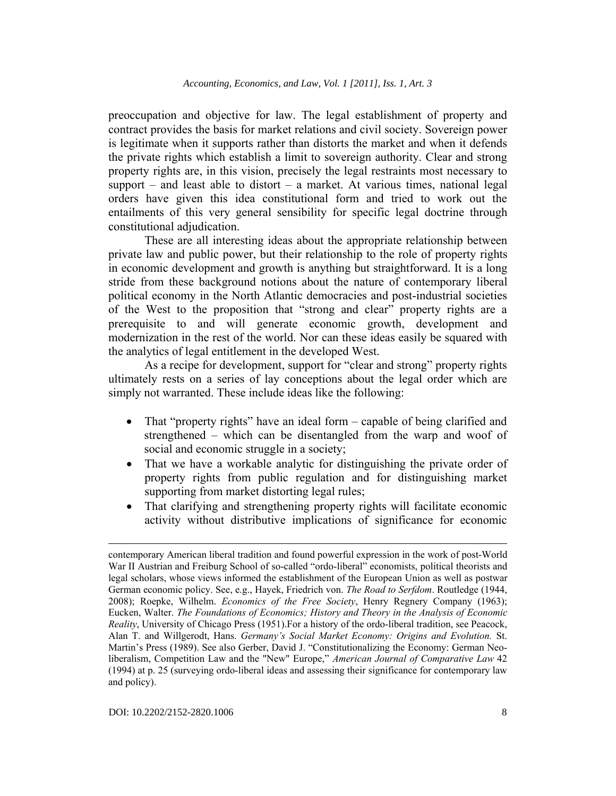preoccupation and objective for law. The legal establishment of property and contract provides the basis for market relations and civil society. Sovereign power is legitimate when it supports rather than distorts the market and when it defends the private rights which establish a limit to sovereign authority. Clear and strong property rights are, in this vision, precisely the legal restraints most necessary to support – and least able to distort – a market. At various times, national legal orders have given this idea constitutional form and tried to work out the entailments of this very general sensibility for specific legal doctrine through constitutional adjudication.

These are all interesting ideas about the appropriate relationship between private law and public power, but their relationship to the role of property rights in economic development and growth is anything but straightforward. It is a long stride from these background notions about the nature of contemporary liberal political economy in the North Atlantic democracies and post-industrial societies of the West to the proposition that "strong and clear" property rights are a prerequisite to and will generate economic growth, development and modernization in the rest of the world. Nor can these ideas easily be squared with the analytics of legal entitlement in the developed West.

As a recipe for development, support for "clear and strong" property rights ultimately rests on a series of lay conceptions about the legal order which are simply not warranted. These include ideas like the following:

- That "property rights" have an ideal form capable of being clarified and strengthened – which can be disentangled from the warp and woof of social and economic struggle in a society;
- That we have a workable analytic for distinguishing the private order of property rights from public regulation and for distinguishing market supporting from market distorting legal rules;
- That clarifying and strengthening property rights will facilitate economic activity without distributive implications of significance for economic

 $\overline{a}$ contemporary American liberal tradition and found powerful expression in the work of post-World War II Austrian and Freiburg School of so-called "ordo-liberal" economists, political theorists and legal scholars, whose views informed the establishment of the European Union as well as postwar German economic policy. See, e.g., Hayek, Friedrich von. *The Road to Serfdom*. Routledge (1944, 2008); Roepke, Wilhelm. *Economics of the Free Society*, Henry Regnery Company (1963); Eucken, Walter. *The Foundations of Economics; History and Theory in the Analysis of Economic Reality*, University of Chicago Press (1951).For a history of the ordo-liberal tradition, see Peacock, Alan T. and Willgerodt, Hans. *Germany's Social Market Economy: Origins and Evolution.* St. Martin's Press (1989). See also Gerber, David J. "Constitutionalizing the Economy: German Neoliberalism, Competition Law and the "New" Europe," *American Journal of Comparative Law* 42 (1994) at p. 25 (surveying ordo-liberal ideas and assessing their significance for contemporary law and policy).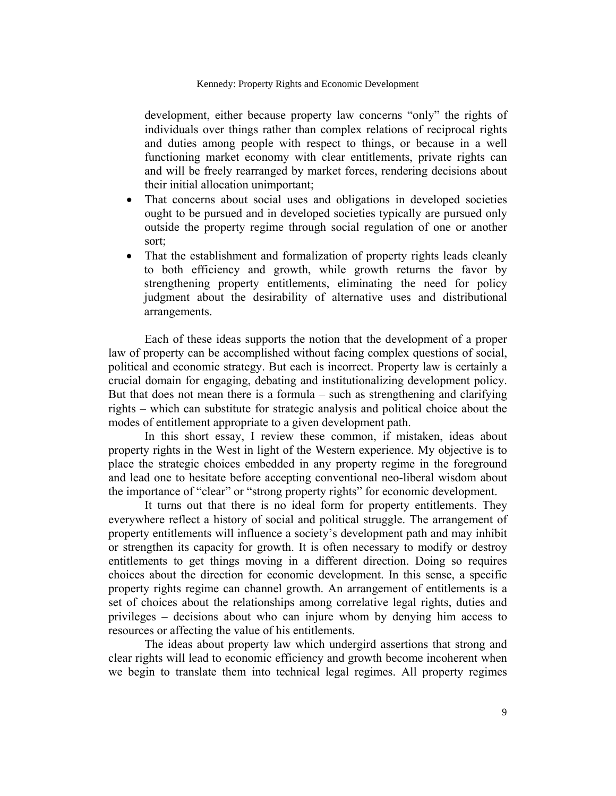development, either because property law concerns "only" the rights of individuals over things rather than complex relations of reciprocal rights and duties among people with respect to things, or because in a well functioning market economy with clear entitlements, private rights can and will be freely rearranged by market forces, rendering decisions about their initial allocation unimportant;

- That concerns about social uses and obligations in developed societies ought to be pursued and in developed societies typically are pursued only outside the property regime through social regulation of one or another sort;
- That the establishment and formalization of property rights leads cleanly to both efficiency and growth, while growth returns the favor by strengthening property entitlements, eliminating the need for policy judgment about the desirability of alternative uses and distributional arrangements.

Each of these ideas supports the notion that the development of a proper law of property can be accomplished without facing complex questions of social, political and economic strategy. But each is incorrect. Property law is certainly a crucial domain for engaging, debating and institutionalizing development policy. But that does not mean there is a formula – such as strengthening and clarifying rights – which can substitute for strategic analysis and political choice about the modes of entitlement appropriate to a given development path.

In this short essay, I review these common, if mistaken, ideas about property rights in the West in light of the Western experience. My objective is to place the strategic choices embedded in any property regime in the foreground and lead one to hesitate before accepting conventional neo-liberal wisdom about the importance of "clear" or "strong property rights" for economic development.

It turns out that there is no ideal form for property entitlements. They everywhere reflect a history of social and political struggle. The arrangement of property entitlements will influence a society's development path and may inhibit or strengthen its capacity for growth. It is often necessary to modify or destroy entitlements to get things moving in a different direction. Doing so requires choices about the direction for economic development. In this sense, a specific property rights regime can channel growth. An arrangement of entitlements is a set of choices about the relationships among correlative legal rights, duties and privileges – decisions about who can injure whom by denying him access to resources or affecting the value of his entitlements.

The ideas about property law which undergird assertions that strong and clear rights will lead to economic efficiency and growth become incoherent when we begin to translate them into technical legal regimes. All property regimes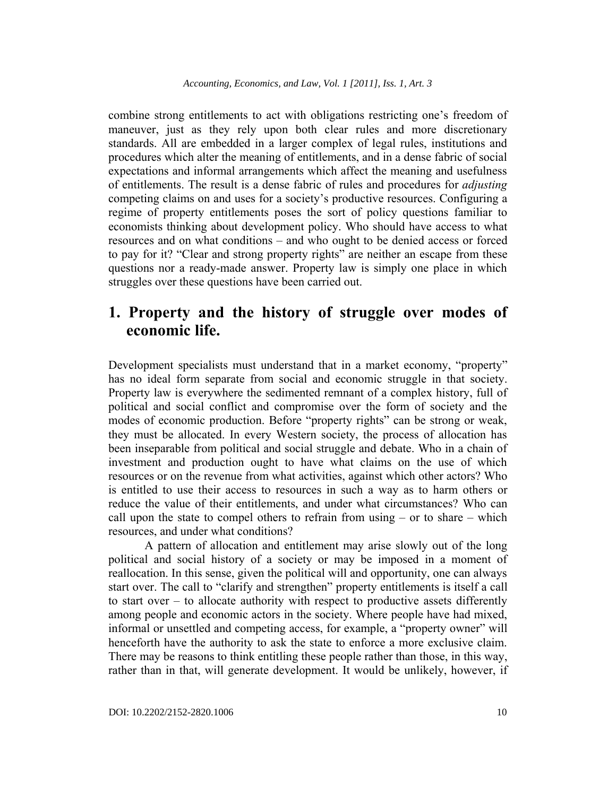combine strong entitlements to act with obligations restricting one's freedom of maneuver, just as they rely upon both clear rules and more discretionary standards. All are embedded in a larger complex of legal rules, institutions and procedures which alter the meaning of entitlements, and in a dense fabric of social expectations and informal arrangements which affect the meaning and usefulness of entitlements. The result is a dense fabric of rules and procedures for *adjusting*  competing claims on and uses for a society's productive resources. Configuring a regime of property entitlements poses the sort of policy questions familiar to economists thinking about development policy. Who should have access to what resources and on what conditions – and who ought to be denied access or forced to pay for it? "Clear and strong property rights" are neither an escape from these questions nor a ready-made answer. Property law is simply one place in which struggles over these questions have been carried out.

### **1. Property and the history of struggle over modes of economic life.**

Development specialists must understand that in a market economy, "property" has no ideal form separate from social and economic struggle in that society. Property law is everywhere the sedimented remnant of a complex history, full of political and social conflict and compromise over the form of society and the modes of economic production. Before "property rights" can be strong or weak, they must be allocated. In every Western society, the process of allocation has been inseparable from political and social struggle and debate. Who in a chain of investment and production ought to have what claims on the use of which resources or on the revenue from what activities, against which other actors? Who is entitled to use their access to resources in such a way as to harm others or reduce the value of their entitlements, and under what circumstances? Who can call upon the state to compel others to refrain from using – or to share – which resources, and under what conditions?

A pattern of allocation and entitlement may arise slowly out of the long political and social history of a society or may be imposed in a moment of reallocation. In this sense, given the political will and opportunity, one can always start over. The call to "clarify and strengthen" property entitlements is itself a call to start over – to allocate authority with respect to productive assets differently among people and economic actors in the society. Where people have had mixed, informal or unsettled and competing access, for example, a "property owner" will henceforth have the authority to ask the state to enforce a more exclusive claim. There may be reasons to think entitling these people rather than those, in this way, rather than in that, will generate development. It would be unlikely, however, if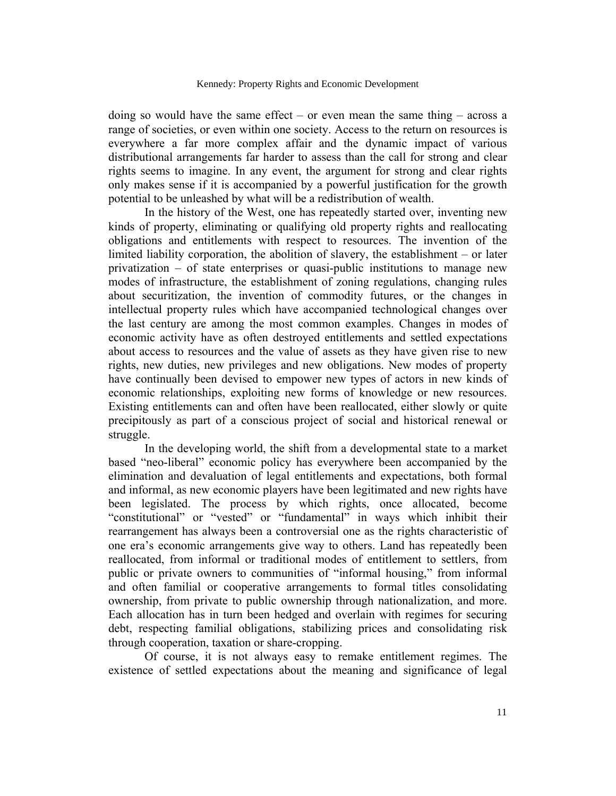doing so would have the same effect – or even mean the same thing – across a range of societies, or even within one society. Access to the return on resources is everywhere a far more complex affair and the dynamic impact of various distributional arrangements far harder to assess than the call for strong and clear rights seems to imagine. In any event, the argument for strong and clear rights only makes sense if it is accompanied by a powerful justification for the growth potential to be unleashed by what will be a redistribution of wealth.

In the history of the West, one has repeatedly started over, inventing new kinds of property, eliminating or qualifying old property rights and reallocating obligations and entitlements with respect to resources. The invention of the limited liability corporation, the abolition of slavery, the establishment – or later privatization – of state enterprises or quasi-public institutions to manage new modes of infrastructure, the establishment of zoning regulations, changing rules about securitization, the invention of commodity futures, or the changes in intellectual property rules which have accompanied technological changes over the last century are among the most common examples. Changes in modes of economic activity have as often destroyed entitlements and settled expectations about access to resources and the value of assets as they have given rise to new rights, new duties, new privileges and new obligations. New modes of property have continually been devised to empower new types of actors in new kinds of economic relationships, exploiting new forms of knowledge or new resources. Existing entitlements can and often have been reallocated, either slowly or quite precipitously as part of a conscious project of social and historical renewal or struggle.

In the developing world, the shift from a developmental state to a market based "neo-liberal" economic policy has everywhere been accompanied by the elimination and devaluation of legal entitlements and expectations, both formal and informal, as new economic players have been legitimated and new rights have been legislated. The process by which rights, once allocated, become "constitutional" or "vested" or "fundamental" in ways which inhibit their rearrangement has always been a controversial one as the rights characteristic of one era's economic arrangements give way to others. Land has repeatedly been reallocated, from informal or traditional modes of entitlement to settlers, from public or private owners to communities of "informal housing," from informal and often familial or cooperative arrangements to formal titles consolidating ownership, from private to public ownership through nationalization, and more. Each allocation has in turn been hedged and overlain with regimes for securing debt, respecting familial obligations, stabilizing prices and consolidating risk through cooperation, taxation or share-cropping.

Of course, it is not always easy to remake entitlement regimes. The existence of settled expectations about the meaning and significance of legal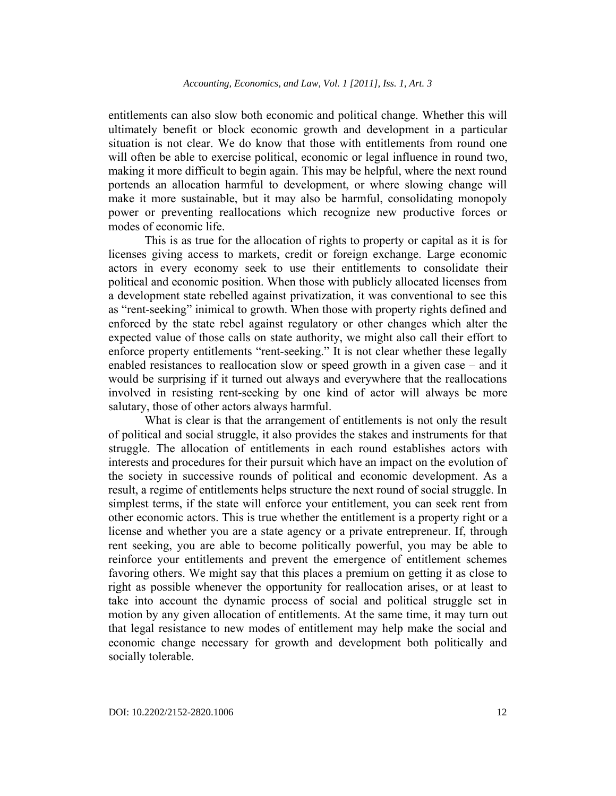entitlements can also slow both economic and political change. Whether this will ultimately benefit or block economic growth and development in a particular situation is not clear. We do know that those with entitlements from round one will often be able to exercise political, economic or legal influence in round two, making it more difficult to begin again. This may be helpful, where the next round portends an allocation harmful to development, or where slowing change will make it more sustainable, but it may also be harmful, consolidating monopoly power or preventing reallocations which recognize new productive forces or modes of economic life.

This is as true for the allocation of rights to property or capital as it is for licenses giving access to markets, credit or foreign exchange. Large economic actors in every economy seek to use their entitlements to consolidate their political and economic position. When those with publicly allocated licenses from a development state rebelled against privatization, it was conventional to see this as "rent-seeking" inimical to growth. When those with property rights defined and enforced by the state rebel against regulatory or other changes which alter the expected value of those calls on state authority, we might also call their effort to enforce property entitlements "rent-seeking." It is not clear whether these legally enabled resistances to reallocation slow or speed growth in a given case – and it would be surprising if it turned out always and everywhere that the reallocations involved in resisting rent-seeking by one kind of actor will always be more salutary, those of other actors always harmful.

What is clear is that the arrangement of entitlements is not only the result of political and social struggle, it also provides the stakes and instruments for that struggle. The allocation of entitlements in each round establishes actors with interests and procedures for their pursuit which have an impact on the evolution of the society in successive rounds of political and economic development. As a result, a regime of entitlements helps structure the next round of social struggle. In simplest terms, if the state will enforce your entitlement, you can seek rent from other economic actors. This is true whether the entitlement is a property right or a license and whether you are a state agency or a private entrepreneur. If, through rent seeking, you are able to become politically powerful, you may be able to reinforce your entitlements and prevent the emergence of entitlement schemes favoring others. We might say that this places a premium on getting it as close to right as possible whenever the opportunity for reallocation arises, or at least to take into account the dynamic process of social and political struggle set in motion by any given allocation of entitlements. At the same time, it may turn out that legal resistance to new modes of entitlement may help make the social and economic change necessary for growth and development both politically and socially tolerable.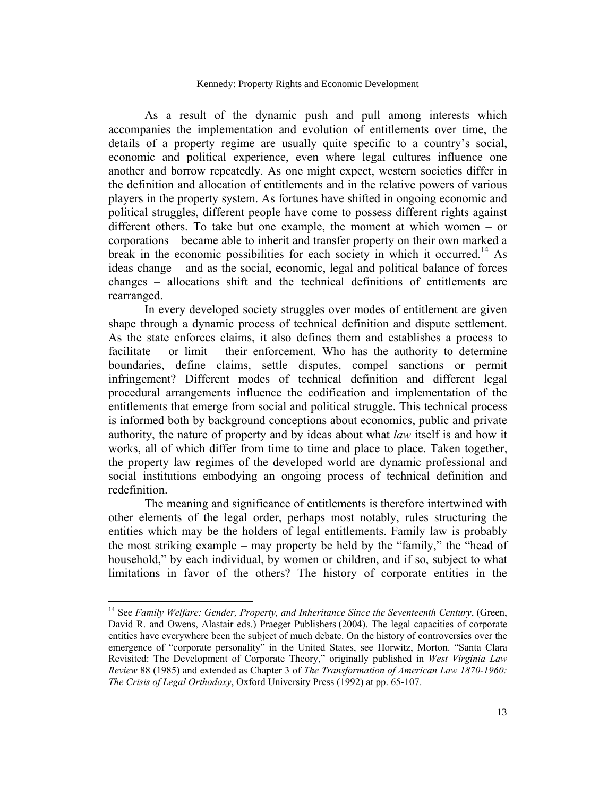As a result of the dynamic push and pull among interests which accompanies the implementation and evolution of entitlements over time, the details of a property regime are usually quite specific to a country's social, economic and political experience, even where legal cultures influence one another and borrow repeatedly. As one might expect, western societies differ in the definition and allocation of entitlements and in the relative powers of various players in the property system. As fortunes have shifted in ongoing economic and political struggles, different people have come to possess different rights against different others. To take but one example, the moment at which women – or corporations – became able to inherit and transfer property on their own marked a break in the economic possibilities for each society in which it occurred.<sup>14</sup> As ideas change – and as the social, economic, legal and political balance of forces changes – allocations shift and the technical definitions of entitlements are rearranged.

In every developed society struggles over modes of entitlement are given shape through a dynamic process of technical definition and dispute settlement. As the state enforces claims, it also defines them and establishes a process to facilitate – or limit – their enforcement. Who has the authority to determine boundaries, define claims, settle disputes, compel sanctions or permit infringement? Different modes of technical definition and different legal procedural arrangements influence the codification and implementation of the entitlements that emerge from social and political struggle. This technical process is informed both by background conceptions about economics, public and private authority, the nature of property and by ideas about what *law* itself is and how it works, all of which differ from time to time and place to place. Taken together, the property law regimes of the developed world are dynamic professional and social institutions embodying an ongoing process of technical definition and redefinition.

The meaning and significance of entitlements is therefore intertwined with other elements of the legal order, perhaps most notably, rules structuring the entities which may be the holders of legal entitlements. Family law is probably the most striking example – may property be held by the "family," the "head of household," by each individual, by women or children, and if so, subject to what limitations in favor of the others? The history of corporate entities in the

<sup>14</sup> See *Family Welfare: Gender, Property, and Inheritance Since the Seventeenth Century*, (Green, David R. and Owens, Alastair eds.) Praeger Publishers (2004). The legal capacities of corporate entities have everywhere been the subject of much debate. On the history of controversies over the emergence of "corporate personality" in the United States, see Horwitz, Morton. "Santa Clara Revisited: The Development of Corporate Theory," originally published in *West Virginia Law Review* 88 (1985) and extended as Chapter 3 of *The Transformation of American Law 1870-1960: The Crisis of Legal Orthodoxy*, Oxford University Press (1992) at pp. 65-107.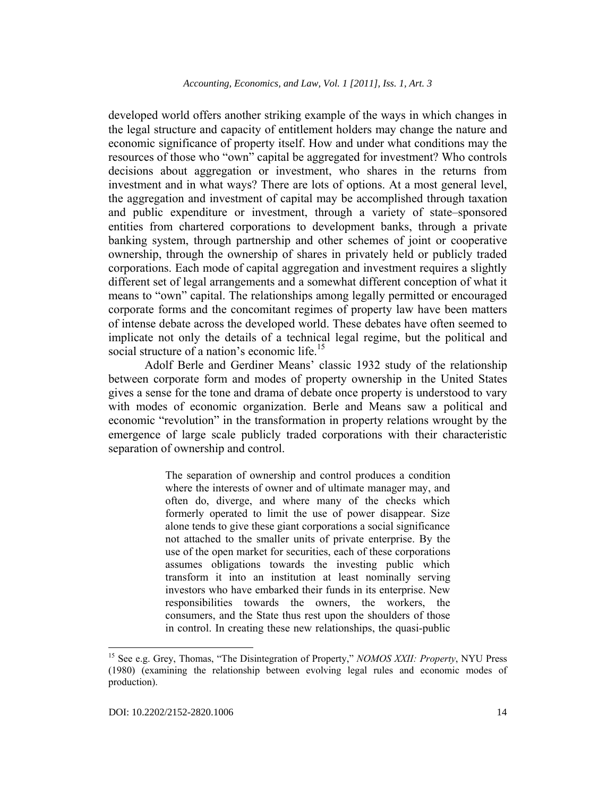developed world offers another striking example of the ways in which changes in the legal structure and capacity of entitlement holders may change the nature and economic significance of property itself. How and under what conditions may the resources of those who "own" capital be aggregated for investment? Who controls decisions about aggregation or investment, who shares in the returns from investment and in what ways? There are lots of options. At a most general level, the aggregation and investment of capital may be accomplished through taxation and public expenditure or investment, through a variety of state–sponsored entities from chartered corporations to development banks, through a private banking system, through partnership and other schemes of joint or cooperative ownership, through the ownership of shares in privately held or publicly traded corporations. Each mode of capital aggregation and investment requires a slightly different set of legal arrangements and a somewhat different conception of what it means to "own" capital. The relationships among legally permitted or encouraged corporate forms and the concomitant regimes of property law have been matters of intense debate across the developed world. These debates have often seemed to implicate not only the details of a technical legal regime, but the political and social structure of a nation's economic life.<sup>15</sup>

Adolf Berle and Gerdiner Means' classic 1932 study of the relationship between corporate form and modes of property ownership in the United States gives a sense for the tone and drama of debate once property is understood to vary with modes of economic organization. Berle and Means saw a political and economic "revolution" in the transformation in property relations wrought by the emergence of large scale publicly traded corporations with their characteristic separation of ownership and control.

> The separation of ownership and control produces a condition where the interests of owner and of ultimate manager may, and often do, diverge, and where many of the checks which formerly operated to limit the use of power disappear. Size alone tends to give these giant corporations a social significance not attached to the smaller units of private enterprise. By the use of the open market for securities, each of these corporations assumes obligations towards the investing public which transform it into an institution at least nominally serving investors who have embarked their funds in its enterprise. New responsibilities towards the owners, the workers, the consumers, and the State thus rest upon the shoulders of those in control. In creating these new relationships, the quasi-public

<sup>&</sup>lt;sup>15</sup> See e.g. Grey, Thomas, "The Disintegration of Property," *NOMOS XXII: Property*, NYU Press (1980) (examining the relationship between evolving legal rules and economic modes of production).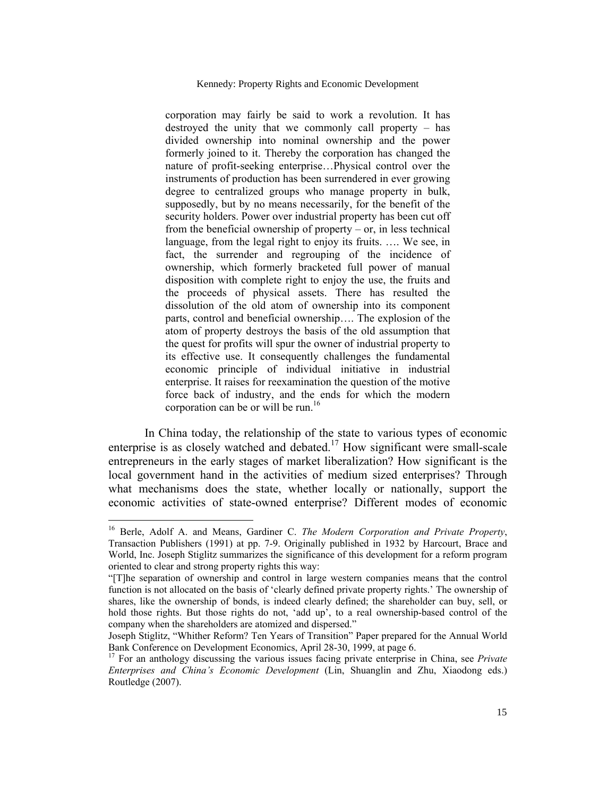Kennedy: Property Rights and Economic Development

corporation may fairly be said to work a revolution. It has destroyed the unity that we commonly call property – has divided ownership into nominal ownership and the power formerly joined to it. Thereby the corporation has changed the nature of profit-seeking enterprise…Physical control over the instruments of production has been surrendered in ever growing degree to centralized groups who manage property in bulk, supposedly, but by no means necessarily, for the benefit of the security holders. Power over industrial property has been cut off from the beneficial ownership of property  $-$  or, in less technical language, from the legal right to enjoy its fruits. …. We see, in fact, the surrender and regrouping of the incidence of ownership, which formerly bracketed full power of manual disposition with complete right to enjoy the use, the fruits and the proceeds of physical assets. There has resulted the dissolution of the old atom of ownership into its component parts, control and beneficial ownership…. The explosion of the atom of property destroys the basis of the old assumption that the quest for profits will spur the owner of industrial property to its effective use. It consequently challenges the fundamental economic principle of individual initiative in industrial enterprise. It raises for reexamination the question of the motive force back of industry, and the ends for which the modern corporation can be or will be run.<sup>16</sup>

In China today, the relationship of the state to various types of economic enterprise is as closely watched and debated.<sup>17</sup> How significant were small-scale entrepreneurs in the early stages of market liberalization? How significant is the local government hand in the activities of medium sized enterprises? Through what mechanisms does the state, whether locally or nationally, support the economic activities of state-owned enterprise? Different modes of economic

<sup>16</sup> Berle, Adolf A. and Means, Gardiner C. *The Modern Corporation and Private Property*, Transaction Publishers (1991) at pp. 7-9. Originally published in 1932 by Harcourt, Brace and World, Inc. Joseph Stiglitz summarizes the significance of this development for a reform program oriented to clear and strong property rights this way:

<sup>&</sup>quot;[T]he separation of ownership and control in large western companies means that the control function is not allocated on the basis of 'clearly defined private property rights.' The ownership of shares, like the ownership of bonds, is indeed clearly defined; the shareholder can buy, sell, or hold those rights. But those rights do not, 'add up', to a real ownership-based control of the company when the shareholders are atomized and dispersed."

Joseph Stiglitz, "Whither Reform? Ten Years of Transition" Paper prepared for the Annual World Bank Conference on Development Economics, April 28-30, 1999, at page 6.

<sup>17</sup> For an anthology discussing the various issues facing private enterprise in China, see *Private Enterprises and China's Economic Development* (Lin, Shuanglin and Zhu, Xiaodong eds.) Routledge (2007).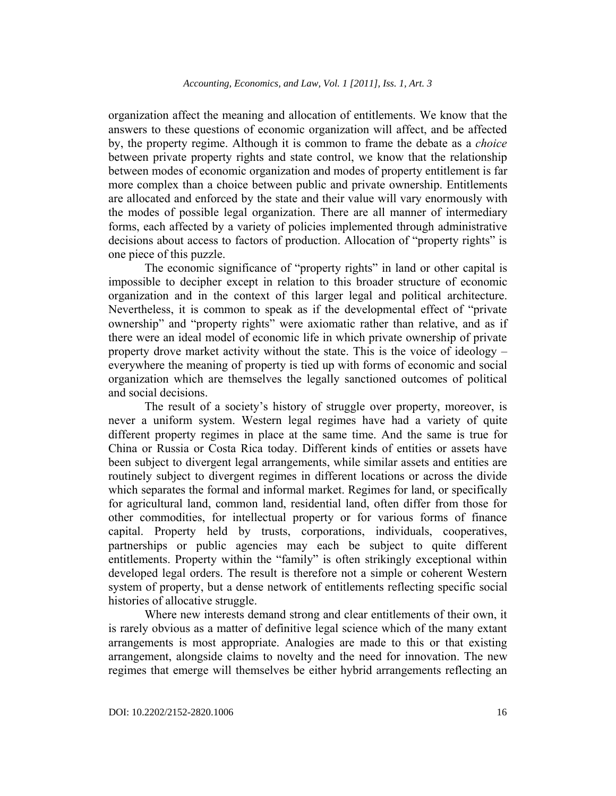organization affect the meaning and allocation of entitlements. We know that the answers to these questions of economic organization will affect, and be affected by, the property regime. Although it is common to frame the debate as a *choice*  between private property rights and state control, we know that the relationship between modes of economic organization and modes of property entitlement is far more complex than a choice between public and private ownership. Entitlements are allocated and enforced by the state and their value will vary enormously with the modes of possible legal organization. There are all manner of intermediary forms, each affected by a variety of policies implemented through administrative decisions about access to factors of production. Allocation of "property rights" is one piece of this puzzle.

The economic significance of "property rights" in land or other capital is impossible to decipher except in relation to this broader structure of economic organization and in the context of this larger legal and political architecture. Nevertheless, it is common to speak as if the developmental effect of "private ownership" and "property rights" were axiomatic rather than relative, and as if there were an ideal model of economic life in which private ownership of private property drove market activity without the state. This is the voice of ideology – everywhere the meaning of property is tied up with forms of economic and social organization which are themselves the legally sanctioned outcomes of political and social decisions.

The result of a society's history of struggle over property, moreover, is never a uniform system. Western legal regimes have had a variety of quite different property regimes in place at the same time. And the same is true for China or Russia or Costa Rica today. Different kinds of entities or assets have been subject to divergent legal arrangements, while similar assets and entities are routinely subject to divergent regimes in different locations or across the divide which separates the formal and informal market. Regimes for land, or specifically for agricultural land, common land, residential land, often differ from those for other commodities, for intellectual property or for various forms of finance capital. Property held by trusts, corporations, individuals, cooperatives, partnerships or public agencies may each be subject to quite different entitlements. Property within the "family" is often strikingly exceptional within developed legal orders. The result is therefore not a simple or coherent Western system of property, but a dense network of entitlements reflecting specific social histories of allocative struggle.

Where new interests demand strong and clear entitlements of their own, it is rarely obvious as a matter of definitive legal science which of the many extant arrangements is most appropriate. Analogies are made to this or that existing arrangement, alongside claims to novelty and the need for innovation. The new regimes that emerge will themselves be either hybrid arrangements reflecting an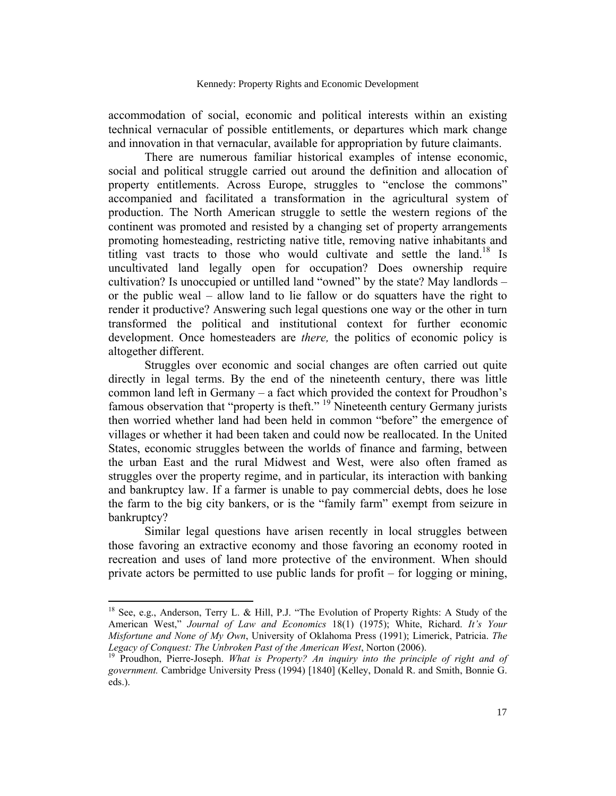accommodation of social, economic and political interests within an existing technical vernacular of possible entitlements, or departures which mark change and innovation in that vernacular, available for appropriation by future claimants.

There are numerous familiar historical examples of intense economic, social and political struggle carried out around the definition and allocation of property entitlements. Across Europe, struggles to "enclose the commons" accompanied and facilitated a transformation in the agricultural system of production. The North American struggle to settle the western regions of the continent was promoted and resisted by a changing set of property arrangements promoting homesteading, restricting native title, removing native inhabitants and titling vast tracts to those who would cultivate and settle the land.<sup>18</sup> Is uncultivated land legally open for occupation? Does ownership require cultivation? Is unoccupied or untilled land "owned" by the state? May landlords – or the public weal – allow land to lie fallow or do squatters have the right to render it productive? Answering such legal questions one way or the other in turn transformed the political and institutional context for further economic development. Once homesteaders are *there,* the politics of economic policy is altogether different.

Struggles over economic and social changes are often carried out quite directly in legal terms. By the end of the nineteenth century, there was little common land left in Germany – a fact which provided the context for Proudhon's famous observation that "property is theft."  $19^2$ Nineteenth century Germany jurists then worried whether land had been held in common "before" the emergence of villages or whether it had been taken and could now be reallocated. In the United States, economic struggles between the worlds of finance and farming, between the urban East and the rural Midwest and West, were also often framed as struggles over the property regime, and in particular, its interaction with banking and bankruptcy law. If a farmer is unable to pay commercial debts, does he lose the farm to the big city bankers, or is the "family farm" exempt from seizure in bankruptcy?

Similar legal questions have arisen recently in local struggles between those favoring an extractive economy and those favoring an economy rooted in recreation and uses of land more protective of the environment. When should private actors be permitted to use public lands for profit – for logging or mining,

<sup>&</sup>lt;sup>18</sup> See, e.g., Anderson, Terry L. & Hill, P.J. "The Evolution of Property Rights: A Study of the American West," *Journal of Law and Economics* 18(1) (1975); White, Richard. *It's Your Misfortune and None of My Own*, University of Oklahoma Press (1991); Limerick, Patricia. *The Legacy of Conquest: The Unbroken Past of the American West*, Norton (2006). 19 Proudhon, Pierre-Joseph. *What is Property? An inquiry into the principle of right and of* 

*government.* Cambridge University Press (1994) [1840] (Kelley, Donald R. and Smith, Bonnie G. eds.).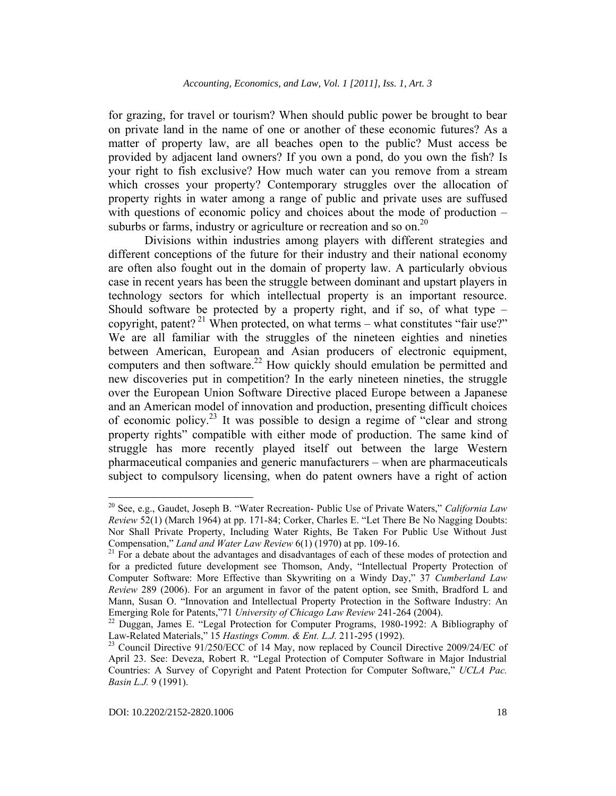for grazing, for travel or tourism? When should public power be brought to bear on private land in the name of one or another of these economic futures? As a matter of property law, are all beaches open to the public? Must access be provided by adjacent land owners? If you own a pond, do you own the fish? Is your right to fish exclusive? How much water can you remove from a stream which crosses your property? Contemporary struggles over the allocation of property rights in water among a range of public and private uses are suffused with questions of economic policy and choices about the mode of production – suburbs or farms, industry or agriculture or recreation and so on.<sup>20</sup>

Divisions within industries among players with different strategies and different conceptions of the future for their industry and their national economy are often also fought out in the domain of property law. A particularly obvious case in recent years has been the struggle between dominant and upstart players in technology sectors for which intellectual property is an important resource. Should software be protected by a property right, and if so, of what type  $$ copyright, patent?<sup>21</sup> When protected, on what terms – what constitutes "fair use?" We are all familiar with the struggles of the nineteen eighties and nineties between American, European and Asian producers of electronic equipment, computers and then software.<sup>22</sup> How quickly should emulation be permitted and new discoveries put in competition? In the early nineteen nineties, the struggle over the European Union Software Directive placed Europe between a Japanese and an American model of innovation and production, presenting difficult choices of economic policy.<sup>23</sup> It was possible to design a regime of "clear and strong" property rights" compatible with either mode of production. The same kind of struggle has more recently played itself out between the large Western pharmaceutical companies and generic manufacturers – when are pharmaceuticals subject to compulsory licensing, when do patent owners have a right of action

<sup>20</sup> See, e.g., Gaudet, Joseph B. "Water Recreation- Public Use of Private Waters," *California Law Review* 52(1) (March 1964) at pp. 171-84; Corker, Charles E. "Let There Be No Nagging Doubts: Nor Shall Private Property, Including Water Rights, Be Taken For Public Use Without Just Compensation," *Land and Water Law Review* 6(1) (1970) at pp. 109-16.

 $21$  For a debate about the advantages and disadvantages of each of these modes of protection and for a predicted future development see Thomson, Andy, "Intellectual Property Protection of Computer Software: More Effective than Skywriting on a Windy Day," 37 *Cumberland Law Review* 289 (2006). For an argument in favor of the patent option, see Smith, Bradford L and Mann, Susan O. "Innovation and Intellectual Property Protection in the Software Industry: An Emerging Role for Patents,"71 *University of Chicago Law Review* 241-264 (2004). 22

<sup>&</sup>lt;sup>22</sup> Duggan, James E. "Legal Protection for Computer Programs, 1980-1992: A Bibliography of Law-Related Materials," 15 *Hastings Comm. & Ent. L.J.* 211-295 (1992).

 $^{23}$  Council Directive 91/250/ECC of 14 May, now replaced by Council Directive 2009/24/EC of April 23. See: Deveza, Robert R. "Legal Protection of Computer Software in Major Industrial Countries: A Survey of Copyright and Patent Protection for Computer Software," *UCLA Pac. Basin L.J.* 9 (1991).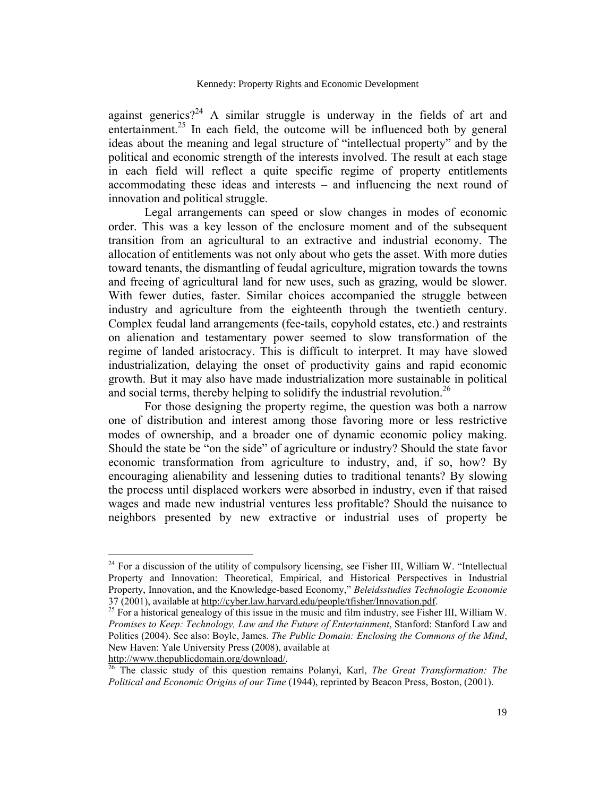against generics?<sup>24</sup> A similar struggle is underway in the fields of art and entertainment.<sup>25</sup> In each field, the outcome will be influenced both by general ideas about the meaning and legal structure of "intellectual property" and by the political and economic strength of the interests involved. The result at each stage in each field will reflect a quite specific regime of property entitlements accommodating these ideas and interests – and influencing the next round of innovation and political struggle.

Legal arrangements can speed or slow changes in modes of economic order. This was a key lesson of the enclosure moment and of the subsequent transition from an agricultural to an extractive and industrial economy. The allocation of entitlements was not only about who gets the asset. With more duties toward tenants, the dismantling of feudal agriculture, migration towards the towns and freeing of agricultural land for new uses, such as grazing, would be slower. With fewer duties, faster. Similar choices accompanied the struggle between industry and agriculture from the eighteenth through the twentieth century. Complex feudal land arrangements (fee-tails, copyhold estates, etc.) and restraints on alienation and testamentary power seemed to slow transformation of the regime of landed aristocracy. This is difficult to interpret. It may have slowed industrialization, delaying the onset of productivity gains and rapid economic growth. But it may also have made industrialization more sustainable in political and social terms, thereby helping to solidify the industrial revolution.<sup>26</sup>

For those designing the property regime, the question was both a narrow one of distribution and interest among those favoring more or less restrictive modes of ownership, and a broader one of dynamic economic policy making. Should the state be "on the side" of agriculture or industry? Should the state favor economic transformation from agriculture to industry, and, if so, how? By encouraging alienability and lessening duties to traditional tenants? By slowing the process until displaced workers were absorbed in industry, even if that raised wages and made new industrial ventures less profitable? Should the nuisance to neighbors presented by new extractive or industrial uses of property be

 $24$  For a discussion of the utility of compulsory licensing, see Fisher III, William W. "Intellectual Property and Innovation: Theoretical, Empirical, and Historical Perspectives in Industrial Property, Innovation, and the Knowledge-based Economy," *Beleidsstudies Technologie Economie* 37 (2001), available at  $\frac{http://cyber.law.harvard.edu/people/tfisher/Innovation.pdf}{25}$  For a historical genealogy of this issue in the music and film industry, see Fisher III, William W.

*Promises to Keep: Technology, Law and the Future of Entertainment*, Stanford: Stanford Law and Politics (2004). See also: Boyle, James. *The Public Domain: Enclosing the Commons of the Mind*, New Haven: Yale University Press (2008), available at

http://www.thepublicdomain.org/download/. 26 The classic study of this question remains Polanyi, Karl, *The Great Transformation: The Political and Economic Origins of our Time* (1944), reprinted by Beacon Press, Boston, (2001).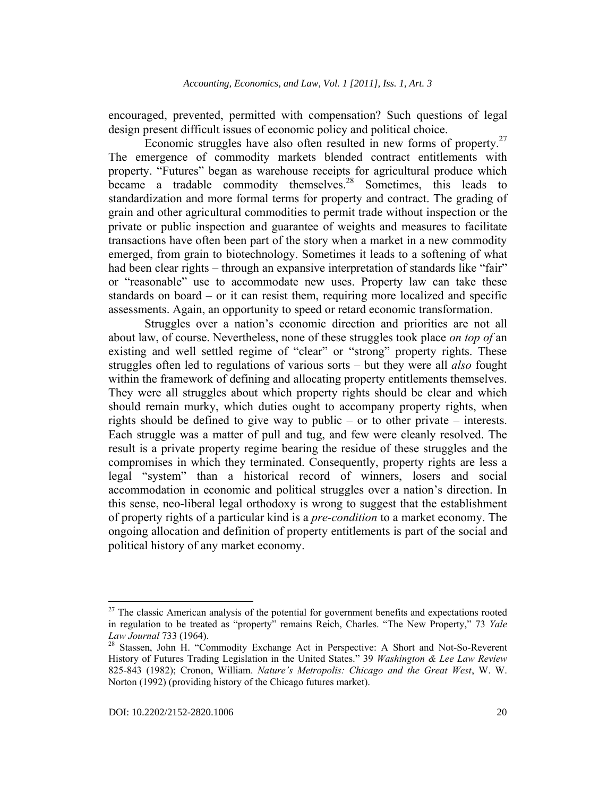encouraged, prevented, permitted with compensation? Such questions of legal design present difficult issues of economic policy and political choice.

Economic struggles have also often resulted in new forms of property.<sup>27</sup> The emergence of commodity markets blended contract entitlements with property. "Futures" began as warehouse receipts for agricultural produce which became a tradable commodity themselves.<sup>28</sup> Sometimes, this leads to standardization and more formal terms for property and contract. The grading of grain and other agricultural commodities to permit trade without inspection or the private or public inspection and guarantee of weights and measures to facilitate transactions have often been part of the story when a market in a new commodity emerged, from grain to biotechnology. Sometimes it leads to a softening of what had been clear rights – through an expansive interpretation of standards like "fair" or "reasonable" use to accommodate new uses. Property law can take these standards on board – or it can resist them, requiring more localized and specific assessments. Again, an opportunity to speed or retard economic transformation.

Struggles over a nation's economic direction and priorities are not all about law, of course. Nevertheless, none of these struggles took place *on top of* an existing and well settled regime of "clear" or "strong" property rights. These struggles often led to regulations of various sorts – but they were all *also* fought within the framework of defining and allocating property entitlements themselves. They were all struggles about which property rights should be clear and which should remain murky, which duties ought to accompany property rights, when rights should be defined to give way to public – or to other private – interests. Each struggle was a matter of pull and tug, and few were cleanly resolved. The result is a private property regime bearing the residue of these struggles and the compromises in which they terminated. Consequently, property rights are less a legal "system" than a historical record of winners, losers and social accommodation in economic and political struggles over a nation's direction. In this sense, neo-liberal legal orthodoxy is wrong to suggest that the establishment of property rights of a particular kind is a *pre-condition* to a market economy. The ongoing allocation and definition of property entitlements is part of the social and political history of any market economy.

 $27$  The classic American analysis of the potential for government benefits and expectations rooted in regulation to be treated as "property" remains Reich, Charles. "The New Property," 73 *Yale Law Journal* 733 (1964).

<sup>&</sup>lt;sup>28</sup> Stassen, John H. "Commodity Exchange Act in Perspective: A Short and Not-So-Reverent History of Futures Trading Legislation in the United States." 39 *Washington & Lee Law Review* 825-843 (1982); Cronon, William. *Nature's Metropolis: Chicago and the Great West*, W. W. Norton (1992) (providing history of the Chicago futures market).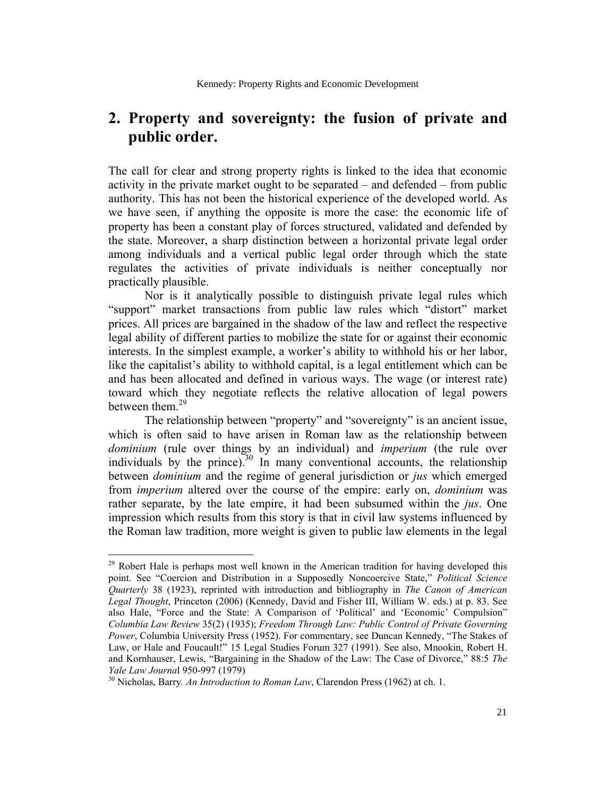### **2. Property and sovereignty: the fusion of private and public order.**

The call for clear and strong property rights is linked to the idea that economic activity in the private market ought to be separated – and defended – from public authority. This has not been the historical experience of the developed world. As we have seen, if anything the opposite is more the case: the economic life of property has been a constant play of forces structured, validated and defended by the state. Moreover, a sharp distinction between a horizontal private legal order among individuals and a vertical public legal order through which the state regulates the activities of private individuals is neither conceptually nor practically plausible.

Nor is it analytically possible to distinguish private legal rules which "support" market transactions from public law rules which "distort" market prices. All prices are bargained in the shadow of the law and reflect the respective legal ability of different parties to mobilize the state for or against their economic interests. In the simplest example, a worker's ability to withhold his or her labor, like the capitalist's ability to withhold capital, is a legal entitlement which can be and has been allocated and defined in various ways. The wage (or interest rate) toward which they negotiate reflects the relative allocation of legal powers between them.<sup>29</sup>

The relationship between "property" and "sovereignty" is an ancient issue, which is often said to have arisen in Roman law as the relationship between *dominium* (rule over things by an individual) and *imperium* (the rule over individuals by the prince).<sup>30</sup> In many conventional accounts, the relationship between *dominium* and the regime of general jurisdiction or *jus* which emerged from *imperium* altered over the course of the empire: early on, *dominium* was rather separate, by the late empire, it had been subsumed within the *jus*. One impression which results from this story is that in civil law systems influenced by the Roman law tradition, more weight is given to public law elements in the legal

<sup>&</sup>lt;sup>29</sup> Robert Hale is perhaps most well known in the American tradition for having developed this point. See "Coercion and Distribution in a Supposedly Noncoercive State," *Political Science Quarterly* 38 (1923), reprinted with introduction and bibliography in *The Canon of American Legal Thought*, Princeton (2006) (Kennedy, David and Fisher III, William W. eds.) at p. 83. See also Hale, "Force and the State: A Comparison of 'Political' and 'Economic' Compulsion" *Columbia Law Review* 35(2) (1935); *Freedom Through Law: Public Control of Private Governing Power*, Columbia University Press (1952). For commentary, see Duncan Kennedy, "The Stakes of Law, or Hale and Foucault!" 15 Legal Studies Forum 327 (1991). See also, Mnookin, Robert H. and Kornhauser, Lewis, "Bargaining in the Shadow of the Law: The Case of Divorce," 88:5 *The Yale Law Journal* 950-997 (1979)<br><sup>30</sup> Nicholas, Barry. An Introduction to Roman Law, Clarendon Press (1962) at ch. 1.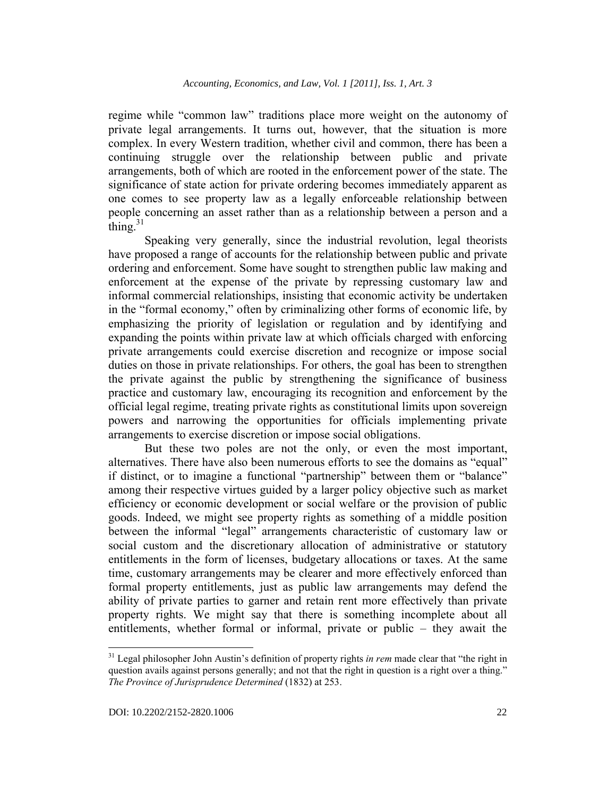regime while "common law" traditions place more weight on the autonomy of private legal arrangements. It turns out, however, that the situation is more complex. In every Western tradition, whether civil and common, there has been a continuing struggle over the relationship between public and private arrangements, both of which are rooted in the enforcement power of the state. The significance of state action for private ordering becomes immediately apparent as one comes to see property law as a legally enforceable relationship between people concerning an asset rather than as a relationship between a person and a thing.  $31$ 

Speaking very generally, since the industrial revolution, legal theorists have proposed a range of accounts for the relationship between public and private ordering and enforcement. Some have sought to strengthen public law making and enforcement at the expense of the private by repressing customary law and informal commercial relationships, insisting that economic activity be undertaken in the "formal economy," often by criminalizing other forms of economic life, by emphasizing the priority of legislation or regulation and by identifying and expanding the points within private law at which officials charged with enforcing private arrangements could exercise discretion and recognize or impose social duties on those in private relationships. For others, the goal has been to strengthen the private against the public by strengthening the significance of business practice and customary law, encouraging its recognition and enforcement by the official legal regime, treating private rights as constitutional limits upon sovereign powers and narrowing the opportunities for officials implementing private arrangements to exercise discretion or impose social obligations.

But these two poles are not the only, or even the most important, alternatives. There have also been numerous efforts to see the domains as "equal" if distinct, or to imagine a functional "partnership" between them or "balance" among their respective virtues guided by a larger policy objective such as market efficiency or economic development or social welfare or the provision of public goods. Indeed, we might see property rights as something of a middle position between the informal "legal" arrangements characteristic of customary law or social custom and the discretionary allocation of administrative or statutory entitlements in the form of licenses, budgetary allocations or taxes. At the same time, customary arrangements may be clearer and more effectively enforced than formal property entitlements, just as public law arrangements may defend the ability of private parties to garner and retain rent more effectively than private property rights. We might say that there is something incomplete about all entitlements, whether formal or informal, private or public – they await the

<sup>&</sup>lt;sup>31</sup> Legal philosopher John Austin's definition of property rights *in rem* made clear that "the right in question avails against persons generally; and not that the right in question is a right over a thing." *The Province of Jurisprudence Determined* (1832) at 253.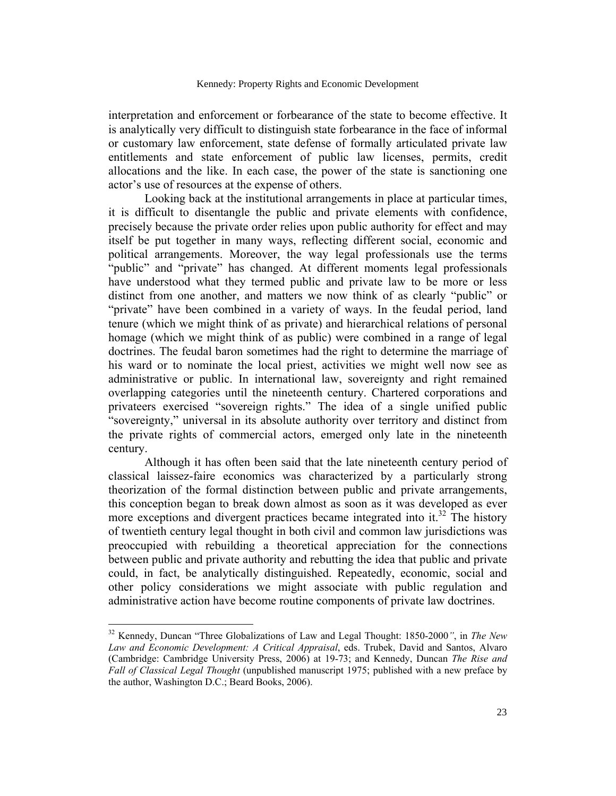interpretation and enforcement or forbearance of the state to become effective. It is analytically very difficult to distinguish state forbearance in the face of informal or customary law enforcement, state defense of formally articulated private law entitlements and state enforcement of public law licenses, permits, credit allocations and the like. In each case, the power of the state is sanctioning one actor's use of resources at the expense of others.

Looking back at the institutional arrangements in place at particular times, it is difficult to disentangle the public and private elements with confidence, precisely because the private order relies upon public authority for effect and may itself be put together in many ways, reflecting different social, economic and political arrangements. Moreover, the way legal professionals use the terms "public" and "private" has changed. At different moments legal professionals have understood what they termed public and private law to be more or less distinct from one another, and matters we now think of as clearly "public" or "private" have been combined in a variety of ways. In the feudal period, land tenure (which we might think of as private) and hierarchical relations of personal homage (which we might think of as public) were combined in a range of legal doctrines. The feudal baron sometimes had the right to determine the marriage of his ward or to nominate the local priest, activities we might well now see as administrative or public. In international law, sovereignty and right remained overlapping categories until the nineteenth century. Chartered corporations and privateers exercised "sovereign rights." The idea of a single unified public "sovereignty," universal in its absolute authority over territory and distinct from the private rights of commercial actors, emerged only late in the nineteenth century.

Although it has often been said that the late nineteenth century period of classical laissez-faire economics was characterized by a particularly strong theorization of the formal distinction between public and private arrangements, this conception began to break down almost as soon as it was developed as ever more exceptions and divergent practices became integrated into it.<sup>32</sup> The history of twentieth century legal thought in both civil and common law jurisdictions was preoccupied with rebuilding a theoretical appreciation for the connections between public and private authority and rebutting the idea that public and private could, in fact, be analytically distinguished. Repeatedly, economic, social and other policy considerations we might associate with public regulation and administrative action have become routine components of private law doctrines.

<sup>32</sup> Kennedy, Duncan "Three Globalizations of Law and Legal Thought: 1850-2000*"*, in *The New Law and Economic Development: A Critical Appraisal*, eds. Trubek, David and Santos, Alvaro (Cambridge: Cambridge University Press, 2006) at 19-73; and Kennedy, Duncan *The Rise and Fall of Classical Legal Thought* (unpublished manuscript 1975; published with a new preface by the author, Washington D.C.; Beard Books, 2006).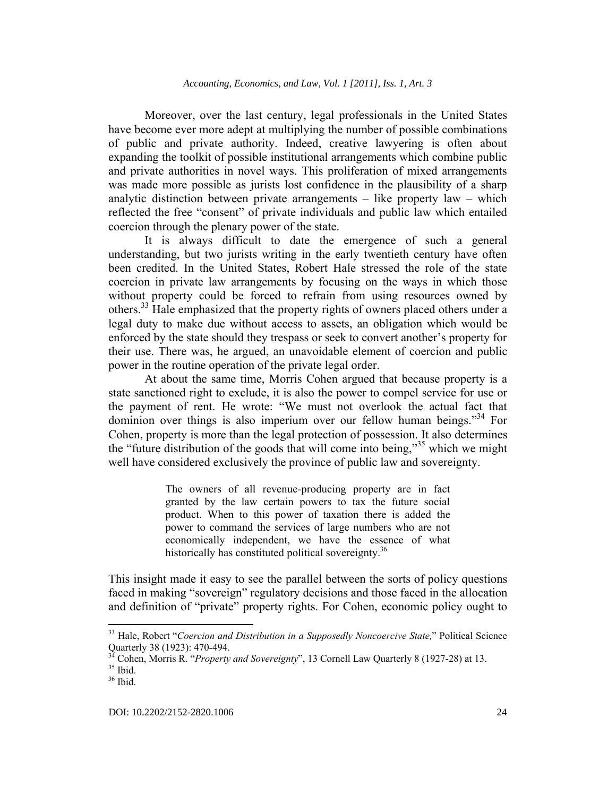Moreover, over the last century, legal professionals in the United States have become ever more adept at multiplying the number of possible combinations of public and private authority. Indeed, creative lawyering is often about expanding the toolkit of possible institutional arrangements which combine public and private authorities in novel ways. This proliferation of mixed arrangements was made more possible as jurists lost confidence in the plausibility of a sharp analytic distinction between private arrangements – like property law – which reflected the free "consent" of private individuals and public law which entailed coercion through the plenary power of the state.

It is always difficult to date the emergence of such a general understanding, but two jurists writing in the early twentieth century have often been credited. In the United States, Robert Hale stressed the role of the state coercion in private law arrangements by focusing on the ways in which those without property could be forced to refrain from using resources owned by others.<sup>33</sup> Hale emphasized that the property rights of owners placed others under a legal duty to make due without access to assets, an obligation which would be enforced by the state should they trespass or seek to convert another's property for their use. There was, he argued, an unavoidable element of coercion and public power in the routine operation of the private legal order.

At about the same time, Morris Cohen argued that because property is a state sanctioned right to exclude, it is also the power to compel service for use or the payment of rent. He wrote: "We must not overlook the actual fact that dominion over things is also imperium over our fellow human beings."<sup>34</sup> For Cohen, property is more than the legal protection of possession. It also determines the "future distribution of the goods that will come into being,"35 which we might well have considered exclusively the province of public law and sovereignty.

> The owners of all revenue-producing property are in fact granted by the law certain powers to tax the future social product. When to this power of taxation there is added the power to command the services of large numbers who are not economically independent, we have the essence of what historically has constituted political sovereignty.<sup>36</sup>

This insight made it easy to see the parallel between the sorts of policy questions faced in making "sovereign" regulatory decisions and those faced in the allocation and definition of "private" property rights. For Cohen, economic policy ought to

<sup>33</sup> Hale, Robert "*Coercion and Distribution in a Supposedly Noncoercive State,*" Political Science Quarterly 38 (1923): 470-494.

<sup>&</sup>lt;sup>34</sup> Cohen, Morris R. "*Property and Sovereignty*", 13 Cornell Law Quarterly 8 (1927-28) at 13.<br><sup>35</sup> Ibid

 $35$  Ibid.

<sup>36</sup> Ibid.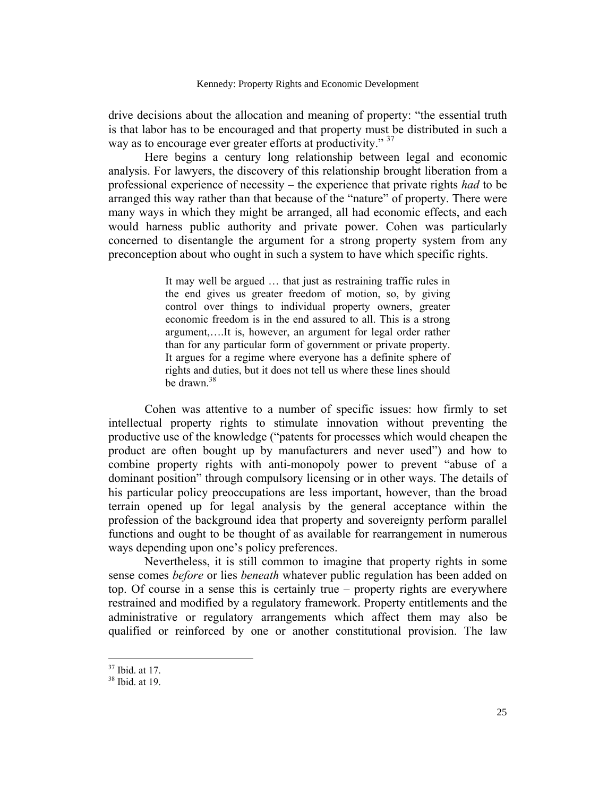drive decisions about the allocation and meaning of property: "the essential truth is that labor has to be encouraged and that property must be distributed in such a way as to encourage ever greater efforts at productivity." 37

Here begins a century long relationship between legal and economic analysis. For lawyers, the discovery of this relationship brought liberation from a professional experience of necessity – the experience that private rights *had* to be arranged this way rather than that because of the "nature" of property. There were many ways in which they might be arranged, all had economic effects, and each would harness public authority and private power. Cohen was particularly concerned to disentangle the argument for a strong property system from any preconception about who ought in such a system to have which specific rights.

> It may well be argued … that just as restraining traffic rules in the end gives us greater freedom of motion, so, by giving control over things to individual property owners, greater economic freedom is in the end assured to all. This is a strong argument,….It is, however, an argument for legal order rather than for any particular form of government or private property. It argues for a regime where everyone has a definite sphere of rights and duties, but it does not tell us where these lines should be drawn<sup>38</sup>

Cohen was attentive to a number of specific issues: how firmly to set intellectual property rights to stimulate innovation without preventing the productive use of the knowledge ("patents for processes which would cheapen the product are often bought up by manufacturers and never used") and how to combine property rights with anti-monopoly power to prevent "abuse of a dominant position" through compulsory licensing or in other ways. The details of his particular policy preoccupations are less important, however, than the broad terrain opened up for legal analysis by the general acceptance within the profession of the background idea that property and sovereignty perform parallel functions and ought to be thought of as available for rearrangement in numerous ways depending upon one's policy preferences.

Nevertheless, it is still common to imagine that property rights in some sense comes *before* or lies *beneath* whatever public regulation has been added on top. Of course in a sense this is certainly true – property rights are everywhere restrained and modified by a regulatory framework. Property entitlements and the administrative or regulatory arrangements which affect them may also be qualified or reinforced by one or another constitutional provision. The law

 $37$  Ibid. at 17.

 $38$  Ibid. at 19.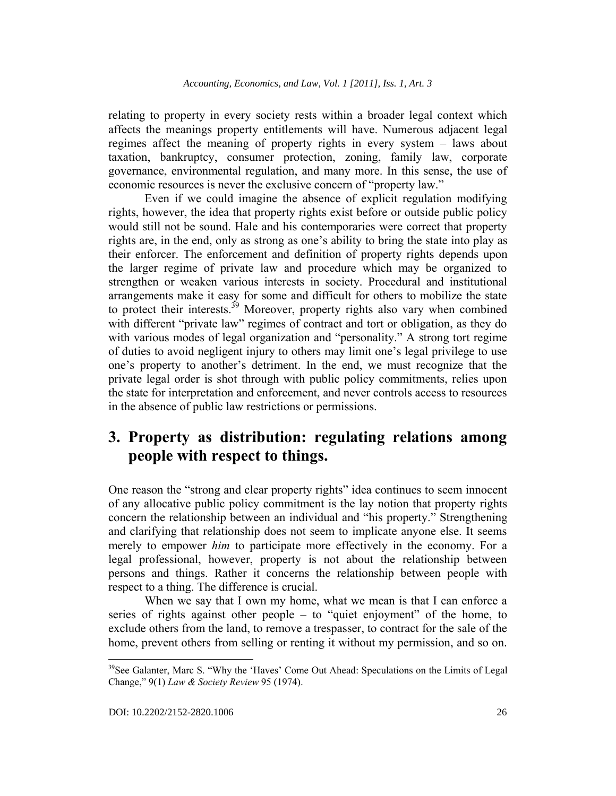relating to property in every society rests within a broader legal context which affects the meanings property entitlements will have. Numerous adjacent legal regimes affect the meaning of property rights in every system – laws about taxation, bankruptcy, consumer protection, zoning, family law, corporate governance, environmental regulation, and many more. In this sense, the use of economic resources is never the exclusive concern of "property law."

Even if we could imagine the absence of explicit regulation modifying rights, however, the idea that property rights exist before or outside public policy would still not be sound. Hale and his contemporaries were correct that property rights are, in the end, only as strong as one's ability to bring the state into play as their enforcer. The enforcement and definition of property rights depends upon the larger regime of private law and procedure which may be organized to strengthen or weaken various interests in society. Procedural and institutional arrangements make it easy for some and difficult for others to mobilize the state to protect their interests.<sup>39</sup> Moreover, property rights also vary when combined with different "private law" regimes of contract and tort or obligation, as they do with various modes of legal organization and "personality." A strong tort regime of duties to avoid negligent injury to others may limit one's legal privilege to use one's property to another's detriment. In the end, we must recognize that the private legal order is shot through with public policy commitments, relies upon the state for interpretation and enforcement, and never controls access to resources in the absence of public law restrictions or permissions.

#### **3. Property as distribution: regulating relations among people with respect to things.**

One reason the "strong and clear property rights" idea continues to seem innocent of any allocative public policy commitment is the lay notion that property rights concern the relationship between an individual and "his property." Strengthening and clarifying that relationship does not seem to implicate anyone else. It seems merely to empower *him* to participate more effectively in the economy. For a legal professional, however, property is not about the relationship between persons and things. Rather it concerns the relationship between people with respect to a thing. The difference is crucial.

When we say that I own my home, what we mean is that I can enforce a series of rights against other people – to "quiet enjoyment" of the home, to exclude others from the land, to remove a trespasser, to contract for the sale of the home, prevent others from selling or renting it without my permission, and so on.

<sup>&</sup>lt;sup>39</sup>See Galanter, Marc S. "Why the 'Haves' Come Out Ahead: Speculations on the Limits of Legal Change," 9(1) *Law & Society Review* 95 (1974).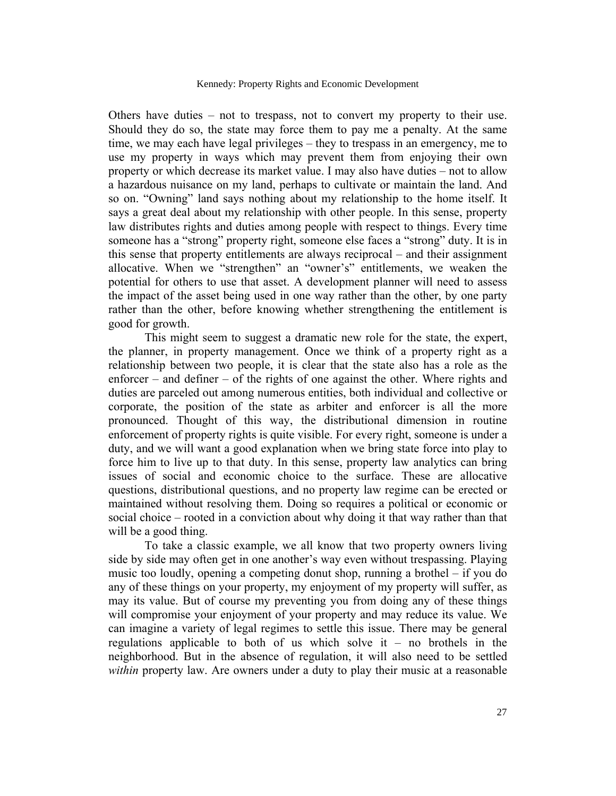Others have duties – not to trespass, not to convert my property to their use. Should they do so, the state may force them to pay me a penalty. At the same time, we may each have legal privileges – they to trespass in an emergency, me to use my property in ways which may prevent them from enjoying their own property or which decrease its market value. I may also have duties – not to allow a hazardous nuisance on my land, perhaps to cultivate or maintain the land. And so on. "Owning" land says nothing about my relationship to the home itself. It says a great deal about my relationship with other people. In this sense, property law distributes rights and duties among people with respect to things. Every time someone has a "strong" property right, someone else faces a "strong" duty. It is in this sense that property entitlements are always reciprocal – and their assignment allocative. When we "strengthen" an "owner's" entitlements, we weaken the potential for others to use that asset. A development planner will need to assess the impact of the asset being used in one way rather than the other, by one party rather than the other, before knowing whether strengthening the entitlement is good for growth.

This might seem to suggest a dramatic new role for the state, the expert, the planner, in property management. Once we think of a property right as a relationship between two people, it is clear that the state also has a role as the enforcer – and definer – of the rights of one against the other. Where rights and duties are parceled out among numerous entities, both individual and collective or corporate, the position of the state as arbiter and enforcer is all the more pronounced. Thought of this way, the distributional dimension in routine enforcement of property rights is quite visible. For every right, someone is under a duty, and we will want a good explanation when we bring state force into play to force him to live up to that duty. In this sense, property law analytics can bring issues of social and economic choice to the surface. These are allocative questions, distributional questions, and no property law regime can be erected or maintained without resolving them. Doing so requires a political or economic or social choice – rooted in a conviction about why doing it that way rather than that will be a good thing.

To take a classic example, we all know that two property owners living side by side may often get in one another's way even without trespassing. Playing music too loudly, opening a competing donut shop, running a brothel – if you do any of these things on your property, my enjoyment of my property will suffer, as may its value. But of course my preventing you from doing any of these things will compromise your enjoyment of your property and may reduce its value. We can imagine a variety of legal regimes to settle this issue. There may be general regulations applicable to both of us which solve it – no brothels in the neighborhood. But in the absence of regulation, it will also need to be settled *within* property law. Are owners under a duty to play their music at a reasonable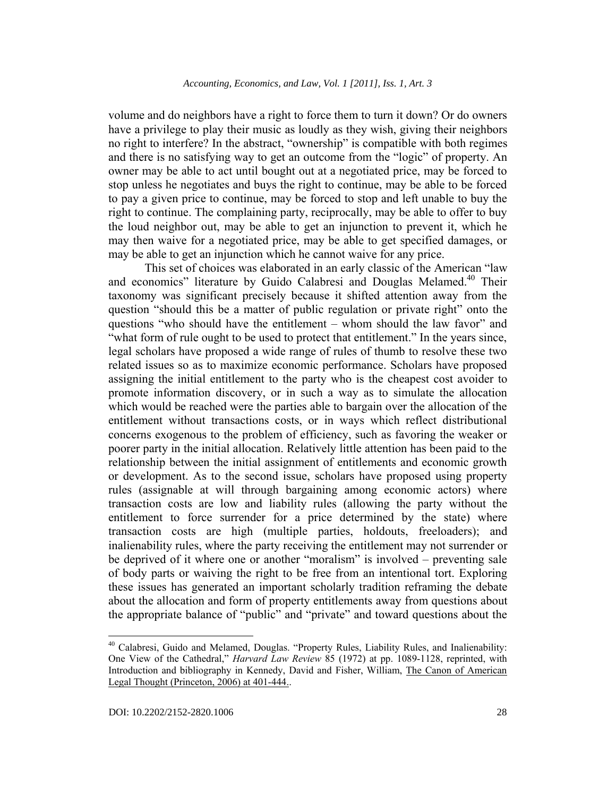volume and do neighbors have a right to force them to turn it down? Or do owners have a privilege to play their music as loudly as they wish, giving their neighbors no right to interfere? In the abstract, "ownership" is compatible with both regimes and there is no satisfying way to get an outcome from the "logic" of property. An owner may be able to act until bought out at a negotiated price, may be forced to stop unless he negotiates and buys the right to continue, may be able to be forced to pay a given price to continue, may be forced to stop and left unable to buy the right to continue. The complaining party, reciprocally, may be able to offer to buy the loud neighbor out, may be able to get an injunction to prevent it, which he may then waive for a negotiated price, may be able to get specified damages, or may be able to get an injunction which he cannot waive for any price.

This set of choices was elaborated in an early classic of the American "law and economics" literature by Guido Calabresi and Douglas Melamed.<sup>40</sup> Their taxonomy was significant precisely because it shifted attention away from the question "should this be a matter of public regulation or private right" onto the questions "who should have the entitlement – whom should the law favor" and "what form of rule ought to be used to protect that entitlement." In the years since, legal scholars have proposed a wide range of rules of thumb to resolve these two related issues so as to maximize economic performance. Scholars have proposed assigning the initial entitlement to the party who is the cheapest cost avoider to promote information discovery, or in such a way as to simulate the allocation which would be reached were the parties able to bargain over the allocation of the entitlement without transactions costs, or in ways which reflect distributional concerns exogenous to the problem of efficiency, such as favoring the weaker or poorer party in the initial allocation. Relatively little attention has been paid to the relationship between the initial assignment of entitlements and economic growth or development. As to the second issue, scholars have proposed using property rules (assignable at will through bargaining among economic actors) where transaction costs are low and liability rules (allowing the party without the entitlement to force surrender for a price determined by the state) where transaction costs are high (multiple parties, holdouts, freeloaders); and inalienability rules, where the party receiving the entitlement may not surrender or be deprived of it where one or another "moralism" is involved – preventing sale of body parts or waiving the right to be free from an intentional tort. Exploring these issues has generated an important scholarly tradition reframing the debate about the allocation and form of property entitlements away from questions about the appropriate balance of "public" and "private" and toward questions about the

<sup>&</sup>lt;sup>40</sup> Calabresi, Guido and Melamed, Douglas. "Property Rules, Liability Rules, and Inalienability: One View of the Cathedral," *Harvard Law Review* 85 (1972) at pp. 1089-1128, reprinted, with Introduction and bibliography in Kennedy, David and Fisher, William, The Canon of American Legal Thought (Princeton, 2006) at 401-444..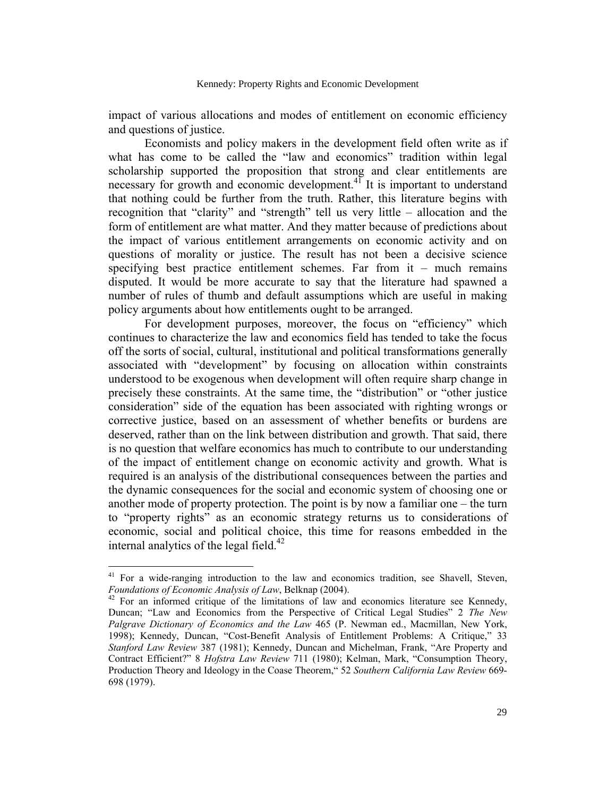impact of various allocations and modes of entitlement on economic efficiency and questions of justice.

Economists and policy makers in the development field often write as if what has come to be called the "law and economics" tradition within legal scholarship supported the proposition that strong and clear entitlements are necessary for growth and economic development.<sup>41</sup> It is important to understand that nothing could be further from the truth. Rather, this literature begins with recognition that "clarity" and "strength" tell us very little – allocation and the form of entitlement are what matter. And they matter because of predictions about the impact of various entitlement arrangements on economic activity and on questions of morality or justice. The result has not been a decisive science specifying best practice entitlement schemes. Far from it – much remains disputed. It would be more accurate to say that the literature had spawned a number of rules of thumb and default assumptions which are useful in making policy arguments about how entitlements ought to be arranged.

For development purposes, moreover, the focus on "efficiency" which continues to characterize the law and economics field has tended to take the focus off the sorts of social, cultural, institutional and political transformations generally associated with "development" by focusing on allocation within constraints understood to be exogenous when development will often require sharp change in precisely these constraints. At the same time, the "distribution" or "other justice consideration" side of the equation has been associated with righting wrongs or corrective justice, based on an assessment of whether benefits or burdens are deserved, rather than on the link between distribution and growth. That said, there is no question that welfare economics has much to contribute to our understanding of the impact of entitlement change on economic activity and growth. What is required is an analysis of the distributional consequences between the parties and the dynamic consequences for the social and economic system of choosing one or another mode of property protection. The point is by now a familiar one – the turn to "property rights" as an economic strategy returns us to considerations of economic, social and political choice, this time for reasons embedded in the internal analytics of the legal field.<sup>42</sup>

<sup>&</sup>lt;sup>41</sup> For a wide-ranging introduction to the law and economics tradition, see Shavell, Steven, *Foundations of Economic Analysis of Law*, Belknap (2004).<br><sup>42</sup> For an informed critique of the limitations of law and economics literature see Kennedy,

Duncan; "Law and Economics from the Perspective of Critical Legal Studies" 2 *The New Palgrave Dictionary of Economics and the Law* 465 (P. Newman ed., Macmillan, New York, 1998); Kennedy, Duncan, "Cost-Benefit Analysis of Entitlement Problems: A Critique," 33 *Stanford Law Review* 387 (1981); Kennedy, Duncan and Michelman, Frank, "Are Property and Contract Efficient?" 8 *Hofstra Law Review* 711 (1980); Kelman, Mark, "Consumption Theory, Production Theory and Ideology in the Coase Theorem," 52 *Southern California Law Review* 669- 698 (1979).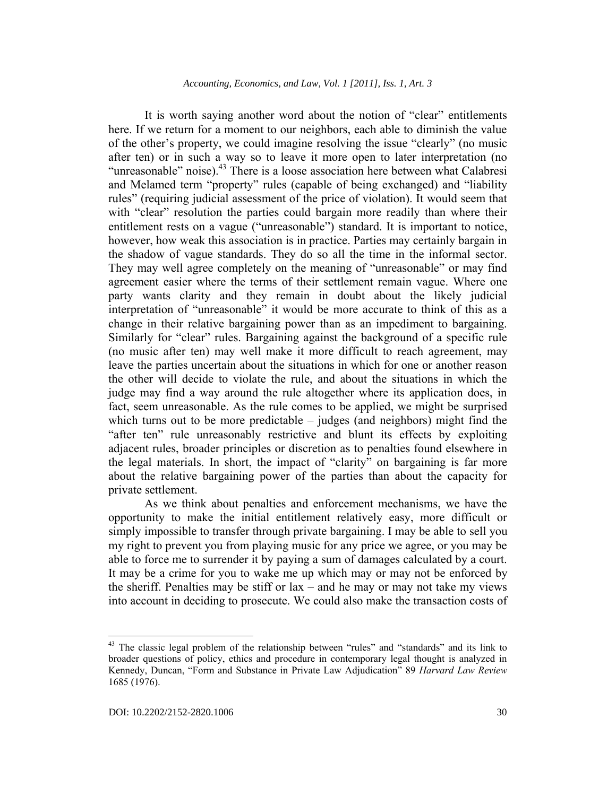It is worth saying another word about the notion of "clear" entitlements here. If we return for a moment to our neighbors, each able to diminish the value of the other's property, we could imagine resolving the issue "clearly" (no music after ten) or in such a way so to leave it more open to later interpretation (no "unreasonable" noise).<sup>43</sup> There is a loose association here between what Calabresi and Melamed term "property" rules (capable of being exchanged) and "liability rules" (requiring judicial assessment of the price of violation). It would seem that with "clear" resolution the parties could bargain more readily than where their entitlement rests on a vague ("unreasonable") standard. It is important to notice, however, how weak this association is in practice. Parties may certainly bargain in the shadow of vague standards. They do so all the time in the informal sector. They may well agree completely on the meaning of "unreasonable" or may find agreement easier where the terms of their settlement remain vague. Where one party wants clarity and they remain in doubt about the likely judicial interpretation of "unreasonable" it would be more accurate to think of this as a change in their relative bargaining power than as an impediment to bargaining. Similarly for "clear" rules. Bargaining against the background of a specific rule (no music after ten) may well make it more difficult to reach agreement, may leave the parties uncertain about the situations in which for one or another reason the other will decide to violate the rule, and about the situations in which the judge may find a way around the rule altogether where its application does, in fact, seem unreasonable. As the rule comes to be applied, we might be surprised which turns out to be more predictable – judges (and neighbors) might find the "after ten" rule unreasonably restrictive and blunt its effects by exploiting adjacent rules, broader principles or discretion as to penalties found elsewhere in the legal materials. In short, the impact of "clarity" on bargaining is far more about the relative bargaining power of the parties than about the capacity for private settlement.

As we think about penalties and enforcement mechanisms, we have the opportunity to make the initial entitlement relatively easy, more difficult or simply impossible to transfer through private bargaining. I may be able to sell you my right to prevent you from playing music for any price we agree, or you may be able to force me to surrender it by paying a sum of damages calculated by a court. It may be a crime for you to wake me up which may or may not be enforced by the sheriff. Penalties may be stiff or  $lax$  – and he may or may not take my views into account in deciding to prosecute. We could also make the transaction costs of

<sup>&</sup>lt;sup>43</sup> The classic legal problem of the relationship between "rules" and "standards" and its link to broader questions of policy, ethics and procedure in contemporary legal thought is analyzed in Kennedy, Duncan, "Form and Substance in Private Law Adjudication" 89 *Harvard Law Review* 1685 (1976).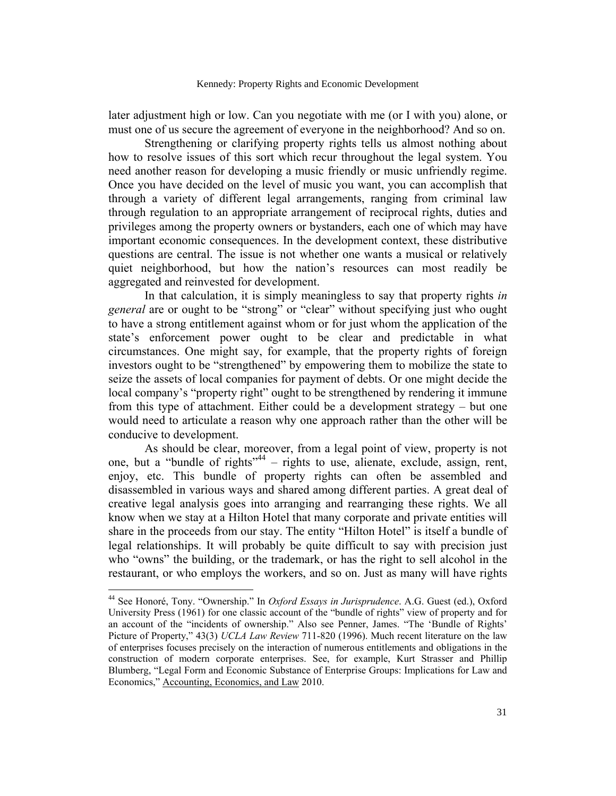later adjustment high or low. Can you negotiate with me (or I with you) alone, or must one of us secure the agreement of everyone in the neighborhood? And so on.

Strengthening or clarifying property rights tells us almost nothing about how to resolve issues of this sort which recur throughout the legal system. You need another reason for developing a music friendly or music unfriendly regime. Once you have decided on the level of music you want, you can accomplish that through a variety of different legal arrangements, ranging from criminal law through regulation to an appropriate arrangement of reciprocal rights, duties and privileges among the property owners or bystanders, each one of which may have important economic consequences. In the development context, these distributive questions are central. The issue is not whether one wants a musical or relatively quiet neighborhood, but how the nation's resources can most readily be aggregated and reinvested for development.

In that calculation, it is simply meaningless to say that property rights *in general* are or ought to be "strong" or "clear" without specifying just who ought to have a strong entitlement against whom or for just whom the application of the state's enforcement power ought to be clear and predictable in what circumstances. One might say, for example, that the property rights of foreign investors ought to be "strengthened" by empowering them to mobilize the state to seize the assets of local companies for payment of debts. Or one might decide the local company's "property right" ought to be strengthened by rendering it immune from this type of attachment. Either could be a development strategy – but one would need to articulate a reason why one approach rather than the other will be conducive to development.

As should be clear, moreover, from a legal point of view, property is not one, but a "bundle of rights"<sup>44</sup> – rights to use, alienate, exclude, assign, rent, enjoy, etc. This bundle of property rights can often be assembled and disassembled in various ways and shared among different parties. A great deal of creative legal analysis goes into arranging and rearranging these rights. We all know when we stay at a Hilton Hotel that many corporate and private entities will share in the proceeds from our stay. The entity "Hilton Hotel" is itself a bundle of legal relationships. It will probably be quite difficult to say with precision just who "owns" the building, or the trademark, or has the right to sell alcohol in the restaurant, or who employs the workers, and so on. Just as many will have rights

<sup>44</sup> See Honoré, Tony. "Ownership." In *Oxford Essays in Jurisprudence*. A.G. Guest (ed.), Oxford University Press (1961) for one classic account of the "bundle of rights" view of property and for an account of the "incidents of ownership." Also see Penner, James. "The 'Bundle of Rights' Picture of Property," 43(3) *UCLA Law Review* 711-820 (1996). Much recent literature on the law of enterprises focuses precisely on the interaction of numerous entitlements and obligations in the construction of modern corporate enterprises. See, for example, Kurt Strasser and Phillip Blumberg, "Legal Form and Economic Substance of Enterprise Groups: Implications for Law and Economics," Accounting, Economics, and Law 2010.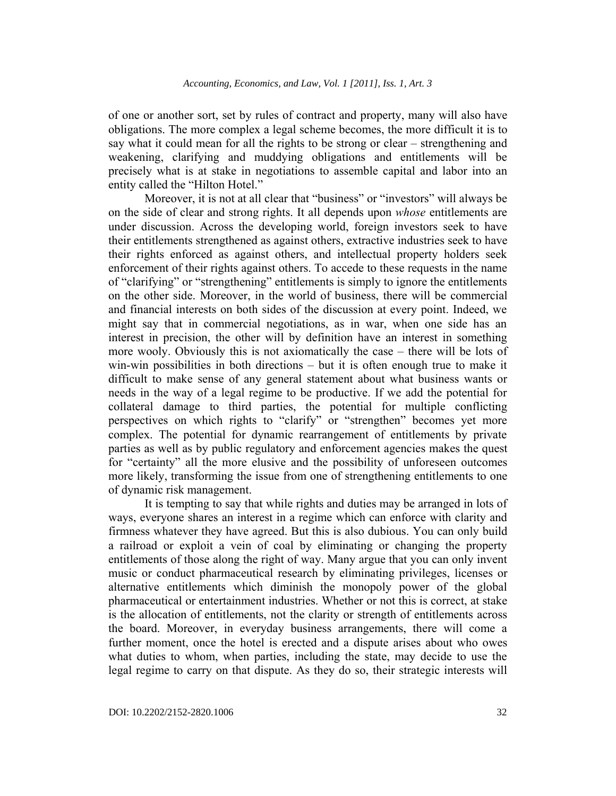of one or another sort, set by rules of contract and property, many will also have obligations. The more complex a legal scheme becomes, the more difficult it is to say what it could mean for all the rights to be strong or clear – strengthening and weakening, clarifying and muddying obligations and entitlements will be precisely what is at stake in negotiations to assemble capital and labor into an entity called the "Hilton Hotel."

Moreover, it is not at all clear that "business" or "investors" will always be on the side of clear and strong rights. It all depends upon *whose* entitlements are under discussion. Across the developing world, foreign investors seek to have their entitlements strengthened as against others, extractive industries seek to have their rights enforced as against others, and intellectual property holders seek enforcement of their rights against others. To accede to these requests in the name of "clarifying" or "strengthening" entitlements is simply to ignore the entitlements on the other side. Moreover, in the world of business, there will be commercial and financial interests on both sides of the discussion at every point. Indeed, we might say that in commercial negotiations, as in war, when one side has an interest in precision, the other will by definition have an interest in something more wooly. Obviously this is not axiomatically the case – there will be lots of win-win possibilities in both directions – but it is often enough true to make it difficult to make sense of any general statement about what business wants or needs in the way of a legal regime to be productive. If we add the potential for collateral damage to third parties, the potential for multiple conflicting perspectives on which rights to "clarify" or "strengthen" becomes yet more complex. The potential for dynamic rearrangement of entitlements by private parties as well as by public regulatory and enforcement agencies makes the quest for "certainty" all the more elusive and the possibility of unforeseen outcomes more likely, transforming the issue from one of strengthening entitlements to one of dynamic risk management.

It is tempting to say that while rights and duties may be arranged in lots of ways, everyone shares an interest in a regime which can enforce with clarity and firmness whatever they have agreed. But this is also dubious. You can only build a railroad or exploit a vein of coal by eliminating or changing the property entitlements of those along the right of way. Many argue that you can only invent music or conduct pharmaceutical research by eliminating privileges, licenses or alternative entitlements which diminish the monopoly power of the global pharmaceutical or entertainment industries. Whether or not this is correct, at stake is the allocation of entitlements, not the clarity or strength of entitlements across the board. Moreover, in everyday business arrangements, there will come a further moment, once the hotel is erected and a dispute arises about who owes what duties to whom, when parties, including the state, may decide to use the legal regime to carry on that dispute. As they do so, their strategic interests will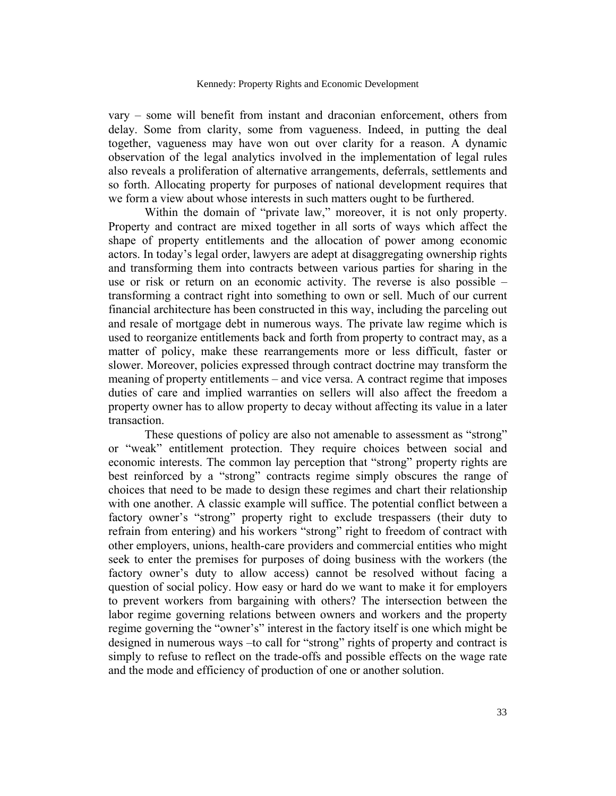vary – some will benefit from instant and draconian enforcement, others from delay. Some from clarity, some from vagueness. Indeed, in putting the deal together, vagueness may have won out over clarity for a reason. A dynamic observation of the legal analytics involved in the implementation of legal rules also reveals a proliferation of alternative arrangements, deferrals, settlements and so forth. Allocating property for purposes of national development requires that we form a view about whose interests in such matters ought to be furthered.

Within the domain of "private law," moreover, it is not only property. Property and contract are mixed together in all sorts of ways which affect the shape of property entitlements and the allocation of power among economic actors. In today's legal order, lawyers are adept at disaggregating ownership rights and transforming them into contracts between various parties for sharing in the use or risk or return on an economic activity. The reverse is also possible – transforming a contract right into something to own or sell. Much of our current financial architecture has been constructed in this way, including the parceling out and resale of mortgage debt in numerous ways. The private law regime which is used to reorganize entitlements back and forth from property to contract may, as a matter of policy, make these rearrangements more or less difficult, faster or slower. Moreover, policies expressed through contract doctrine may transform the meaning of property entitlements – and vice versa. A contract regime that imposes duties of care and implied warranties on sellers will also affect the freedom a property owner has to allow property to decay without affecting its value in a later transaction.

These questions of policy are also not amenable to assessment as "strong" or "weak" entitlement protection. They require choices between social and economic interests. The common lay perception that "strong" property rights are best reinforced by a "strong" contracts regime simply obscures the range of choices that need to be made to design these regimes and chart their relationship with one another. A classic example will suffice. The potential conflict between a factory owner's "strong" property right to exclude trespassers (their duty to refrain from entering) and his workers "strong" right to freedom of contract with other employers, unions, health-care providers and commercial entities who might seek to enter the premises for purposes of doing business with the workers (the factory owner's duty to allow access) cannot be resolved without facing a question of social policy. How easy or hard do we want to make it for employers to prevent workers from bargaining with others? The intersection between the labor regime governing relations between owners and workers and the property regime governing the "owner's" interest in the factory itself is one which might be designed in numerous ways –to call for "strong" rights of property and contract is simply to refuse to reflect on the trade-offs and possible effects on the wage rate and the mode and efficiency of production of one or another solution.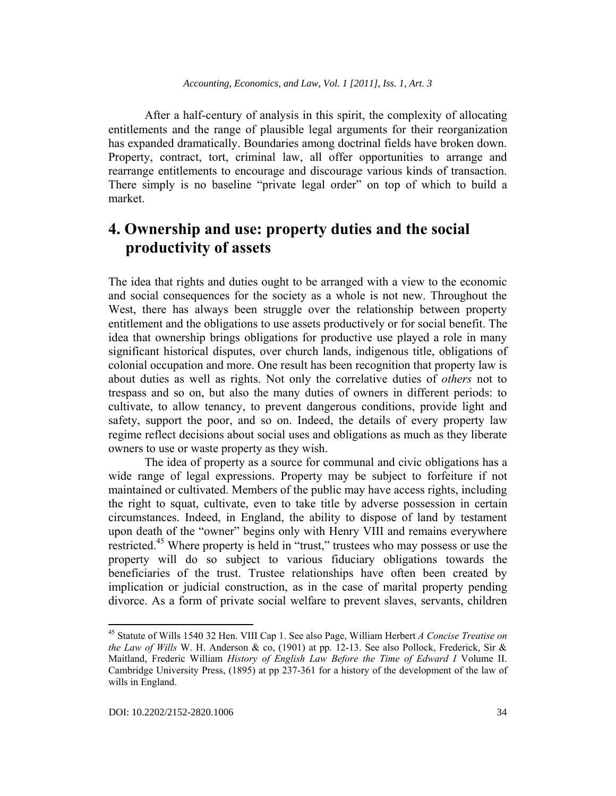After a half-century of analysis in this spirit, the complexity of allocating entitlements and the range of plausible legal arguments for their reorganization has expanded dramatically. Boundaries among doctrinal fields have broken down. Property, contract, tort, criminal law, all offer opportunities to arrange and rearrange entitlements to encourage and discourage various kinds of transaction. There simply is no baseline "private legal order" on top of which to build a market.

### **4. Ownership and use: property duties and the social productivity of assets**

The idea that rights and duties ought to be arranged with a view to the economic and social consequences for the society as a whole is not new. Throughout the West, there has always been struggle over the relationship between property entitlement and the obligations to use assets productively or for social benefit. The idea that ownership brings obligations for productive use played a role in many significant historical disputes, over church lands, indigenous title, obligations of colonial occupation and more. One result has been recognition that property law is about duties as well as rights. Not only the correlative duties of *others* not to trespass and so on, but also the many duties of owners in different periods: to cultivate, to allow tenancy, to prevent dangerous conditions, provide light and safety, support the poor, and so on. Indeed, the details of every property law regime reflect decisions about social uses and obligations as much as they liberate owners to use or waste property as they wish.

The idea of property as a source for communal and civic obligations has a wide range of legal expressions. Property may be subject to forfeiture if not maintained or cultivated. Members of the public may have access rights, including the right to squat, cultivate, even to take title by adverse possession in certain circumstances. Indeed, in England, the ability to dispose of land by testament upon death of the "owner" begins only with Henry VIII and remains everywhere restricted.45 Where property is held in "trust," trustees who may possess or use the property will do so subject to various fiduciary obligations towards the beneficiaries of the trust. Trustee relationships have often been created by implication or judicial construction, as in the case of marital property pending divorce. As a form of private social welfare to prevent slaves, servants, children

 45 Statute of Wills 1540 32 Hen. VIII Cap 1. See also Page, William Herbert *A Concise Treatise on the Law of Wills* W. H. Anderson & co, (1901) at pp. 12-13. See also Pollock, Frederick, Sir & Maitland, Frederic William *History of English Law Before the Time of Edward I* Volume II. Cambridge University Press, (1895) at pp 237-361 for a history of the development of the law of wills in England.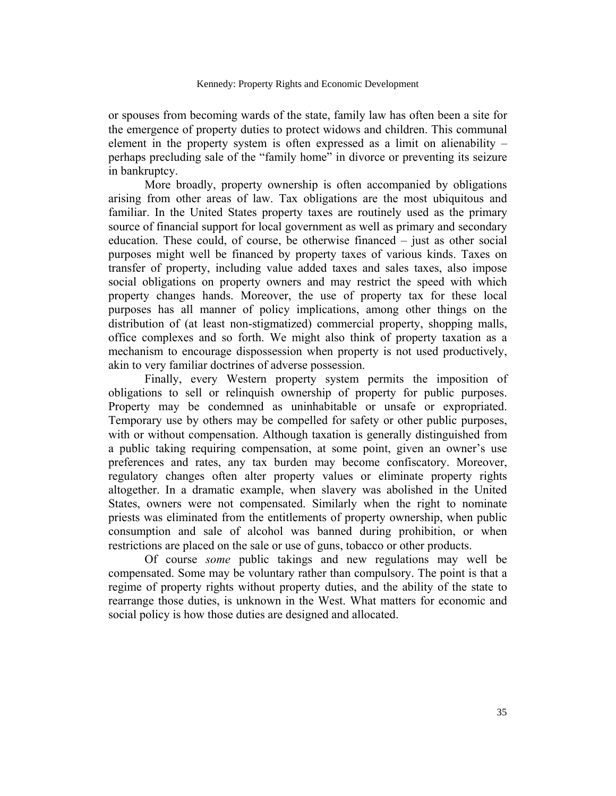or spouses from becoming wards of the state, family law has often been a site for the emergence of property duties to protect widows and children. This communal element in the property system is often expressed as a limit on alienability – perhaps precluding sale of the "family home" in divorce or preventing its seizure in bankruptcy.

More broadly, property ownership is often accompanied by obligations arising from other areas of law. Tax obligations are the most ubiquitous and familiar. In the United States property taxes are routinely used as the primary source of financial support for local government as well as primary and secondary education. These could, of course, be otherwise financed – just as other social purposes might well be financed by property taxes of various kinds. Taxes on transfer of property, including value added taxes and sales taxes, also impose social obligations on property owners and may restrict the speed with which property changes hands. Moreover, the use of property tax for these local purposes has all manner of policy implications, among other things on the distribution of (at least non-stigmatized) commercial property, shopping malls, office complexes and so forth. We might also think of property taxation as a mechanism to encourage dispossession when property is not used productively, akin to very familiar doctrines of adverse possession.

Finally, every Western property system permits the imposition of obligations to sell or relinquish ownership of property for public purposes. Property may be condemned as uninhabitable or unsafe or expropriated. Temporary use by others may be compelled for safety or other public purposes, with or without compensation. Although taxation is generally distinguished from a public taking requiring compensation, at some point, given an owner's use preferences and rates, any tax burden may become confiscatory. Moreover, regulatory changes often alter property values or eliminate property rights altogether. In a dramatic example, when slavery was abolished in the United States, owners were not compensated. Similarly when the right to nominate priests was eliminated from the entitlements of property ownership, when public consumption and sale of alcohol was banned during prohibition, or when restrictions are placed on the sale or use of guns, tobacco or other products.

Of course *some* public takings and new regulations may well be compensated. Some may be voluntary rather than compulsory. The point is that a regime of property rights without property duties, and the ability of the state to rearrange those duties, is unknown in the West. What matters for economic and social policy is how those duties are designed and allocated.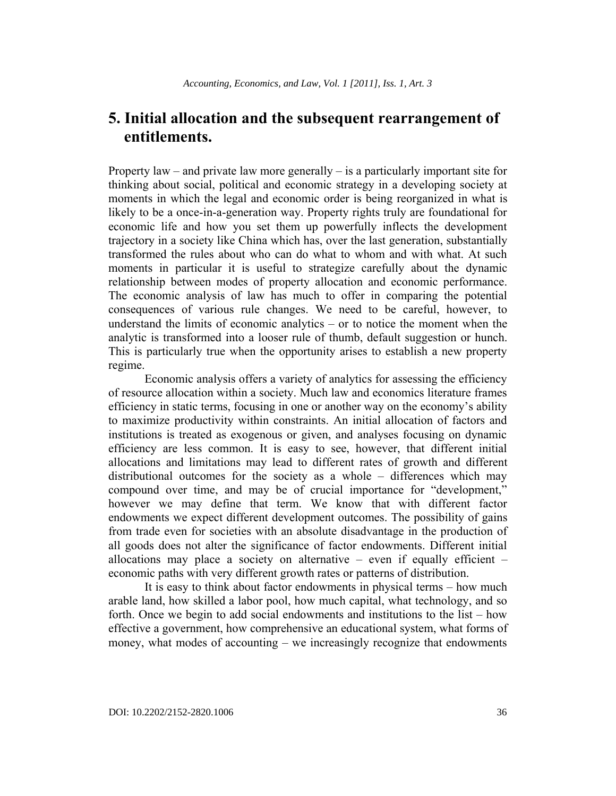### **5. Initial allocation and the subsequent rearrangement of entitlements.**

Property law – and private law more generally – is a particularly important site for thinking about social, political and economic strategy in a developing society at moments in which the legal and economic order is being reorganized in what is likely to be a once-in-a-generation way. Property rights truly are foundational for economic life and how you set them up powerfully inflects the development trajectory in a society like China which has, over the last generation, substantially transformed the rules about who can do what to whom and with what. At such moments in particular it is useful to strategize carefully about the dynamic relationship between modes of property allocation and economic performance. The economic analysis of law has much to offer in comparing the potential consequences of various rule changes. We need to be careful, however, to understand the limits of economic analytics – or to notice the moment when the analytic is transformed into a looser rule of thumb, default suggestion or hunch. This is particularly true when the opportunity arises to establish a new property regime.

Economic analysis offers a variety of analytics for assessing the efficiency of resource allocation within a society. Much law and economics literature frames efficiency in static terms, focusing in one or another way on the economy's ability to maximize productivity within constraints. An initial allocation of factors and institutions is treated as exogenous or given, and analyses focusing on dynamic efficiency are less common. It is easy to see, however, that different initial allocations and limitations may lead to different rates of growth and different distributional outcomes for the society as a whole – differences which may compound over time, and may be of crucial importance for "development," however we may define that term. We know that with different factor endowments we expect different development outcomes. The possibility of gains from trade even for societies with an absolute disadvantage in the production of all goods does not alter the significance of factor endowments. Different initial allocations may place a society on alternative – even if equally efficient – economic paths with very different growth rates or patterns of distribution.

It is easy to think about factor endowments in physical terms – how much arable land, how skilled a labor pool, how much capital, what technology, and so forth. Once we begin to add social endowments and institutions to the list – how effective a government, how comprehensive an educational system, what forms of money, what modes of accounting – we increasingly recognize that endowments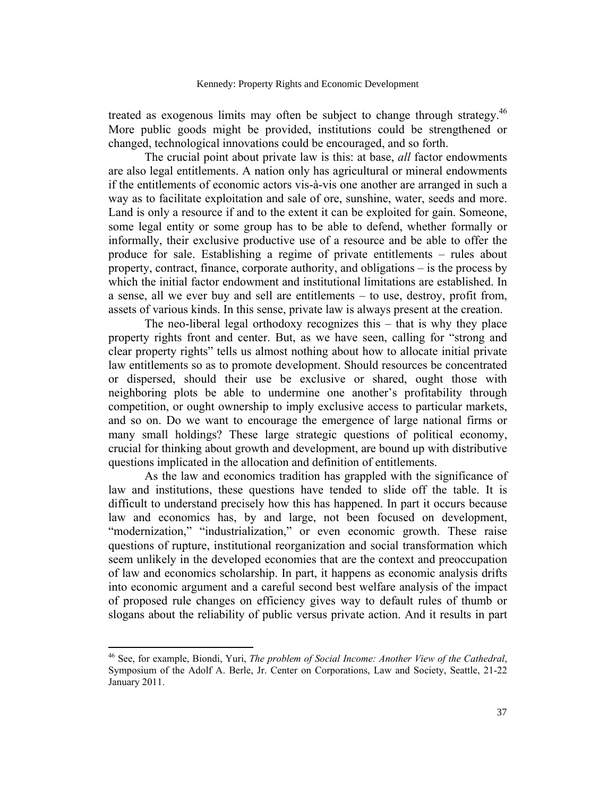treated as exogenous limits may often be subject to change through strategy.<sup>46</sup> More public goods might be provided, institutions could be strengthened or changed, technological innovations could be encouraged, and so forth.

The crucial point about private law is this: at base, *all* factor endowments are also legal entitlements. A nation only has agricultural or mineral endowments if the entitlements of economic actors vis-à-vis one another are arranged in such a way as to facilitate exploitation and sale of ore, sunshine, water, seeds and more. Land is only a resource if and to the extent it can be exploited for gain. Someone, some legal entity or some group has to be able to defend, whether formally or informally, their exclusive productive use of a resource and be able to offer the produce for sale. Establishing a regime of private entitlements – rules about property, contract, finance, corporate authority, and obligations – is the process by which the initial factor endowment and institutional limitations are established. In a sense, all we ever buy and sell are entitlements – to use, destroy, profit from, assets of various kinds. In this sense, private law is always present at the creation.

The neo-liberal legal orthodoxy recognizes this – that is why they place property rights front and center. But, as we have seen, calling for "strong and clear property rights" tells us almost nothing about how to allocate initial private law entitlements so as to promote development. Should resources be concentrated or dispersed, should their use be exclusive or shared, ought those with neighboring plots be able to undermine one another's profitability through competition, or ought ownership to imply exclusive access to particular markets, and so on. Do we want to encourage the emergence of large national firms or many small holdings? These large strategic questions of political economy, crucial for thinking about growth and development, are bound up with distributive questions implicated in the allocation and definition of entitlements.

As the law and economics tradition has grappled with the significance of law and institutions, these questions have tended to slide off the table. It is difficult to understand precisely how this has happened. In part it occurs because law and economics has, by and large, not been focused on development, "modernization," "industrialization," or even economic growth. These raise questions of rupture, institutional reorganization and social transformation which seem unlikely in the developed economies that are the context and preoccupation of law and economics scholarship. In part, it happens as economic analysis drifts into economic argument and a careful second best welfare analysis of the impact of proposed rule changes on efficiency gives way to default rules of thumb or slogans about the reliability of public versus private action. And it results in part

<sup>46</sup> See, for example, Biondi, Yuri, *The problem of Social Income: Another View of the Cathedral*, Symposium of the Adolf A. Berle, Jr. Center on Corporations, Law and Society, Seattle, 21-22 January 2011.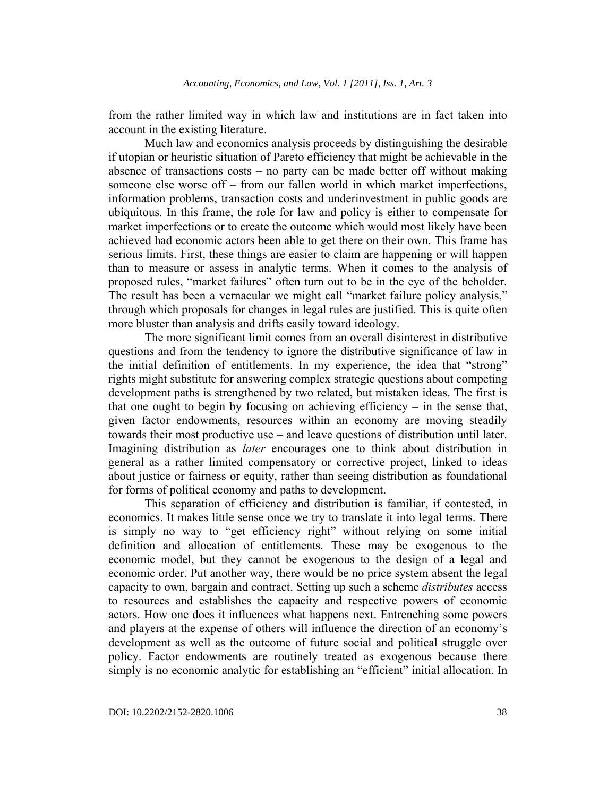from the rather limited way in which law and institutions are in fact taken into account in the existing literature.

Much law and economics analysis proceeds by distinguishing the desirable if utopian or heuristic situation of Pareto efficiency that might be achievable in the absence of transactions costs – no party can be made better off without making someone else worse off – from our fallen world in which market imperfections, information problems, transaction costs and underinvestment in public goods are ubiquitous. In this frame, the role for law and policy is either to compensate for market imperfections or to create the outcome which would most likely have been achieved had economic actors been able to get there on their own. This frame has serious limits. First, these things are easier to claim are happening or will happen than to measure or assess in analytic terms. When it comes to the analysis of proposed rules, "market failures" often turn out to be in the eye of the beholder. The result has been a vernacular we might call "market failure policy analysis," through which proposals for changes in legal rules are justified. This is quite often more bluster than analysis and drifts easily toward ideology.

The more significant limit comes from an overall disinterest in distributive questions and from the tendency to ignore the distributive significance of law in the initial definition of entitlements. In my experience, the idea that "strong" rights might substitute for answering complex strategic questions about competing development paths is strengthened by two related, but mistaken ideas. The first is that one ought to begin by focusing on achieving efficiency – in the sense that, given factor endowments, resources within an economy are moving steadily towards their most productive use – and leave questions of distribution until later. Imagining distribution as *later* encourages one to think about distribution in general as a rather limited compensatory or corrective project, linked to ideas about justice or fairness or equity, rather than seeing distribution as foundational for forms of political economy and paths to development.

This separation of efficiency and distribution is familiar, if contested, in economics. It makes little sense once we try to translate it into legal terms. There is simply no way to "get efficiency right" without relying on some initial definition and allocation of entitlements. These may be exogenous to the economic model, but they cannot be exogenous to the design of a legal and economic order. Put another way, there would be no price system absent the legal capacity to own, bargain and contract. Setting up such a scheme *distributes* access to resources and establishes the capacity and respective powers of economic actors. How one does it influences what happens next. Entrenching some powers and players at the expense of others will influence the direction of an economy's development as well as the outcome of future social and political struggle over policy. Factor endowments are routinely treated as exogenous because there simply is no economic analytic for establishing an "efficient" initial allocation. In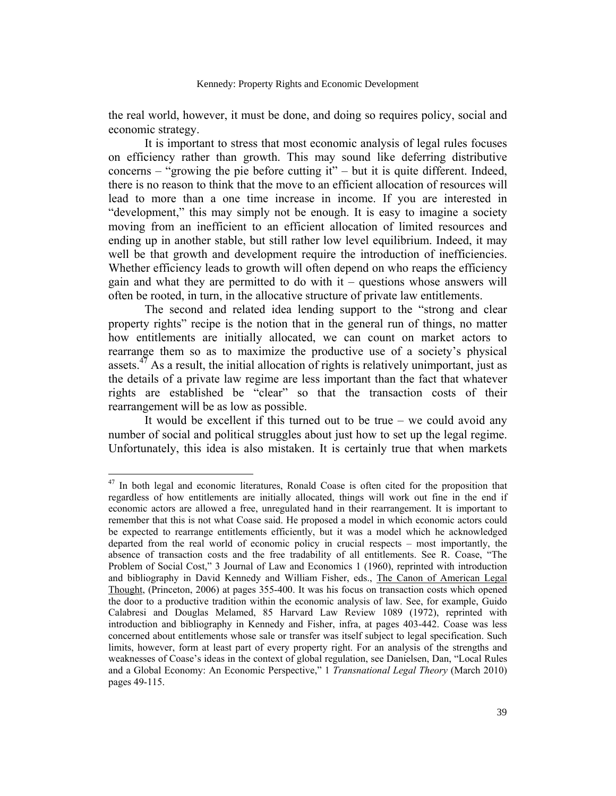the real world, however, it must be done, and doing so requires policy, social and economic strategy.

It is important to stress that most economic analysis of legal rules focuses on efficiency rather than growth. This may sound like deferring distributive concerns – "growing the pie before cutting it" – but it is quite different. Indeed, there is no reason to think that the move to an efficient allocation of resources will lead to more than a one time increase in income. If you are interested in "development," this may simply not be enough. It is easy to imagine a society moving from an inefficient to an efficient allocation of limited resources and ending up in another stable, but still rather low level equilibrium. Indeed, it may well be that growth and development require the introduction of inefficiencies. Whether efficiency leads to growth will often depend on who reaps the efficiency gain and what they are permitted to do with it – questions whose answers will often be rooted, in turn, in the allocative structure of private law entitlements.

The second and related idea lending support to the "strong and clear property rights" recipe is the notion that in the general run of things, no matter how entitlements are initially allocated, we can count on market actors to rearrange them so as to maximize the productive use of a society's physical assets.<sup>47</sup> As a result, the initial allocation of rights is relatively unimportant, just as the details of a private law regime are less important than the fact that whatever rights are established be "clear" so that the transaction costs of their rearrangement will be as low as possible.

It would be excellent if this turned out to be true – we could avoid any number of social and political struggles about just how to set up the legal regime. Unfortunately, this idea is also mistaken. It is certainly true that when markets

 $47$  In both legal and economic literatures, Ronald Coase is often cited for the proposition that regardless of how entitlements are initially allocated, things will work out fine in the end if economic actors are allowed a free, unregulated hand in their rearrangement. It is important to remember that this is not what Coase said. He proposed a model in which economic actors could be expected to rearrange entitlements efficiently, but it was a model which he acknowledged departed from the real world of economic policy in crucial respects – most importantly, the absence of transaction costs and the free tradability of all entitlements. See R. Coase, "The Problem of Social Cost," 3 Journal of Law and Economics 1 (1960), reprinted with introduction and bibliography in David Kennedy and William Fisher, eds., The Canon of American Legal Thought, (Princeton, 2006) at pages 355-400. It was his focus on transaction costs which opened the door to a productive tradition within the economic analysis of law. See, for example, Guido Calabresi and Douglas Melamed, 85 Harvard Law Review 1089 (1972), reprinted with introduction and bibliography in Kennedy and Fisher, infra, at pages 403-442. Coase was less concerned about entitlements whose sale or transfer was itself subject to legal specification. Such limits, however, form at least part of every property right. For an analysis of the strengths and weaknesses of Coase's ideas in the context of global regulation, see Danielsen, Dan, "Local Rules and a Global Economy: An Economic Perspective," 1 *Transnational Legal Theory* (March 2010) pages 49-115.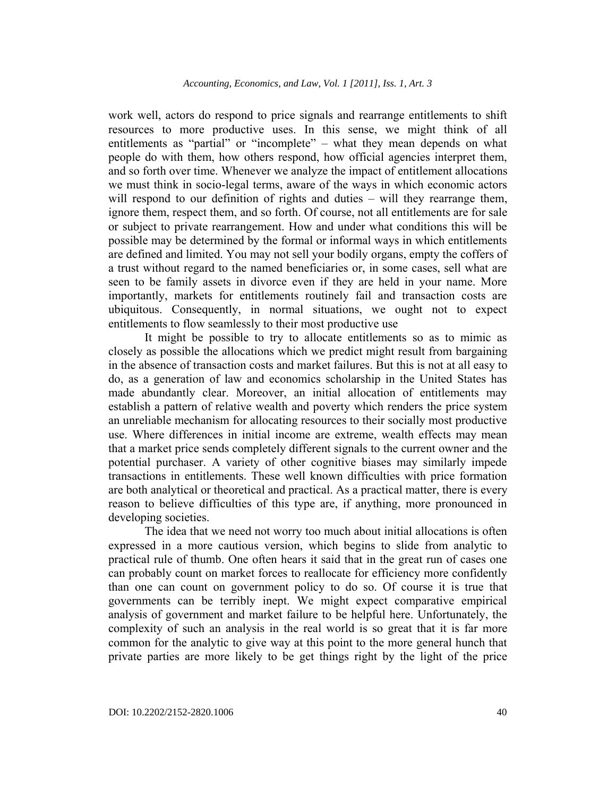work well, actors do respond to price signals and rearrange entitlements to shift resources to more productive uses. In this sense, we might think of all entitlements as "partial" or "incomplete" – what they mean depends on what people do with them, how others respond, how official agencies interpret them, and so forth over time. Whenever we analyze the impact of entitlement allocations we must think in socio-legal terms, aware of the ways in which economic actors will respond to our definition of rights and duties – will they rearrange them, ignore them, respect them, and so forth. Of course, not all entitlements are for sale or subject to private rearrangement. How and under what conditions this will be possible may be determined by the formal or informal ways in which entitlements are defined and limited. You may not sell your bodily organs, empty the coffers of a trust without regard to the named beneficiaries or, in some cases, sell what are seen to be family assets in divorce even if they are held in your name. More importantly, markets for entitlements routinely fail and transaction costs are ubiquitous. Consequently, in normal situations, we ought not to expect entitlements to flow seamlessly to their most productive use

It might be possible to try to allocate entitlements so as to mimic as closely as possible the allocations which we predict might result from bargaining in the absence of transaction costs and market failures. But this is not at all easy to do, as a generation of law and economics scholarship in the United States has made abundantly clear. Moreover, an initial allocation of entitlements may establish a pattern of relative wealth and poverty which renders the price system an unreliable mechanism for allocating resources to their socially most productive use. Where differences in initial income are extreme, wealth effects may mean that a market price sends completely different signals to the current owner and the potential purchaser. A variety of other cognitive biases may similarly impede transactions in entitlements. These well known difficulties with price formation are both analytical or theoretical and practical. As a practical matter, there is every reason to believe difficulties of this type are, if anything, more pronounced in developing societies.

The idea that we need not worry too much about initial allocations is often expressed in a more cautious version, which begins to slide from analytic to practical rule of thumb. One often hears it said that in the great run of cases one can probably count on market forces to reallocate for efficiency more confidently than one can count on government policy to do so. Of course it is true that governments can be terribly inept. We might expect comparative empirical analysis of government and market failure to be helpful here. Unfortunately, the complexity of such an analysis in the real world is so great that it is far more common for the analytic to give way at this point to the more general hunch that private parties are more likely to be get things right by the light of the price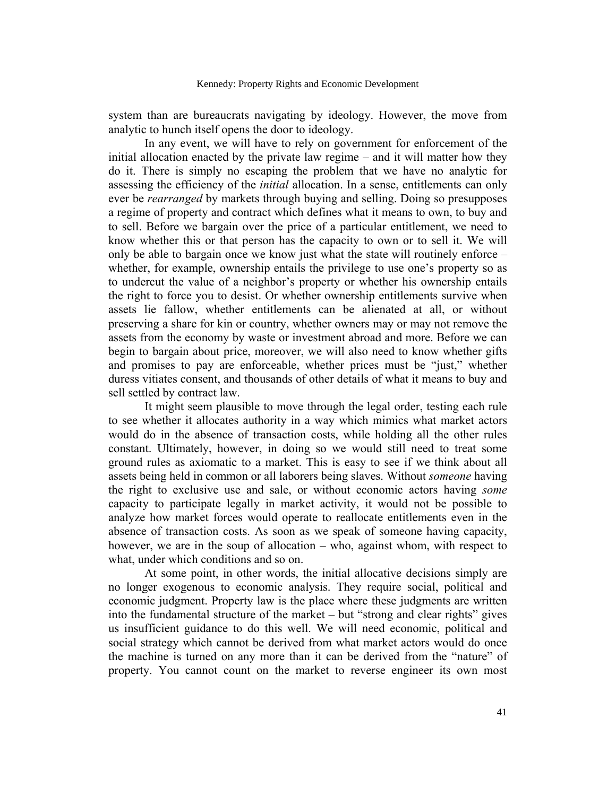system than are bureaucrats navigating by ideology. However, the move from analytic to hunch itself opens the door to ideology.

In any event, we will have to rely on government for enforcement of the initial allocation enacted by the private law regime – and it will matter how they do it. There is simply no escaping the problem that we have no analytic for assessing the efficiency of the *initial* allocation. In a sense, entitlements can only ever be *rearranged* by markets through buying and selling. Doing so presupposes a regime of property and contract which defines what it means to own, to buy and to sell. Before we bargain over the price of a particular entitlement, we need to know whether this or that person has the capacity to own or to sell it. We will only be able to bargain once we know just what the state will routinely enforce – whether, for example, ownership entails the privilege to use one's property so as to undercut the value of a neighbor's property or whether his ownership entails the right to force you to desist. Or whether ownership entitlements survive when assets lie fallow, whether entitlements can be alienated at all, or without preserving a share for kin or country, whether owners may or may not remove the assets from the economy by waste or investment abroad and more. Before we can begin to bargain about price, moreover, we will also need to know whether gifts and promises to pay are enforceable, whether prices must be "just," whether duress vitiates consent, and thousands of other details of what it means to buy and sell settled by contract law.

It might seem plausible to move through the legal order, testing each rule to see whether it allocates authority in a way which mimics what market actors would do in the absence of transaction costs, while holding all the other rules constant. Ultimately, however, in doing so we would still need to treat some ground rules as axiomatic to a market. This is easy to see if we think about all assets being held in common or all laborers being slaves. Without *someone* having the right to exclusive use and sale, or without economic actors having *some* capacity to participate legally in market activity, it would not be possible to analyze how market forces would operate to reallocate entitlements even in the absence of transaction costs. As soon as we speak of someone having capacity, however, we are in the soup of allocation – who, against whom, with respect to what, under which conditions and so on.

At some point, in other words, the initial allocative decisions simply are no longer exogenous to economic analysis. They require social, political and economic judgment. Property law is the place where these judgments are written into the fundamental structure of the market – but "strong and clear rights" gives us insufficient guidance to do this well. We will need economic, political and social strategy which cannot be derived from what market actors would do once the machine is turned on any more than it can be derived from the "nature" of property. You cannot count on the market to reverse engineer its own most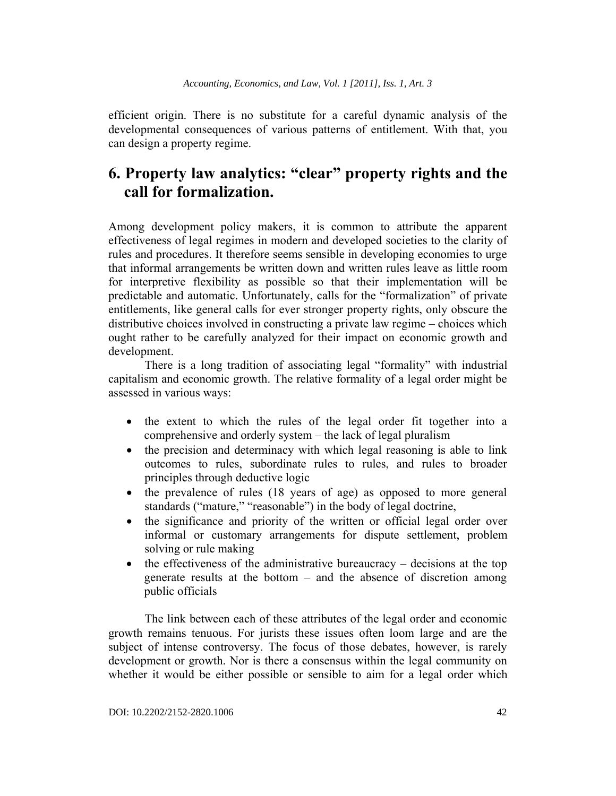efficient origin. There is no substitute for a careful dynamic analysis of the developmental consequences of various patterns of entitlement. With that, you can design a property regime.

### **6. Property law analytics: "clear" property rights and the call for formalization.**

Among development policy makers, it is common to attribute the apparent effectiveness of legal regimes in modern and developed societies to the clarity of rules and procedures. It therefore seems sensible in developing economies to urge that informal arrangements be written down and written rules leave as little room for interpretive flexibility as possible so that their implementation will be predictable and automatic. Unfortunately, calls for the "formalization" of private entitlements, like general calls for ever stronger property rights, only obscure the distributive choices involved in constructing a private law regime – choices which ought rather to be carefully analyzed for their impact on economic growth and development.

There is a long tradition of associating legal "formality" with industrial capitalism and economic growth. The relative formality of a legal order might be assessed in various ways:

- the extent to which the rules of the legal order fit together into a comprehensive and orderly system – the lack of legal pluralism
- the precision and determinacy with which legal reasoning is able to link outcomes to rules, subordinate rules to rules, and rules to broader principles through deductive logic
- the prevalence of rules (18 years of age) as opposed to more general standards ("mature," "reasonable") in the body of legal doctrine,
- the significance and priority of the written or official legal order over informal or customary arrangements for dispute settlement, problem solving or rule making
- the effectiveness of the administrative bureaucracy decisions at the top generate results at the bottom – and the absence of discretion among public officials

The link between each of these attributes of the legal order and economic growth remains tenuous. For jurists these issues often loom large and are the subject of intense controversy. The focus of those debates, however, is rarely development or growth. Nor is there a consensus within the legal community on whether it would be either possible or sensible to aim for a legal order which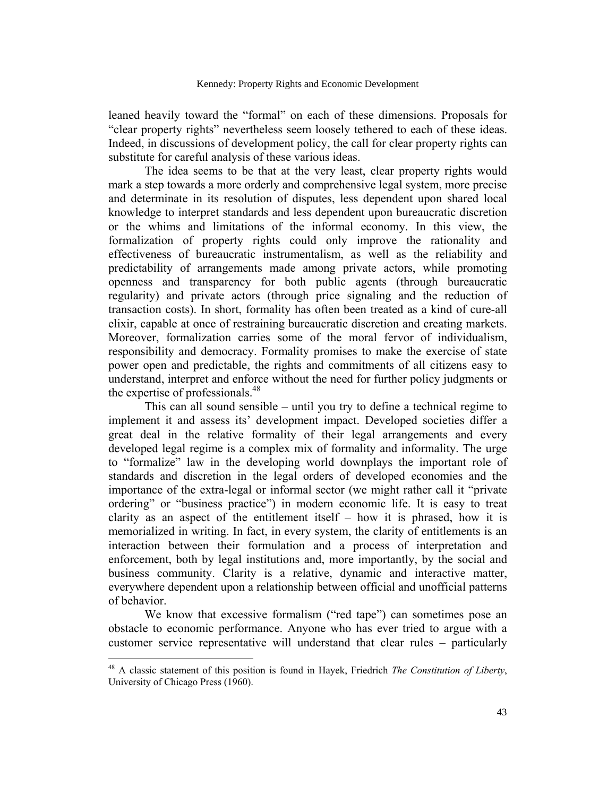leaned heavily toward the "formal" on each of these dimensions. Proposals for "clear property rights" nevertheless seem loosely tethered to each of these ideas. Indeed, in discussions of development policy, the call for clear property rights can substitute for careful analysis of these various ideas.

The idea seems to be that at the very least, clear property rights would mark a step towards a more orderly and comprehensive legal system, more precise and determinate in its resolution of disputes, less dependent upon shared local knowledge to interpret standards and less dependent upon bureaucratic discretion or the whims and limitations of the informal economy. In this view, the formalization of property rights could only improve the rationality and effectiveness of bureaucratic instrumentalism, as well as the reliability and predictability of arrangements made among private actors, while promoting openness and transparency for both public agents (through bureaucratic regularity) and private actors (through price signaling and the reduction of transaction costs). In short, formality has often been treated as a kind of cure-all elixir, capable at once of restraining bureaucratic discretion and creating markets. Moreover, formalization carries some of the moral fervor of individualism, responsibility and democracy. Formality promises to make the exercise of state power open and predictable, the rights and commitments of all citizens easy to understand, interpret and enforce without the need for further policy judgments or the expertise of professionals.<sup>48</sup>

This can all sound sensible – until you try to define a technical regime to implement it and assess its' development impact. Developed societies differ a great deal in the relative formality of their legal arrangements and every developed legal regime is a complex mix of formality and informality. The urge to "formalize" law in the developing world downplays the important role of standards and discretion in the legal orders of developed economies and the importance of the extra-legal or informal sector (we might rather call it "private ordering" or "business practice") in modern economic life. It is easy to treat clarity as an aspect of the entitlement itself – how it is phrased, how it is memorialized in writing. In fact, in every system, the clarity of entitlements is an interaction between their formulation and a process of interpretation and enforcement, both by legal institutions and, more importantly, by the social and business community. Clarity is a relative, dynamic and interactive matter, everywhere dependent upon a relationship between official and unofficial patterns of behavior.

We know that excessive formalism ("red tape") can sometimes pose an obstacle to economic performance. Anyone who has ever tried to argue with a customer service representative will understand that clear rules – particularly

<sup>48</sup> A classic statement of this position is found in Hayek, Friedrich *The Constitution of Liberty*, University of Chicago Press (1960).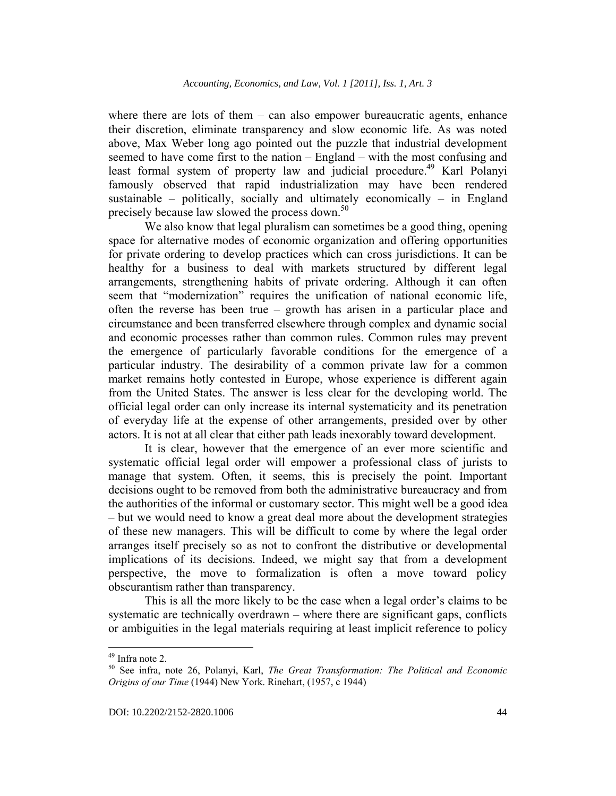where there are lots of them – can also empower bureaucratic agents, enhance their discretion, eliminate transparency and slow economic life. As was noted above, Max Weber long ago pointed out the puzzle that industrial development seemed to have come first to the nation – England – with the most confusing and least formal system of property law and judicial procedure.<sup>49</sup> Karl Polanyi famously observed that rapid industrialization may have been rendered sustainable – politically, socially and ultimately economically – in England precisely because law slowed the process down.<sup>50</sup>

We also know that legal pluralism can sometimes be a good thing, opening space for alternative modes of economic organization and offering opportunities for private ordering to develop practices which can cross jurisdictions. It can be healthy for a business to deal with markets structured by different legal arrangements, strengthening habits of private ordering. Although it can often seem that "modernization" requires the unification of national economic life, often the reverse has been true – growth has arisen in a particular place and circumstance and been transferred elsewhere through complex and dynamic social and economic processes rather than common rules. Common rules may prevent the emergence of particularly favorable conditions for the emergence of a particular industry. The desirability of a common private law for a common market remains hotly contested in Europe, whose experience is different again from the United States. The answer is less clear for the developing world. The official legal order can only increase its internal systematicity and its penetration of everyday life at the expense of other arrangements, presided over by other actors. It is not at all clear that either path leads inexorably toward development.

It is clear, however that the emergence of an ever more scientific and systematic official legal order will empower a professional class of jurists to manage that system. Often, it seems, this is precisely the point. Important decisions ought to be removed from both the administrative bureaucracy and from the authorities of the informal or customary sector. This might well be a good idea – but we would need to know a great deal more about the development strategies of these new managers. This will be difficult to come by where the legal order arranges itself precisely so as not to confront the distributive or developmental implications of its decisions. Indeed, we might say that from a development perspective, the move to formalization is often a move toward policy obscurantism rather than transparency.

This is all the more likely to be the case when a legal order's claims to be systematic are technically overdrawn – where there are significant gaps, conflicts or ambiguities in the legal materials requiring at least implicit reference to policy

 $\frac{49}{49}$  Infra note 2.

<sup>50</sup> See infra, note 26, Polanyi, Karl, *The Great Transformation: The Political and Economic Origins of our Time* (1944) New York. Rinehart, (1957, c 1944)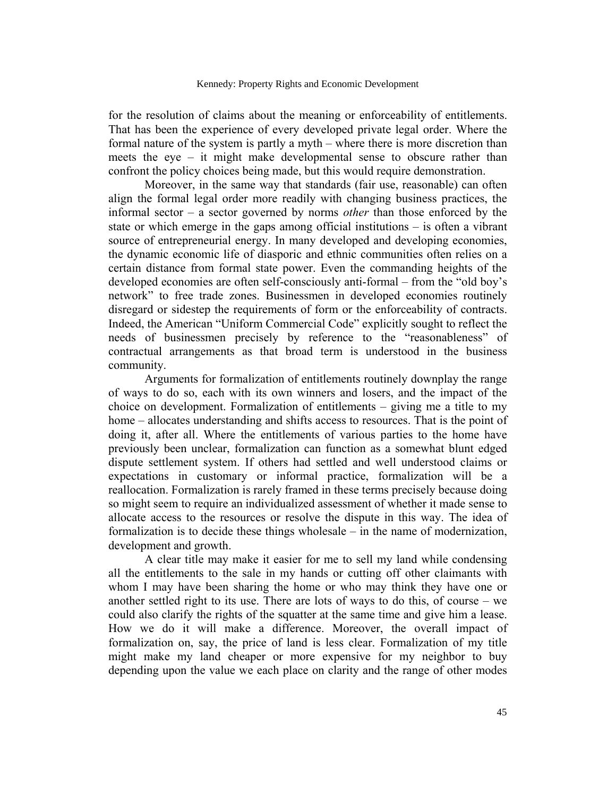for the resolution of claims about the meaning or enforceability of entitlements. That has been the experience of every developed private legal order. Where the formal nature of the system is partly a myth – where there is more discretion than meets the eye – it might make developmental sense to obscure rather than confront the policy choices being made, but this would require demonstration.

Moreover, in the same way that standards (fair use, reasonable) can often align the formal legal order more readily with changing business practices, the informal sector – a sector governed by norms *other* than those enforced by the state or which emerge in the gaps among official institutions – is often a vibrant source of entrepreneurial energy. In many developed and developing economies, the dynamic economic life of diasporic and ethnic communities often relies on a certain distance from formal state power. Even the commanding heights of the developed economies are often self-consciously anti-formal – from the "old boy's network" to free trade zones. Businessmen in developed economies routinely disregard or sidestep the requirements of form or the enforceability of contracts. Indeed, the American "Uniform Commercial Code" explicitly sought to reflect the needs of businessmen precisely by reference to the "reasonableness" of contractual arrangements as that broad term is understood in the business community.

Arguments for formalization of entitlements routinely downplay the range of ways to do so, each with its own winners and losers, and the impact of the choice on development. Formalization of entitlements – giving me a title to my home – allocates understanding and shifts access to resources. That is the point of doing it, after all. Where the entitlements of various parties to the home have previously been unclear, formalization can function as a somewhat blunt edged dispute settlement system. If others had settled and well understood claims or expectations in customary or informal practice, formalization will be a reallocation. Formalization is rarely framed in these terms precisely because doing so might seem to require an individualized assessment of whether it made sense to allocate access to the resources or resolve the dispute in this way. The idea of formalization is to decide these things wholesale – in the name of modernization, development and growth.

A clear title may make it easier for me to sell my land while condensing all the entitlements to the sale in my hands or cutting off other claimants with whom I may have been sharing the home or who may think they have one or another settled right to its use. There are lots of ways to do this, of course – we could also clarify the rights of the squatter at the same time and give him a lease. How we do it will make a difference. Moreover, the overall impact of formalization on, say, the price of land is less clear. Formalization of my title might make my land cheaper or more expensive for my neighbor to buy depending upon the value we each place on clarity and the range of other modes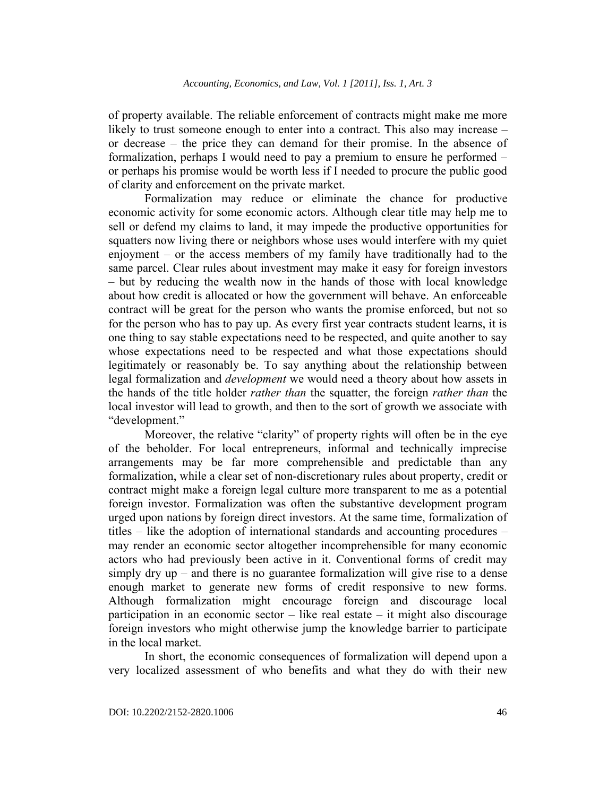of property available. The reliable enforcement of contracts might make me more likely to trust someone enough to enter into a contract. This also may increase – or decrease – the price they can demand for their promise. In the absence of formalization, perhaps I would need to pay a premium to ensure he performed – or perhaps his promise would be worth less if I needed to procure the public good of clarity and enforcement on the private market.

Formalization may reduce or eliminate the chance for productive economic activity for some economic actors. Although clear title may help me to sell or defend my claims to land, it may impede the productive opportunities for squatters now living there or neighbors whose uses would interfere with my quiet enjoyment – or the access members of my family have traditionally had to the same parcel. Clear rules about investment may make it easy for foreign investors – but by reducing the wealth now in the hands of those with local knowledge about how credit is allocated or how the government will behave. An enforceable contract will be great for the person who wants the promise enforced, but not so for the person who has to pay up. As every first year contracts student learns, it is one thing to say stable expectations need to be respected, and quite another to say whose expectations need to be respected and what those expectations should legitimately or reasonably be. To say anything about the relationship between legal formalization and *development* we would need a theory about how assets in the hands of the title holder *rather than* the squatter, the foreign *rather than* the local investor will lead to growth, and then to the sort of growth we associate with "development."

Moreover, the relative "clarity" of property rights will often be in the eye of the beholder. For local entrepreneurs, informal and technically imprecise arrangements may be far more comprehensible and predictable than any formalization, while a clear set of non-discretionary rules about property, credit or contract might make a foreign legal culture more transparent to me as a potential foreign investor. Formalization was often the substantive development program urged upon nations by foreign direct investors. At the same time, formalization of titles – like the adoption of international standards and accounting procedures – may render an economic sector altogether incomprehensible for many economic actors who had previously been active in it. Conventional forms of credit may simply dry up – and there is no guarantee formalization will give rise to a dense enough market to generate new forms of credit responsive to new forms. Although formalization might encourage foreign and discourage local participation in an economic sector – like real estate – it might also discourage foreign investors who might otherwise jump the knowledge barrier to participate in the local market.

In short, the economic consequences of formalization will depend upon a very localized assessment of who benefits and what they do with their new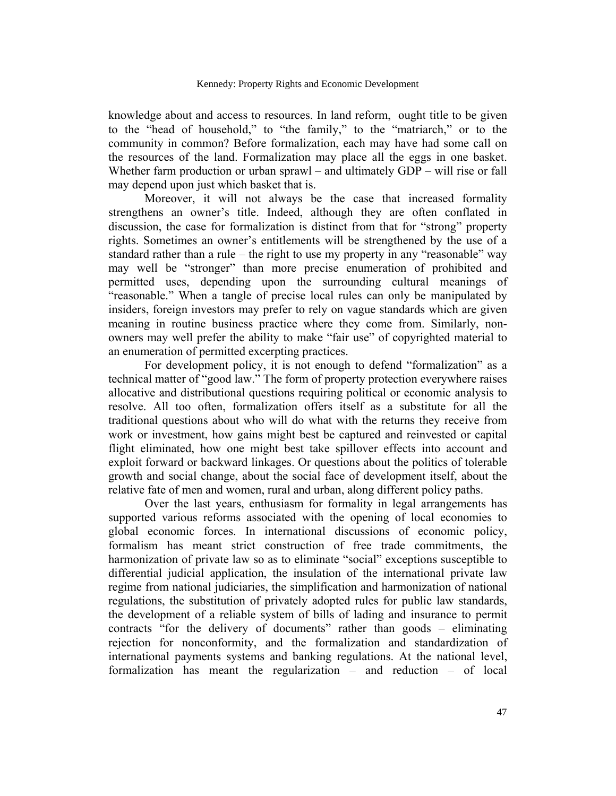knowledge about and access to resources. In land reform, ought title to be given to the "head of household," to "the family," to the "matriarch," or to the community in common? Before formalization, each may have had some call on the resources of the land. Formalization may place all the eggs in one basket. Whether farm production or urban sprawl – and ultimately GDP – will rise or fall may depend upon just which basket that is.

Moreover, it will not always be the case that increased formality strengthens an owner's title. Indeed, although they are often conflated in discussion, the case for formalization is distinct from that for "strong" property rights. Sometimes an owner's entitlements will be strengthened by the use of a standard rather than a rule – the right to use my property in any "reasonable" way may well be "stronger" than more precise enumeration of prohibited and permitted uses, depending upon the surrounding cultural meanings of "reasonable." When a tangle of precise local rules can only be manipulated by insiders, foreign investors may prefer to rely on vague standards which are given meaning in routine business practice where they come from. Similarly, nonowners may well prefer the ability to make "fair use" of copyrighted material to an enumeration of permitted excerpting practices.

For development policy, it is not enough to defend "formalization" as a technical matter of "good law." The form of property protection everywhere raises allocative and distributional questions requiring political or economic analysis to resolve. All too often, formalization offers itself as a substitute for all the traditional questions about who will do what with the returns they receive from work or investment, how gains might best be captured and reinvested or capital flight eliminated, how one might best take spillover effects into account and exploit forward or backward linkages. Or questions about the politics of tolerable growth and social change, about the social face of development itself, about the relative fate of men and women, rural and urban, along different policy paths.

Over the last years, enthusiasm for formality in legal arrangements has supported various reforms associated with the opening of local economies to global economic forces. In international discussions of economic policy, formalism has meant strict construction of free trade commitments, the harmonization of private law so as to eliminate "social" exceptions susceptible to differential judicial application, the insulation of the international private law regime from national judiciaries, the simplification and harmonization of national regulations, the substitution of privately adopted rules for public law standards, the development of a reliable system of bills of lading and insurance to permit contracts "for the delivery of documents" rather than goods – eliminating rejection for nonconformity, and the formalization and standardization of international payments systems and banking regulations. At the national level, formalization has meant the regularization – and reduction – of local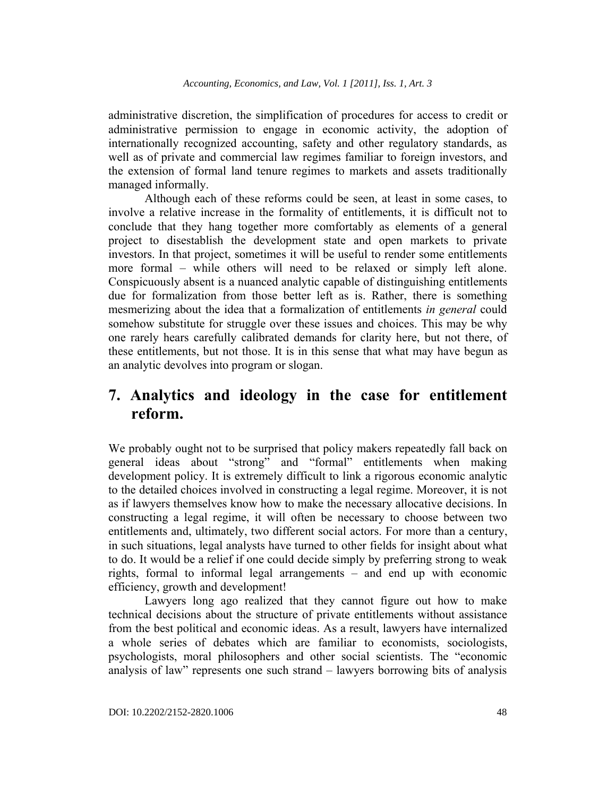administrative discretion, the simplification of procedures for access to credit or administrative permission to engage in economic activity, the adoption of internationally recognized accounting, safety and other regulatory standards, as well as of private and commercial law regimes familiar to foreign investors, and the extension of formal land tenure regimes to markets and assets traditionally managed informally.

Although each of these reforms could be seen, at least in some cases, to involve a relative increase in the formality of entitlements, it is difficult not to conclude that they hang together more comfortably as elements of a general project to disestablish the development state and open markets to private investors. In that project, sometimes it will be useful to render some entitlements more formal – while others will need to be relaxed or simply left alone. Conspicuously absent is a nuanced analytic capable of distinguishing entitlements due for formalization from those better left as is. Rather, there is something mesmerizing about the idea that a formalization of entitlements *in general* could somehow substitute for struggle over these issues and choices. This may be why one rarely hears carefully calibrated demands for clarity here, but not there, of these entitlements, but not those. It is in this sense that what may have begun as an analytic devolves into program or slogan.

#### **7. Analytics and ideology in the case for entitlement reform.**

We probably ought not to be surprised that policy makers repeatedly fall back on general ideas about "strong" and "formal" entitlements when making development policy. It is extremely difficult to link a rigorous economic analytic to the detailed choices involved in constructing a legal regime. Moreover, it is not as if lawyers themselves know how to make the necessary allocative decisions. In constructing a legal regime, it will often be necessary to choose between two entitlements and, ultimately, two different social actors. For more than a century, in such situations, legal analysts have turned to other fields for insight about what to do. It would be a relief if one could decide simply by preferring strong to weak rights, formal to informal legal arrangements – and end up with economic efficiency, growth and development!

Lawyers long ago realized that they cannot figure out how to make technical decisions about the structure of private entitlements without assistance from the best political and economic ideas. As a result, lawyers have internalized a whole series of debates which are familiar to economists, sociologists, psychologists, moral philosophers and other social scientists. The "economic analysis of law" represents one such strand – lawyers borrowing bits of analysis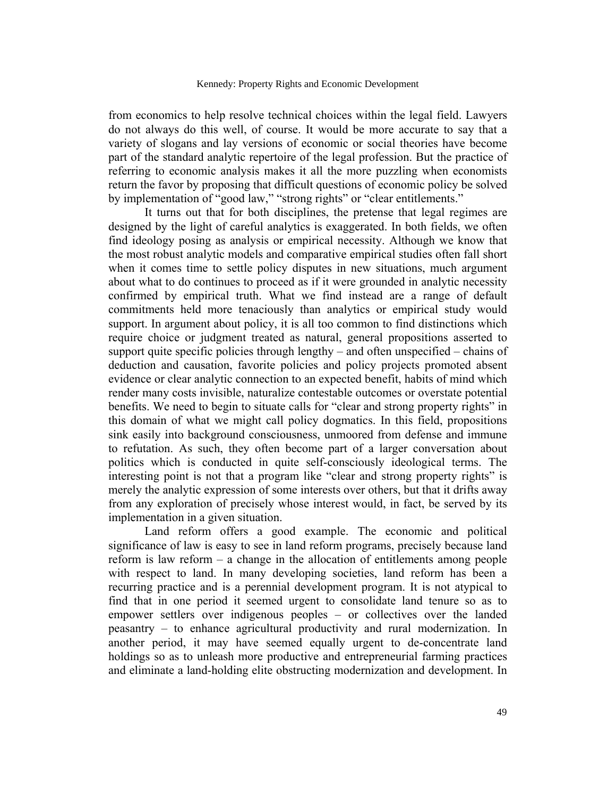from economics to help resolve technical choices within the legal field. Lawyers do not always do this well, of course. It would be more accurate to say that a variety of slogans and lay versions of economic or social theories have become part of the standard analytic repertoire of the legal profession. But the practice of referring to economic analysis makes it all the more puzzling when economists return the favor by proposing that difficult questions of economic policy be solved by implementation of "good law," "strong rights" or "clear entitlements."

It turns out that for both disciplines, the pretense that legal regimes are designed by the light of careful analytics is exaggerated. In both fields, we often find ideology posing as analysis or empirical necessity. Although we know that the most robust analytic models and comparative empirical studies often fall short when it comes time to settle policy disputes in new situations, much argument about what to do continues to proceed as if it were grounded in analytic necessity confirmed by empirical truth. What we find instead are a range of default commitments held more tenaciously than analytics or empirical study would support. In argument about policy, it is all too common to find distinctions which require choice or judgment treated as natural, general propositions asserted to support quite specific policies through lengthy – and often unspecified – chains of deduction and causation, favorite policies and policy projects promoted absent evidence or clear analytic connection to an expected benefit, habits of mind which render many costs invisible, naturalize contestable outcomes or overstate potential benefits. We need to begin to situate calls for "clear and strong property rights" in this domain of what we might call policy dogmatics. In this field, propositions sink easily into background consciousness, unmoored from defense and immune to refutation. As such, they often become part of a larger conversation about politics which is conducted in quite self-consciously ideological terms. The interesting point is not that a program like "clear and strong property rights" is merely the analytic expression of some interests over others, but that it drifts away from any exploration of precisely whose interest would, in fact, be served by its implementation in a given situation.

Land reform offers a good example. The economic and political significance of law is easy to see in land reform programs, precisely because land reform is law reform – a change in the allocation of entitlements among people with respect to land. In many developing societies, land reform has been a recurring practice and is a perennial development program. It is not atypical to find that in one period it seemed urgent to consolidate land tenure so as to empower settlers over indigenous peoples – or collectives over the landed peasantry – to enhance agricultural productivity and rural modernization. In another period, it may have seemed equally urgent to de-concentrate land holdings so as to unleash more productive and entrepreneurial farming practices and eliminate a land-holding elite obstructing modernization and development. In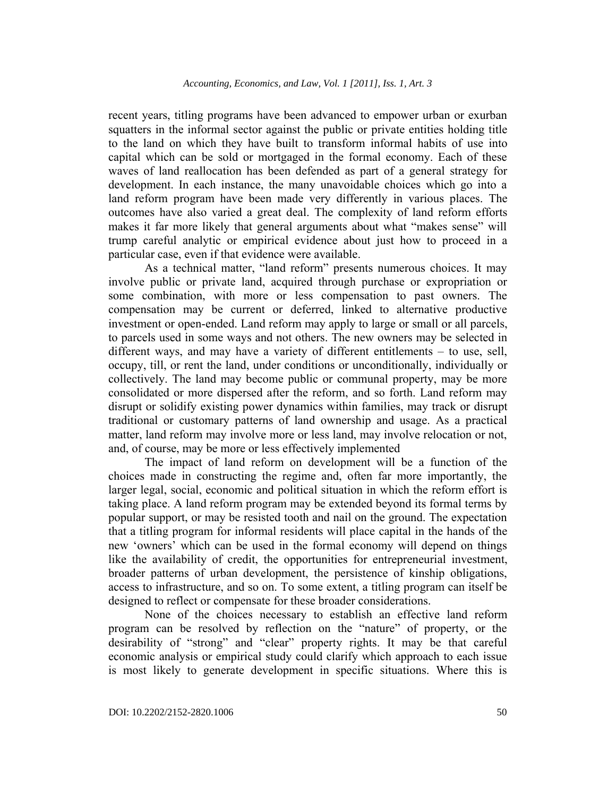recent years, titling programs have been advanced to empower urban or exurban squatters in the informal sector against the public or private entities holding title to the land on which they have built to transform informal habits of use into capital which can be sold or mortgaged in the formal economy. Each of these waves of land reallocation has been defended as part of a general strategy for development. In each instance, the many unavoidable choices which go into a land reform program have been made very differently in various places. The outcomes have also varied a great deal. The complexity of land reform efforts makes it far more likely that general arguments about what "makes sense" will trump careful analytic or empirical evidence about just how to proceed in a particular case, even if that evidence were available.

As a technical matter, "land reform" presents numerous choices. It may involve public or private land, acquired through purchase or expropriation or some combination, with more or less compensation to past owners. The compensation may be current or deferred, linked to alternative productive investment or open-ended. Land reform may apply to large or small or all parcels, to parcels used in some ways and not others. The new owners may be selected in different ways, and may have a variety of different entitlements – to use, sell, occupy, till, or rent the land, under conditions or unconditionally, individually or collectively. The land may become public or communal property, may be more consolidated or more dispersed after the reform, and so forth. Land reform may disrupt or solidify existing power dynamics within families, may track or disrupt traditional or customary patterns of land ownership and usage. As a practical matter, land reform may involve more or less land, may involve relocation or not, and, of course, may be more or less effectively implemented

The impact of land reform on development will be a function of the choices made in constructing the regime and, often far more importantly, the larger legal, social, economic and political situation in which the reform effort is taking place. A land reform program may be extended beyond its formal terms by popular support, or may be resisted tooth and nail on the ground. The expectation that a titling program for informal residents will place capital in the hands of the new 'owners' which can be used in the formal economy will depend on things like the availability of credit, the opportunities for entrepreneurial investment, broader patterns of urban development, the persistence of kinship obligations, access to infrastructure, and so on. To some extent, a titling program can itself be designed to reflect or compensate for these broader considerations.

None of the choices necessary to establish an effective land reform program can be resolved by reflection on the "nature" of property, or the desirability of "strong" and "clear" property rights. It may be that careful economic analysis or empirical study could clarify which approach to each issue is most likely to generate development in specific situations. Where this is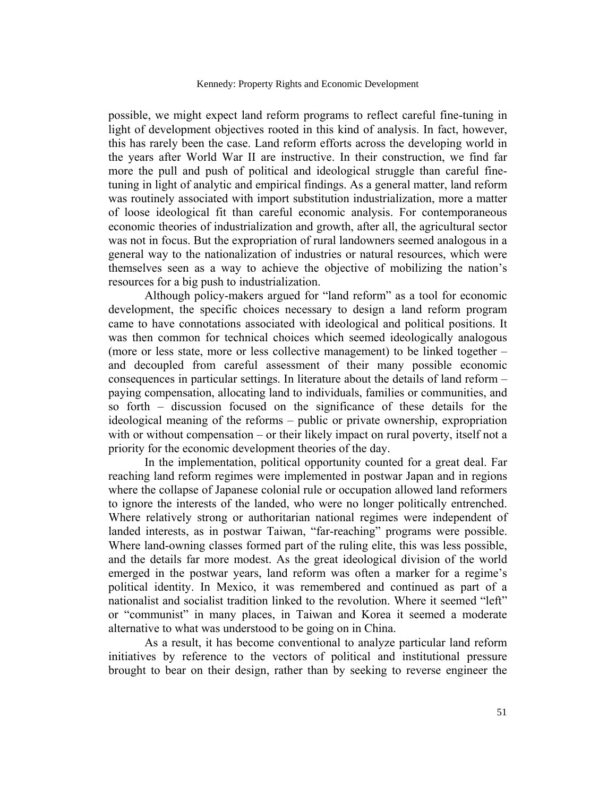possible, we might expect land reform programs to reflect careful fine-tuning in light of development objectives rooted in this kind of analysis. In fact, however, this has rarely been the case. Land reform efforts across the developing world in the years after World War II are instructive. In their construction, we find far more the pull and push of political and ideological struggle than careful finetuning in light of analytic and empirical findings. As a general matter, land reform was routinely associated with import substitution industrialization, more a matter of loose ideological fit than careful economic analysis. For contemporaneous economic theories of industrialization and growth, after all, the agricultural sector was not in focus. But the expropriation of rural landowners seemed analogous in a general way to the nationalization of industries or natural resources, which were themselves seen as a way to achieve the objective of mobilizing the nation's resources for a big push to industrialization.

Although policy-makers argued for "land reform" as a tool for economic development, the specific choices necessary to design a land reform program came to have connotations associated with ideological and political positions. It was then common for technical choices which seemed ideologically analogous (more or less state, more or less collective management) to be linked together – and decoupled from careful assessment of their many possible economic consequences in particular settings. In literature about the details of land reform – paying compensation, allocating land to individuals, families or communities, and so forth – discussion focused on the significance of these details for the ideological meaning of the reforms – public or private ownership, expropriation with or without compensation – or their likely impact on rural poverty, itself not a priority for the economic development theories of the day.

In the implementation, political opportunity counted for a great deal. Far reaching land reform regimes were implemented in postwar Japan and in regions where the collapse of Japanese colonial rule or occupation allowed land reformers to ignore the interests of the landed, who were no longer politically entrenched. Where relatively strong or authoritarian national regimes were independent of landed interests, as in postwar Taiwan, "far-reaching" programs were possible. Where land-owning classes formed part of the ruling elite, this was less possible, and the details far more modest. As the great ideological division of the world emerged in the postwar years, land reform was often a marker for a regime's political identity. In Mexico, it was remembered and continued as part of a nationalist and socialist tradition linked to the revolution. Where it seemed "left" or "communist" in many places, in Taiwan and Korea it seemed a moderate alternative to what was understood to be going on in China.

As a result, it has become conventional to analyze particular land reform initiatives by reference to the vectors of political and institutional pressure brought to bear on their design, rather than by seeking to reverse engineer the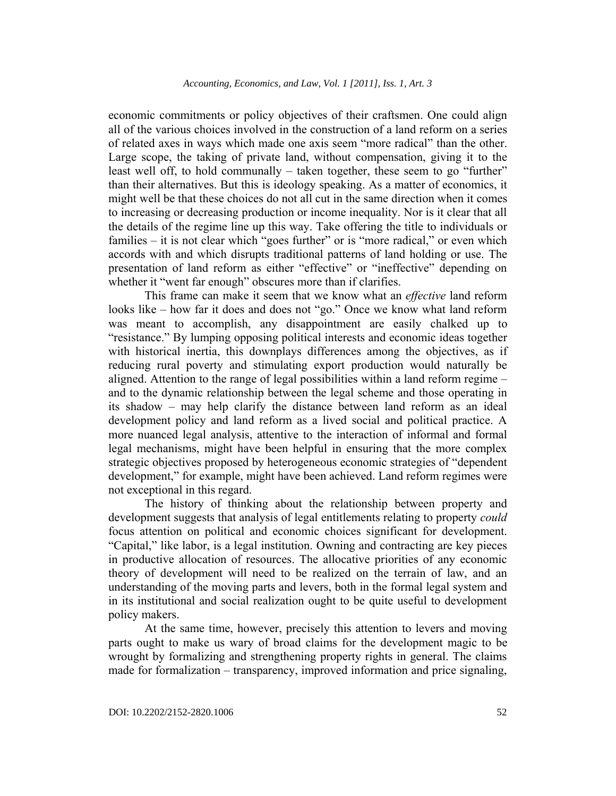economic commitments or policy objectives of their craftsmen. One could align all of the various choices involved in the construction of a land reform on a series of related axes in ways which made one axis seem "more radical" than the other. Large scope, the taking of private land, without compensation, giving it to the least well off, to hold communally – taken together, these seem to go "further" than their alternatives. But this is ideology speaking. As a matter of economics, it might well be that these choices do not all cut in the same direction when it comes to increasing or decreasing production or income inequality. Nor is it clear that all the details of the regime line up this way. Take offering the title to individuals or families – it is not clear which "goes further" or is "more radical," or even which accords with and which disrupts traditional patterns of land holding or use. The presentation of land reform as either "effective" or "ineffective" depending on whether it "went far enough" obscures more than if clarifies.

This frame can make it seem that we know what an *effective* land reform looks like – how far it does and does not "go." Once we know what land reform was meant to accomplish, any disappointment are easily chalked up to "resistance." By lumping opposing political interests and economic ideas together with historical inertia, this downplays differences among the objectives, as if reducing rural poverty and stimulating export production would naturally be aligned. Attention to the range of legal possibilities within a land reform regime – and to the dynamic relationship between the legal scheme and those operating in its shadow – may help clarify the distance between land reform as an ideal development policy and land reform as a lived social and political practice. A more nuanced legal analysis, attentive to the interaction of informal and formal legal mechanisms, might have been helpful in ensuring that the more complex strategic objectives proposed by heterogeneous economic strategies of "dependent development," for example, might have been achieved. Land reform regimes were not exceptional in this regard.

The history of thinking about the relationship between property and development suggests that analysis of legal entitlements relating to property *could*  focus attention on political and economic choices significant for development. "Capital," like labor, is a legal institution. Owning and contracting are key pieces in productive allocation of resources. The allocative priorities of any economic theory of development will need to be realized on the terrain of law, and an understanding of the moving parts and levers, both in the formal legal system and in its institutional and social realization ought to be quite useful to development policy makers.

At the same time, however, precisely this attention to levers and moving parts ought to make us wary of broad claims for the development magic to be wrought by formalizing and strengthening property rights in general. The claims made for formalization – transparency, improved information and price signaling,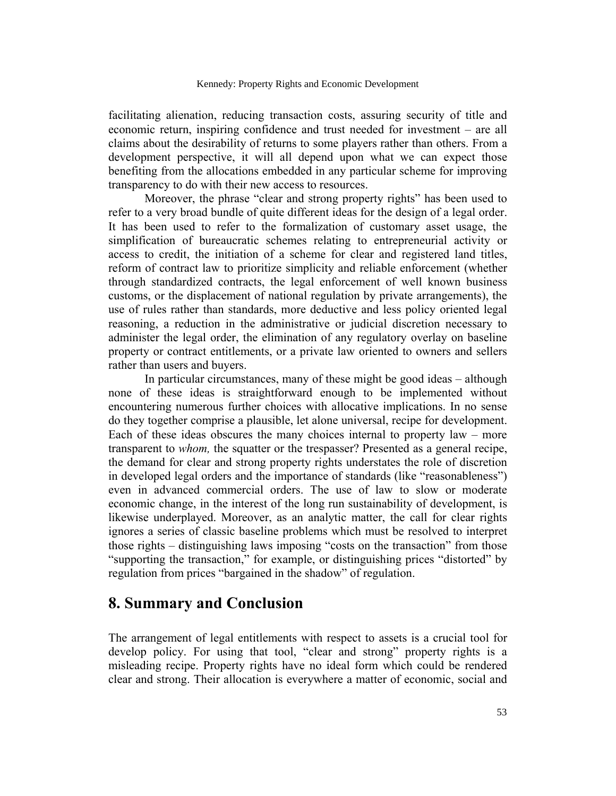facilitating alienation, reducing transaction costs, assuring security of title and economic return, inspiring confidence and trust needed for investment – are all claims about the desirability of returns to some players rather than others. From a development perspective, it will all depend upon what we can expect those benefiting from the allocations embedded in any particular scheme for improving transparency to do with their new access to resources.

Moreover, the phrase "clear and strong property rights" has been used to refer to a very broad bundle of quite different ideas for the design of a legal order. It has been used to refer to the formalization of customary asset usage, the simplification of bureaucratic schemes relating to entrepreneurial activity or access to credit, the initiation of a scheme for clear and registered land titles, reform of contract law to prioritize simplicity and reliable enforcement (whether through standardized contracts, the legal enforcement of well known business customs, or the displacement of national regulation by private arrangements), the use of rules rather than standards, more deductive and less policy oriented legal reasoning, a reduction in the administrative or judicial discretion necessary to administer the legal order, the elimination of any regulatory overlay on baseline property or contract entitlements, or a private law oriented to owners and sellers rather than users and buyers.

In particular circumstances, many of these might be good ideas – although none of these ideas is straightforward enough to be implemented without encountering numerous further choices with allocative implications. In no sense do they together comprise a plausible, let alone universal, recipe for development. Each of these ideas obscures the many choices internal to property law – more transparent to *whom,* the squatter or the trespasser? Presented as a general recipe, the demand for clear and strong property rights understates the role of discretion in developed legal orders and the importance of standards (like "reasonableness") even in advanced commercial orders. The use of law to slow or moderate economic change, in the interest of the long run sustainability of development, is likewise underplayed. Moreover, as an analytic matter, the call for clear rights ignores a series of classic baseline problems which must be resolved to interpret those rights – distinguishing laws imposing "costs on the transaction" from those "supporting the transaction," for example, or distinguishing prices "distorted" by regulation from prices "bargained in the shadow" of regulation.

### **8. Summary and Conclusion**

The arrangement of legal entitlements with respect to assets is a crucial tool for develop policy. For using that tool, "clear and strong" property rights is a misleading recipe. Property rights have no ideal form which could be rendered clear and strong. Their allocation is everywhere a matter of economic, social and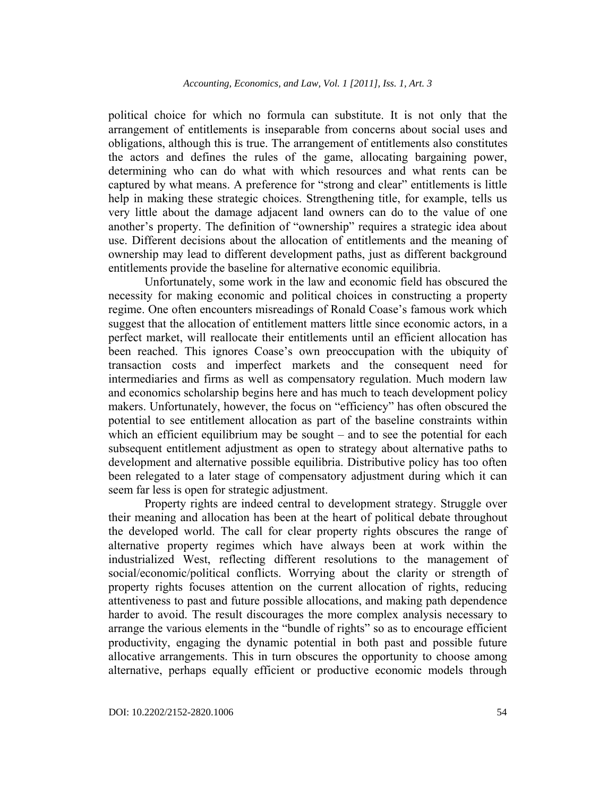political choice for which no formula can substitute. It is not only that the arrangement of entitlements is inseparable from concerns about social uses and obligations, although this is true. The arrangement of entitlements also constitutes the actors and defines the rules of the game, allocating bargaining power, determining who can do what with which resources and what rents can be captured by what means. A preference for "strong and clear" entitlements is little help in making these strategic choices. Strengthening title, for example, tells us very little about the damage adjacent land owners can do to the value of one another's property. The definition of "ownership" requires a strategic idea about use. Different decisions about the allocation of entitlements and the meaning of ownership may lead to different development paths, just as different background entitlements provide the baseline for alternative economic equilibria.

Unfortunately, some work in the law and economic field has obscured the necessity for making economic and political choices in constructing a property regime. One often encounters misreadings of Ronald Coase's famous work which suggest that the allocation of entitlement matters little since economic actors, in a perfect market, will reallocate their entitlements until an efficient allocation has been reached. This ignores Coase's own preoccupation with the ubiquity of transaction costs and imperfect markets and the consequent need for intermediaries and firms as well as compensatory regulation. Much modern law and economics scholarship begins here and has much to teach development policy makers. Unfortunately, however, the focus on "efficiency" has often obscured the potential to see entitlement allocation as part of the baseline constraints within which an efficient equilibrium may be sought – and to see the potential for each subsequent entitlement adjustment as open to strategy about alternative paths to development and alternative possible equilibria. Distributive policy has too often been relegated to a later stage of compensatory adjustment during which it can seem far less is open for strategic adjustment.

Property rights are indeed central to development strategy. Struggle over their meaning and allocation has been at the heart of political debate throughout the developed world. The call for clear property rights obscures the range of alternative property regimes which have always been at work within the industrialized West, reflecting different resolutions to the management of social/economic/political conflicts. Worrying about the clarity or strength of property rights focuses attention on the current allocation of rights, reducing attentiveness to past and future possible allocations, and making path dependence harder to avoid. The result discourages the more complex analysis necessary to arrange the various elements in the "bundle of rights" so as to encourage efficient productivity, engaging the dynamic potential in both past and possible future allocative arrangements. This in turn obscures the opportunity to choose among alternative, perhaps equally efficient or productive economic models through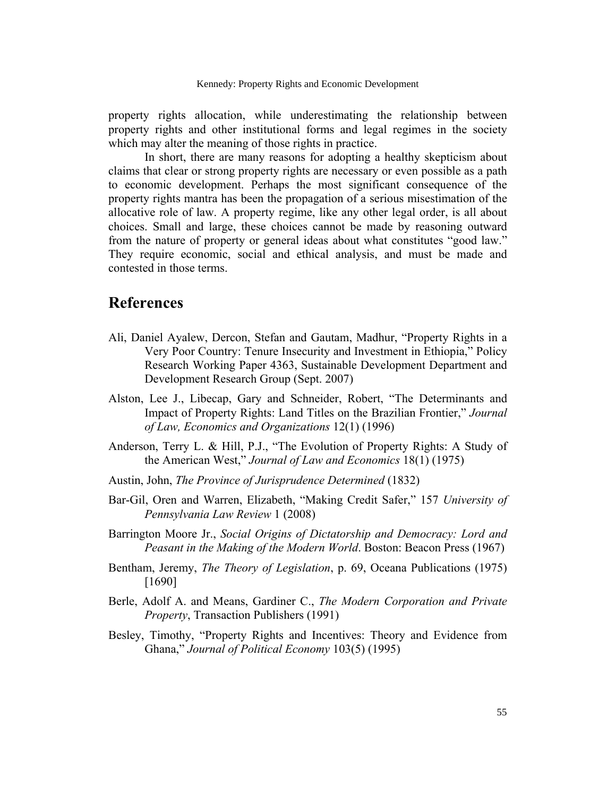property rights allocation, while underestimating the relationship between property rights and other institutional forms and legal regimes in the society which may alter the meaning of those rights in practice.

In short, there are many reasons for adopting a healthy skepticism about claims that clear or strong property rights are necessary or even possible as a path to economic development. Perhaps the most significant consequence of the property rights mantra has been the propagation of a serious misestimation of the allocative role of law. A property regime, like any other legal order, is all about choices. Small and large, these choices cannot be made by reasoning outward from the nature of property or general ideas about what constitutes "good law." They require economic, social and ethical analysis, and must be made and contested in those terms.

#### **References**

- Ali, Daniel Ayalew, Dercon, Stefan and Gautam, Madhur, "Property Rights in a Very Poor Country: Tenure Insecurity and Investment in Ethiopia," Policy Research Working Paper 4363, Sustainable Development Department and Development Research Group (Sept. 2007)
- Alston, Lee J., Libecap, Gary and Schneider, Robert, "The Determinants and Impact of Property Rights: Land Titles on the Brazilian Frontier," *Journal of Law, Economics and Organizations* 12(1) (1996)
- Anderson, Terry L. & Hill, P.J., "The Evolution of Property Rights: A Study of the American West," *Journal of Law and Economics* 18(1) (1975)
- Austin, John, *The Province of Jurisprudence Determined* (1832)
- Bar-Gil, Oren and Warren, Elizabeth, "Making Credit Safer," 157 *University of Pennsylvania Law Review* 1 (2008)
- Barrington Moore Jr., *Social Origins of Dictatorship and Democracy: Lord and Peasant in the Making of the Modern World*. Boston: Beacon Press (1967)
- Bentham, Jeremy, *The Theory of Legislation*, p. 69, Oceana Publications (1975) [1690]
- Berle, Adolf A. and Means, Gardiner C., *The Modern Corporation and Private Property*, Transaction Publishers (1991)
- Besley, Timothy, "Property Rights and Incentives: Theory and Evidence from Ghana," *Journal of Political Economy* 103(5) (1995)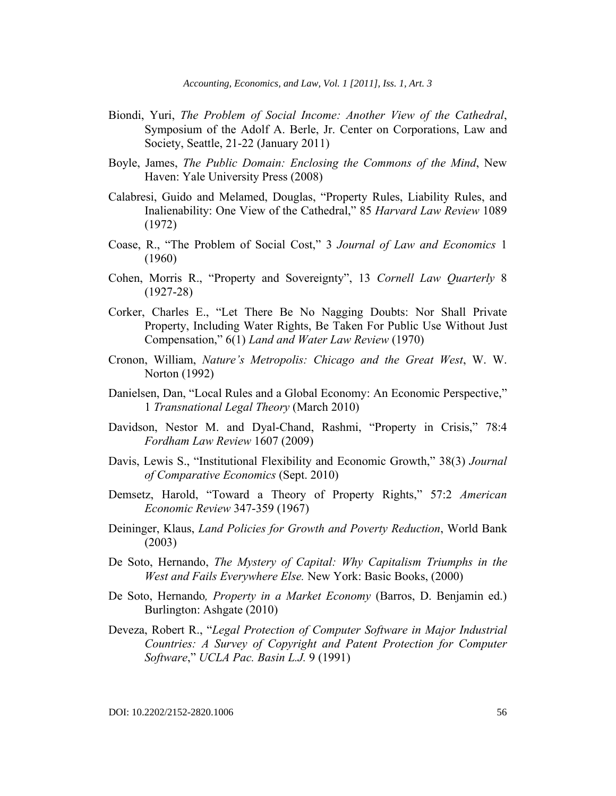- Biondi, Yuri, *The Problem of Social Income: Another View of the Cathedral*, Symposium of the Adolf A. Berle, Jr. Center on Corporations, Law and Society, Seattle, 21-22 (January 2011)
- Boyle, James, *The Public Domain: Enclosing the Commons of the Mind*, New Haven: Yale University Press (2008)
- Calabresi, Guido and Melamed, Douglas, "Property Rules, Liability Rules, and Inalienability: One View of the Cathedral," 85 *Harvard Law Review* 1089 (1972)
- Coase, R., "The Problem of Social Cost," 3 *Journal of Law and Economics* 1 (1960)
- Cohen, Morris R., "Property and Sovereignty", 13 *Cornell Law Quarterly* 8 (1927-28)
- Corker, Charles E., "Let There Be No Nagging Doubts: Nor Shall Private Property, Including Water Rights, Be Taken For Public Use Without Just Compensation," 6(1) *Land and Water Law Review* (1970)
- Cronon, William, *Nature's Metropolis: Chicago and the Great West*, W. W. Norton (1992)
- Danielsen, Dan, "Local Rules and a Global Economy: An Economic Perspective," 1 *Transnational Legal Theory* (March 2010)
- Davidson, Nestor M. and Dyal-Chand, Rashmi, "Property in Crisis," 78:4 *Fordham Law Review* 1607 (2009)
- Davis, Lewis S., "Institutional Flexibility and Economic Growth," 38(3) *Journal of Comparative Economics* (Sept. 2010)
- Demsetz, Harold, "Toward a Theory of Property Rights," 57:2 *American Economic Review* 347-359 (1967)
- Deininger, Klaus, *Land Policies for Growth and Poverty Reduction*, World Bank (2003)
- De Soto, Hernando, *The Mystery of Capital: Why Capitalism Triumphs in the West and Fails Everywhere Else.* New York: Basic Books, (2000)
- De Soto, Hernando*, Property in a Market Economy* (Barros, D. Benjamin ed.) Burlington: Ashgate (2010)
- Deveza, Robert R., "*Legal Protection of Computer Software in Major Industrial Countries: A Survey of Copyright and Patent Protection for Computer Software*," *UCLA Pac. Basin L.J.* 9 (1991)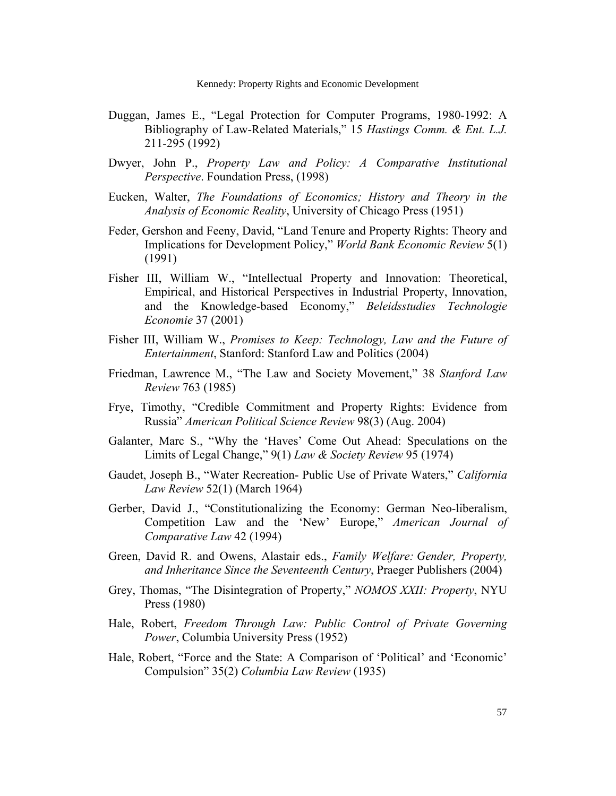Kennedy: Property Rights and Economic Development

- Duggan, James E., "Legal Protection for Computer Programs, 1980-1992: A Bibliography of Law-Related Materials," 15 *Hastings Comm. & Ent. L.J.* 211-295 (1992)
- Dwyer, John P., *Property Law and Policy: A Comparative Institutional Perspective*. Foundation Press, (1998)
- Eucken, Walter, *The Foundations of Economics; History and Theory in the Analysis of Economic Reality*, University of Chicago Press (1951)
- Feder, Gershon and Feeny, David, "Land Tenure and Property Rights: Theory and Implications for Development Policy," *World Bank Economic Review* 5(1) (1991)
- Fisher III, William W., "Intellectual Property and Innovation: Theoretical, Empirical, and Historical Perspectives in Industrial Property, Innovation, and the Knowledge-based Economy," *Beleidsstudies Technologie Economie* 37 (2001)
- Fisher III, William W., *Promises to Keep: Technology, Law and the Future of Entertainment*, Stanford: Stanford Law and Politics (2004)
- Friedman, Lawrence M., "The Law and Society Movement," 38 *Stanford Law Review* 763 (1985)
- Frye, Timothy, "Credible Commitment and Property Rights: Evidence from Russia" *American Political Science Review* 98(3) (Aug. 2004)
- Galanter, Marc S., "Why the 'Haves' Come Out Ahead: Speculations on the Limits of Legal Change," 9(1) *Law & Society Review* 95 (1974)
- Gaudet, Joseph B., "Water Recreation- Public Use of Private Waters," *California Law Review* 52(1) (March 1964)
- Gerber, David J., "Constitutionalizing the Economy: German Neo-liberalism, Competition Law and the 'New' Europe," *American Journal of Comparative Law* 42 (1994)
- Green, David R. and Owens, Alastair eds., *Family Welfare: Gender, Property, and Inheritance Since the Seventeenth Century*, Praeger Publishers (2004)
- Grey, Thomas, "The Disintegration of Property," *NOMOS XXII: Property*, NYU Press (1980)
- Hale, Robert, *Freedom Through Law: Public Control of Private Governing Power*, Columbia University Press (1952)
- Hale, Robert, "Force and the State: A Comparison of 'Political' and 'Economic' Compulsion" 35(2) *Columbia Law Review* (1935)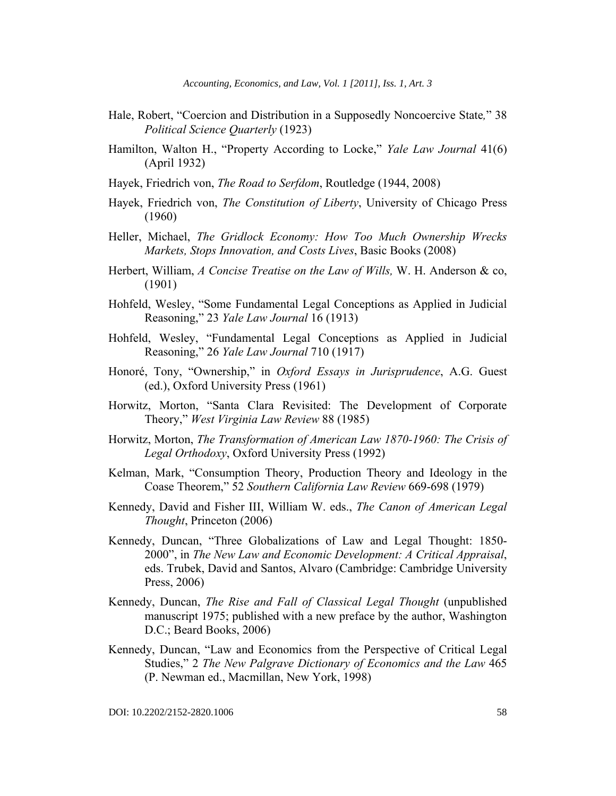- Hale, Robert, "Coercion and Distribution in a Supposedly Noncoercive State*,*" 38 *Political Science Quarterly* (1923)
- Hamilton, Walton H., "Property According to Locke," *Yale Law Journal* 41(6) (April 1932)
- Hayek, Friedrich von, *The Road to Serfdom*, Routledge (1944, 2008)
- Hayek, Friedrich von, *The Constitution of Liberty*, University of Chicago Press (1960)
- Heller, Michael, *The Gridlock Economy: How Too Much Ownership Wrecks Markets, Stops Innovation, and Costs Lives*, Basic Books (2008)
- Herbert, William, *A Concise Treatise on the Law of Wills,* W. H. Anderson & co, (1901)
- Hohfeld, Wesley, "Some Fundamental Legal Conceptions as Applied in Judicial Reasoning," 23 *Yale Law Journal* 16 (1913)
- Hohfeld, Wesley, "Fundamental Legal Conceptions as Applied in Judicial Reasoning," 26 *Yale Law Journal* 710 (1917)
- Honoré, Tony, "Ownership," in *Oxford Essays in Jurisprudence*, A.G. Guest (ed.), Oxford University Press (1961)
- Horwitz, Morton, "Santa Clara Revisited: The Development of Corporate Theory," *West Virginia Law Review* 88 (1985)
- Horwitz, Morton, *The Transformation of American Law 1870-1960: The Crisis of Legal Orthodoxy*, Oxford University Press (1992)
- Kelman, Mark, "Consumption Theory, Production Theory and Ideology in the Coase Theorem," 52 *Southern California Law Review* 669-698 (1979)
- Kennedy, David and Fisher III, William W. eds., *The Canon of American Legal Thought*, Princeton (2006)
- Kennedy, Duncan, "Three Globalizations of Law and Legal Thought: 1850- 2000", in *The New Law and Economic Development: A Critical Appraisal*, eds. Trubek, David and Santos, Alvaro (Cambridge: Cambridge University Press, 2006)
- Kennedy, Duncan, *The Rise and Fall of Classical Legal Thought* (unpublished manuscript 1975; published with a new preface by the author, Washington D.C.; Beard Books, 2006)
- Kennedy, Duncan, "Law and Economics from the Perspective of Critical Legal Studies," 2 *The New Palgrave Dictionary of Economics and the Law* 465 (P. Newman ed., Macmillan, New York, 1998)

DOI: 10.2202/2152-2820.1006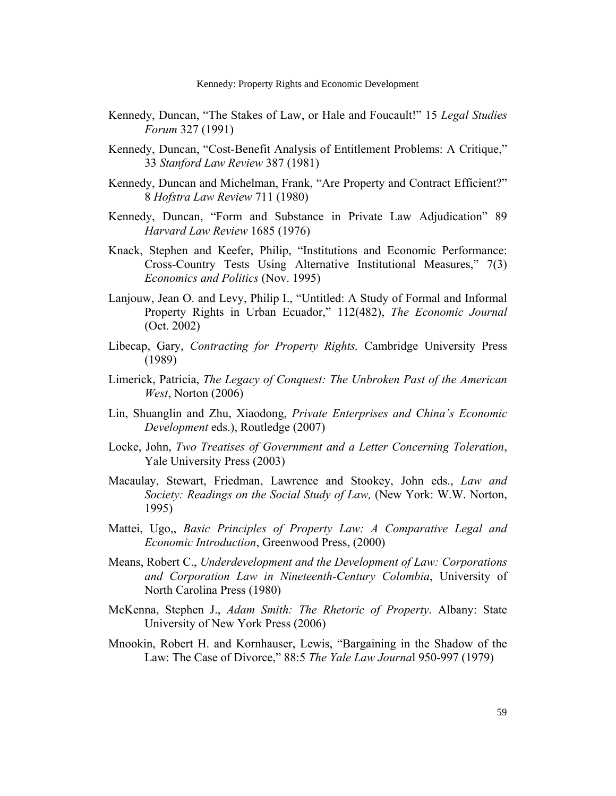Kennedy: Property Rights and Economic Development

- Kennedy, Duncan, "The Stakes of Law, or Hale and Foucault!" 15 *Legal Studies Forum* 327 (1991)
- Kennedy, Duncan, "Cost-Benefit Analysis of Entitlement Problems: A Critique," 33 *Stanford Law Review* 387 (1981)
- Kennedy, Duncan and Michelman, Frank, "Are Property and Contract Efficient?" 8 *Hofstra Law Review* 711 (1980)
- Kennedy, Duncan, "Form and Substance in Private Law Adjudication" 89 *Harvard Law Review* 1685 (1976)
- Knack, Stephen and Keefer, Philip, "Institutions and Economic Performance: Cross-Country Tests Using Alternative Institutional Measures," 7(3) *Economics and Politics* (Nov. 1995)
- Lanjouw, Jean O. and Levy, Philip I., "Untitled: A Study of Formal and Informal Property Rights in Urban Ecuador," 112(482), *The Economic Journal* (Oct. 2002)
- Libecap, Gary, *Contracting for Property Rights,* Cambridge University Press (1989)
- Limerick, Patricia, *The Legacy of Conquest: The Unbroken Past of the American West*, Norton (2006)
- Lin, Shuanglin and Zhu, Xiaodong, *Private Enterprises and China's Economic Development* eds.), Routledge (2007)
- Locke, John, *Two Treatises of Government and a Letter Concerning Toleration*, Yale University Press (2003)
- Macaulay, Stewart, Friedman, Lawrence and Stookey, John eds., *Law and Society: Readings on the Social Study of Law,* (New York: W.W. Norton, 1995)
- Mattei, Ugo,, *Basic Principles of Property Law: A Comparative Legal and Economic Introduction*, Greenwood Press, (2000)
- Means, Robert C., *Underdevelopment and the Development of Law: Corporations and Corporation Law in Nineteenth-Century Colombia*, University of North Carolina Press (1980)
- McKenna, Stephen J., *Adam Smith: The Rhetoric of Property*. Albany: State University of New York Press (2006)
- Mnookin, Robert H. and Kornhauser, Lewis, "Bargaining in the Shadow of the Law: The Case of Divorce," 88:5 *The Yale Law Journa*l 950-997 (1979)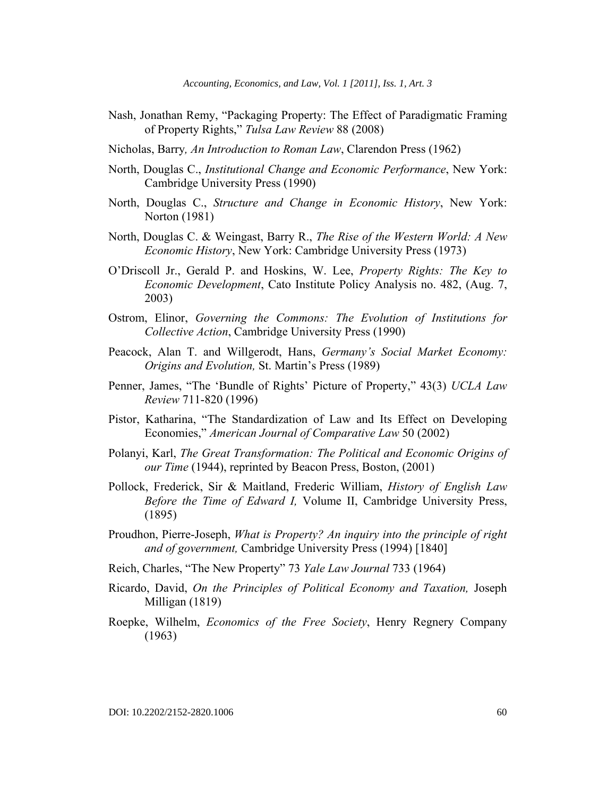- Nash, Jonathan Remy, "Packaging Property: The Effect of Paradigmatic Framing of Property Rights," *Tulsa Law Review* 88 (2008)
- Nicholas, Barry*, An Introduction to Roman Law*, Clarendon Press (1962)
- North, Douglas C., *Institutional Change and Economic Performance*, New York: Cambridge University Press (1990)
- North, Douglas C., *Structure and Change in Economic History*, New York: Norton (1981)
- North, Douglas C. & Weingast, Barry R., *The Rise of the Western World: A New Economic History*, New York: Cambridge University Press (1973)
- O'Driscoll Jr., Gerald P. and Hoskins, W. Lee, *Property Rights: The Key to Economic Development*, Cato Institute Policy Analysis no. 482, (Aug. 7, 2003)
- Ostrom, Elinor, *Governing the Commons: The Evolution of Institutions for Collective Action*, Cambridge University Press (1990)
- Peacock, Alan T. and Willgerodt, Hans, *Germany's Social Market Economy: Origins and Evolution,* St. Martin's Press (1989)
- Penner, James, "The 'Bundle of Rights' Picture of Property," 43(3) *UCLA Law Review* 711-820 (1996)
- Pistor, Katharina, "The Standardization of Law and Its Effect on Developing Economies," *American Journal of Comparative Law* 50 (2002)
- Polanyi, Karl, *The Great Transformation: The Political and Economic Origins of our Time* (1944), reprinted by Beacon Press, Boston, (2001)
- Pollock, Frederick, Sir & Maitland, Frederic William, *History of English Law Before the Time of Edward I,* Volume II, Cambridge University Press, (1895)
- Proudhon, Pierre-Joseph, *What is Property? An inquiry into the principle of right and of government,* Cambridge University Press (1994) [1840]
- Reich, Charles, "The New Property" 73 *Yale Law Journal* 733 (1964)
- Ricardo, David, *On the Principles of Political Economy and Taxation,* Joseph Milligan (1819)
- Roepke, Wilhelm, *Economics of the Free Society*, Henry Regnery Company (1963)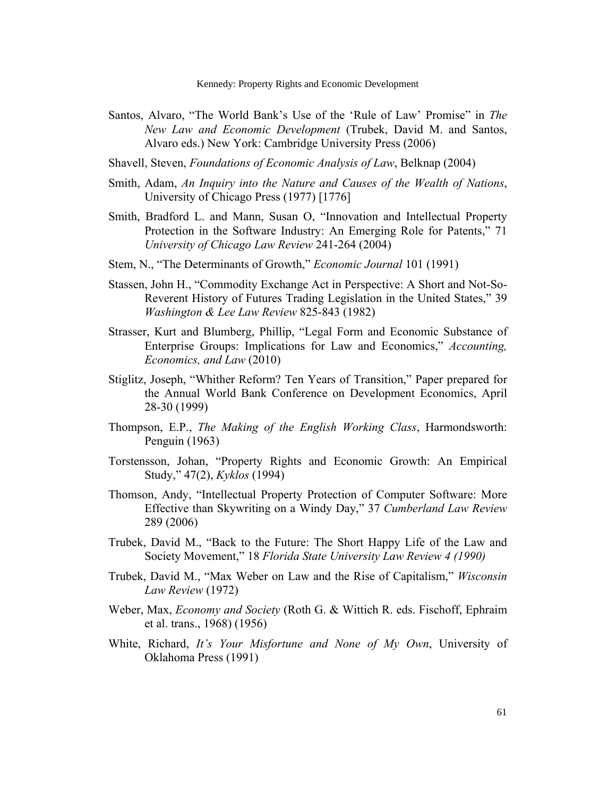Kennedy: Property Rights and Economic Development

- Santos, Alvaro, "The World Bank's Use of the 'Rule of Law' Promise" in *The New Law and Economic Development* (Trubek, David M. and Santos, Alvaro eds.) New York: Cambridge University Press (2006)
- Shavell, Steven, *Foundations of Economic Analysis of Law*, Belknap (2004)
- Smith, Adam, *An Inquiry into the Nature and Causes of the Wealth of Nations*, University of Chicago Press (1977) [1776]
- Smith, Bradford L. and Mann, Susan O, "Innovation and Intellectual Property Protection in the Software Industry: An Emerging Role for Patents," 71 *University of Chicago Law Review* 241-264 (2004)
- Stem, N., "The Determinants of Growth," *Economic Journal* 101 (1991)
- Stassen, John H., "Commodity Exchange Act in Perspective: A Short and Not-So-Reverent History of Futures Trading Legislation in the United States," 39 *Washington & Lee Law Review* 825-843 (1982)
- Strasser, Kurt and Blumberg, Phillip, "Legal Form and Economic Substance of Enterprise Groups: Implications for Law and Economics," *Accounting, Economics, and Law* (2010)
- Stiglitz, Joseph, "Whither Reform? Ten Years of Transition," Paper prepared for the Annual World Bank Conference on Development Economics, April 28-30 (1999)
- Thompson, E.P., *The Making of the English Working Class*, Harmondsworth: Penguin (1963)
- Torstensson, Johan, "Property Rights and Economic Growth: An Empirical Study," 47(2), *Kyklos* (1994)
- Thomson, Andy, "Intellectual Property Protection of Computer Software: More Effective than Skywriting on a Windy Day," 37 *Cumberland Law Review* 289 (2006)
- Trubek, David M., "Back to the Future: The Short Happy Life of the Law and Society Movement," 18 *Florida State University Law Review 4 (1990)*
- Trubek, David M., "Max Weber on Law and the Rise of Capitalism," *Wisconsin Law Review* (1972)
- Weber, Max, *Economy and Society* (Roth G. & Wittich R. eds. Fischoff, Ephraim et al. trans., 1968) (1956)
- White, Richard, *It's Your Misfortune and None of My Own*, University of Oklahoma Press (1991)